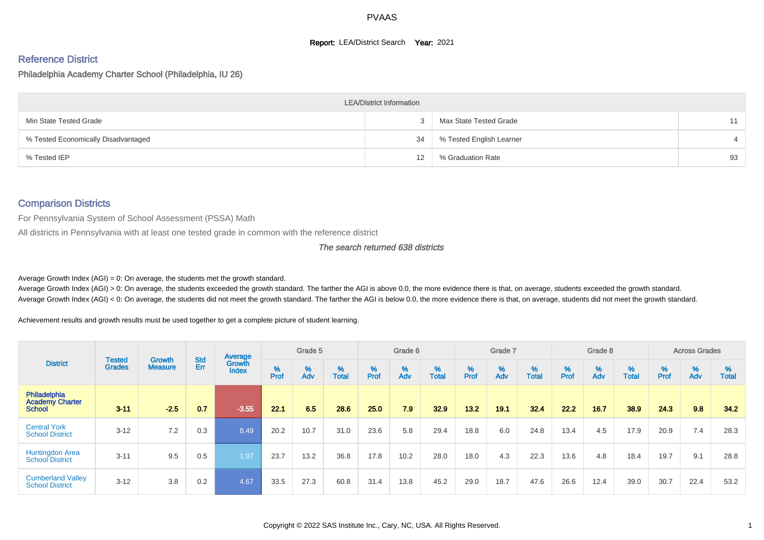#### **Report: LEA/District Search Year: 2021**

# Reference District

#### Philadelphia Academy Charter School (Philadelphia, IU 26)

|                                     | <b>LEA/District Information</b> |                          |    |
|-------------------------------------|---------------------------------|--------------------------|----|
| Min State Tested Grade              |                                 | Max State Tested Grade   | 11 |
| % Tested Economically Disadvantaged | 34                              | % Tested English Learner |    |
| % Tested IEP                        | 12                              | % Graduation Rate        | 93 |

#### Comparison Districts

For Pennsylvania System of School Assessment (PSSA) Math

All districts in Pennsylvania with at least one tested grade in common with the reference district

#### The search returned 638 districts

Average Growth Index  $(AGI) = 0$ : On average, the students met the growth standard.

Average Growth Index (AGI) > 0: On average, the students exceeded the growth standard. The farther the AGI is above 0.0, the more evidence there is that, on average, students exceeded the growth standard. Average Growth Index (AGI) < 0: On average, the students did not meet the growth standard. The farther the AGI is below 0.0, the more evidence there is that, on average, students did not meet the growth standard.

Achievement results and growth results must be used together to get a complete picture of student learning.

|                                                         |                                |                          |                   | Average                |           | Grade 5  |                   |           | Grade 6  |                   |           | Grade 7  |                   |           | Grade 8  |                   |           | <b>Across Grades</b> |                   |
|---------------------------------------------------------|--------------------------------|--------------------------|-------------------|------------------------|-----------|----------|-------------------|-----------|----------|-------------------|-----------|----------|-------------------|-----------|----------|-------------------|-----------|----------------------|-------------------|
| <b>District</b>                                         | <b>Tested</b><br><b>Grades</b> | Growth<br><b>Measure</b> | <b>Std</b><br>Err | Growth<br><b>Index</b> | %<br>Prof | %<br>Adv | %<br><b>Total</b> | %<br>Prof | %<br>Adv | %<br><b>Total</b> | %<br>Prof | %<br>Adv | %<br><b>Total</b> | %<br>Prof | %<br>Adv | %<br><b>Total</b> | %<br>Prof | %<br>Adv             | %<br><b>Total</b> |
| Philadelphia<br><b>Academy Charter</b><br><b>School</b> | $3 - 11$                       | $-2.5$                   | 0.7               | $-3.55$                | 22.1      | 6.5      | 28.6              | 25.0      | 7.9      | 32.9              | $13.2$    | 19.1     | 32.4              | 22.2      | 16.7     | 38.9              | 24.3      | 9.8                  | 34.2              |
| <b>Central York</b><br><b>School District</b>           | $3 - 12$                       | 7.2                      | 0.3               | 8.49                   | 20.2      | 10.7     | 31.0              | 23.6      | 5.8      | 29.4              | 18.8      | 6.0      | 24.8              | 13.4      | 4.5      | 17.9              | 20.9      | 7.4                  | 28.3              |
| <b>Huntingdon Area</b><br><b>School District</b>        | $3 - 11$                       | 9.5                      | 0.5               | 1.97                   | 23.7      | 13.2     | 36.8              | 17.8      | 10.2     | 28.0              | 18.0      | 4.3      | 22.3              | 13.6      | 4.8      | 18.4              | 19.7      | 9.1                  | 28.8              |
| <b>Cumberland Valley</b><br><b>School District</b>      | $3 - 12$                       | 3.8                      | 0.2               | 4.67                   | 33.5      | 27.3     | 60.8              | 31.4      | 13.8     | 45.2              | 29.0      | 18.7     | 47.6              | 26.6      | 12.4     | 39.0              | 30.7      | 22.4                 | 53.2              |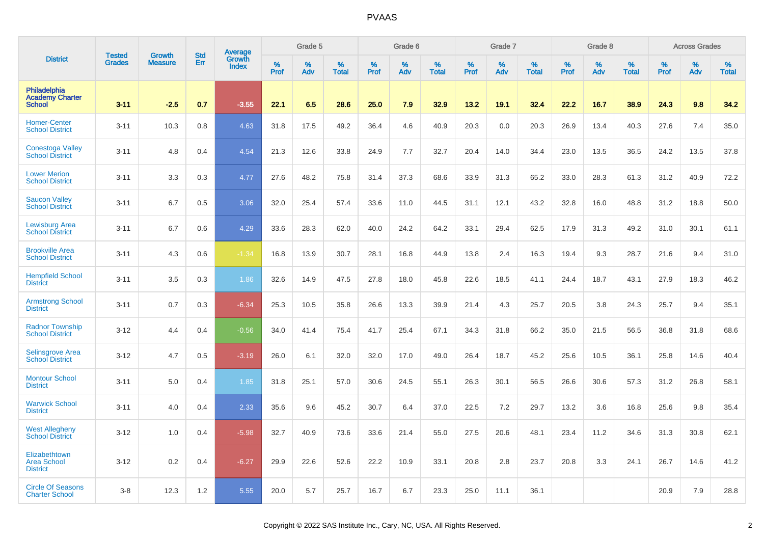|                                                         | <b>Tested</b> | <b>Growth</b>  | <b>Std</b> |                                   |              | Grade 5  |                   |              | Grade 6  |                   |              | Grade 7  |                   |              | Grade 8  |                   |                  | <b>Across Grades</b> |                   |
|---------------------------------------------------------|---------------|----------------|------------|-----------------------------------|--------------|----------|-------------------|--------------|----------|-------------------|--------------|----------|-------------------|--------------|----------|-------------------|------------------|----------------------|-------------------|
| <b>District</b>                                         | <b>Grades</b> | <b>Measure</b> | Err        | Average<br>Growth<br><b>Index</b> | $\%$<br>Prof | %<br>Adv | %<br><b>Total</b> | $\%$<br>Prof | %<br>Adv | %<br><b>Total</b> | $\%$<br>Prof | %<br>Adv | %<br><b>Total</b> | $\%$<br>Prof | %<br>Adv | %<br><b>Total</b> | %<br><b>Prof</b> | %<br>Adv             | %<br><b>Total</b> |
| Philadelphia<br><b>Academy Charter</b><br><b>School</b> | $3 - 11$      | $-2.5$         | 0.7        | $-3.55$                           | 22.1         | 6.5      | 28.6              | 25.0         | 7.9      | 32.9              | 13.2         | 19.1     | 32.4              | 22.2         | 16.7     | 38.9              | 24.3             | 9.8                  | 34.2              |
| <b>Homer-Center</b><br><b>School District</b>           | $3 - 11$      | 10.3           | 0.8        | 4.63                              | 31.8         | 17.5     | 49.2              | 36.4         | 4.6      | 40.9              | 20.3         | 0.0      | 20.3              | 26.9         | 13.4     | 40.3              | 27.6             | 7.4                  | 35.0              |
| Conestoga Valley<br><b>School District</b>              | $3 - 11$      | 4.8            | 0.4        | 4.54                              | 21.3         | 12.6     | 33.8              | 24.9         | 7.7      | 32.7              | 20.4         | 14.0     | 34.4              | 23.0         | 13.5     | 36.5              | 24.2             | 13.5                 | 37.8              |
| <b>Lower Merion</b><br><b>School District</b>           | $3 - 11$      | 3.3            | 0.3        | 4.77                              | 27.6         | 48.2     | 75.8              | 31.4         | 37.3     | 68.6              | 33.9         | 31.3     | 65.2              | 33.0         | 28.3     | 61.3              | 31.2             | 40.9                 | 72.2              |
| <b>Saucon Valley</b><br><b>School District</b>          | $3 - 11$      | 6.7            | 0.5        | 3.06                              | 32.0         | 25.4     | 57.4              | 33.6         | 11.0     | 44.5              | 31.1         | 12.1     | 43.2              | 32.8         | 16.0     | 48.8              | 31.2             | 18.8                 | 50.0              |
| <b>Lewisburg Area</b><br><b>School District</b>         | $3 - 11$      | 6.7            | 0.6        | 4.29                              | 33.6         | 28.3     | 62.0              | 40.0         | 24.2     | 64.2              | 33.1         | 29.4     | 62.5              | 17.9         | 31.3     | 49.2              | 31.0             | 30.1                 | 61.1              |
| <b>Brookville Area</b><br><b>School District</b>        | $3 - 11$      | 4.3            | 0.6        | $-1.34$                           | 16.8         | 13.9     | 30.7              | 28.1         | 16.8     | 44.9              | 13.8         | 2.4      | 16.3              | 19.4         | 9.3      | 28.7              | 21.6             | 9.4                  | 31.0              |
| <b>Hempfield School</b><br><b>District</b>              | $3 - 11$      | 3.5            | 0.3        | 1.86                              | 32.6         | 14.9     | 47.5              | 27.8         | 18.0     | 45.8              | 22.6         | 18.5     | 41.1              | 24.4         | 18.7     | 43.1              | 27.9             | 18.3                 | 46.2              |
| <b>Armstrong School</b><br><b>District</b>              | $3 - 11$      | 0.7            | 0.3        | $-6.34$                           | 25.3         | 10.5     | 35.8              | 26.6         | 13.3     | 39.9              | 21.4         | 4.3      | 25.7              | 20.5         | 3.8      | 24.3              | 25.7             | 9.4                  | 35.1              |
| <b>Radnor Township</b><br><b>School District</b>        | $3 - 12$      | 4.4            | 0.4        | $-0.56$                           | 34.0         | 41.4     | 75.4              | 41.7         | 25.4     | 67.1              | 34.3         | 31.8     | 66.2              | 35.0         | 21.5     | 56.5              | 36.8             | 31.8                 | 68.6              |
| <b>Selinsgrove Area</b><br><b>School District</b>       | $3 - 12$      | 4.7            | 0.5        | $-3.19$                           | 26.0         | 6.1      | 32.0              | 32.0         | 17.0     | 49.0              | 26.4         | 18.7     | 45.2              | 25.6         | 10.5     | 36.1              | 25.8             | 14.6                 | 40.4              |
| <b>Montour School</b><br><b>District</b>                | $3 - 11$      | 5.0            | 0.4        | 1.85                              | 31.8         | 25.1     | 57.0              | 30.6         | 24.5     | 55.1              | 26.3         | 30.1     | 56.5              | 26.6         | 30.6     | 57.3              | 31.2             | 26.8                 | 58.1              |
| <b>Warwick School</b><br><b>District</b>                | $3 - 11$      | 4.0            | 0.4        | 2.33                              | 35.6         | 9.6      | 45.2              | 30.7         | 6.4      | 37.0              | 22.5         | 7.2      | 29.7              | 13.2         | 3.6      | 16.8              | 25.6             | 9.8                  | 35.4              |
| <b>West Allegheny</b><br><b>School District</b>         | $3 - 12$      | 1.0            | 0.4        | $-5.98$                           | 32.7         | 40.9     | 73.6              | 33.6         | 21.4     | 55.0              | 27.5         | 20.6     | 48.1              | 23.4         | 11.2     | 34.6              | 31.3             | 30.8                 | 62.1              |
| Elizabethtown<br><b>Area School</b><br><b>District</b>  | $3 - 12$      | 0.2            | 0.4        | $-6.27$                           | 29.9         | 22.6     | 52.6              | 22.2         | 10.9     | 33.1              | 20.8         | 2.8      | 23.7              | 20.8         | 3.3      | 24.1              | 26.7             | 14.6                 | 41.2              |
| <b>Circle Of Seasons</b><br><b>Charter School</b>       | $3 - 8$       | 12.3           | 1.2        | 5.55                              | 20.0         | 5.7      | 25.7              | 16.7         | 6.7      | 23.3              | 25.0         | 11.1     | 36.1              |              |          |                   | 20.9             | 7.9                  | 28.8              |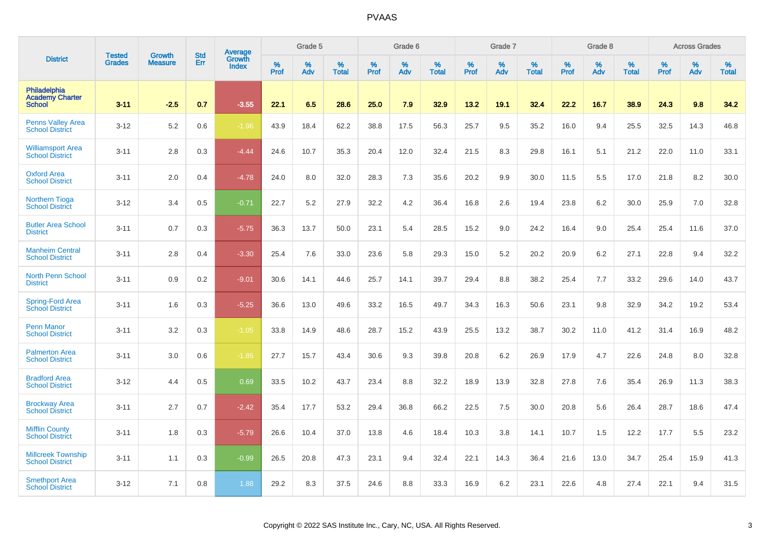|                                                         |                         | <b>Growth</b>  | <b>Std</b> | Average                |                     | Grade 5  |                      |                     | Grade 6  |                      |                     | Grade 7     |                      |                     | Grade 8     |                   |              | <b>Across Grades</b> |                   |
|---------------------------------------------------------|-------------------------|----------------|------------|------------------------|---------------------|----------|----------------------|---------------------|----------|----------------------|---------------------|-------------|----------------------|---------------------|-------------|-------------------|--------------|----------------------|-------------------|
| <b>District</b>                                         | <b>Tested</b><br>Grades | <b>Measure</b> | Err        | Growth<br><b>Index</b> | $\%$<br><b>Prof</b> | %<br>Adv | $\%$<br><b>Total</b> | $\%$<br><b>Prof</b> | %<br>Adv | $\%$<br><b>Total</b> | $\%$<br><b>Prof</b> | $\%$<br>Adv | $\%$<br><b>Total</b> | $\%$<br><b>Prof</b> | $\%$<br>Adv | %<br><b>Total</b> | $\%$<br>Prof | %<br>Adv             | %<br><b>Total</b> |
| Philadelphia<br><b>Academy Charter</b><br><b>School</b> | $3 - 11$                | $-2.5$         | 0.7        | $-3.55$                | 22.1                | 6.5      | 28.6                 | 25.0                | 7.9      | 32.9                 | 13.2                | 19.1        | 32.4                 | 22.2                | 16.7        | 38.9              | 24.3         | 9.8                  | 34.2              |
| <b>Penns Valley Area</b><br><b>School District</b>      | $3 - 12$                | 5.2            | 0.6        | $-1.96$                | 43.9                | 18.4     | 62.2                 | 38.8                | 17.5     | 56.3                 | 25.7                | 9.5         | 35.2                 | 16.0                | 9.4         | 25.5              | 32.5         | 14.3                 | 46.8              |
| <b>Williamsport Area</b><br><b>School District</b>      | $3 - 11$                | 2.8            | 0.3        | $-4.44$                | 24.6                | 10.7     | 35.3                 | 20.4                | 12.0     | 32.4                 | 21.5                | 8.3         | 29.8                 | 16.1                | 5.1         | 21.2              | 22.0         | 11.0                 | 33.1              |
| <b>Oxford Area</b><br><b>School District</b>            | $3 - 11$                | 2.0            | 0.4        | $-4.78$                | 24.0                | 8.0      | 32.0                 | 28.3                | 7.3      | 35.6                 | 20.2                | 9.9         | 30.0                 | 11.5                | 5.5         | 17.0              | 21.8         | 8.2                  | 30.0              |
| <b>Northern Tioga</b><br><b>School District</b>         | $3 - 12$                | 3.4            | 0.5        | $-0.71$                | 22.7                | 5.2      | 27.9                 | 32.2                | 4.2      | 36.4                 | 16.8                | 2.6         | 19.4                 | 23.8                | 6.2         | 30.0              | 25.9         | 7.0                  | 32.8              |
| <b>Butler Area School</b><br><b>District</b>            | $3 - 11$                | 0.7            | 0.3        | $-5.75$                | 36.3                | 13.7     | 50.0                 | 23.1                | 5.4      | 28.5                 | 15.2                | 9.0         | 24.2                 | 16.4                | 9.0         | 25.4              | 25.4         | 11.6                 | 37.0              |
| <b>Manheim Central</b><br><b>School District</b>        | $3 - 11$                | 2.8            | 0.4        | $-3.30$                | 25.4                | 7.6      | 33.0                 | 23.6                | 5.8      | 29.3                 | 15.0                | 5.2         | 20.2                 | 20.9                | 6.2         | 27.1              | 22.8         | 9.4                  | 32.2              |
| <b>North Penn School</b><br><b>District</b>             | $3 - 11$                | 0.9            | 0.2        | $-9.01$                | 30.6                | 14.1     | 44.6                 | 25.7                | 14.1     | 39.7                 | 29.4                | 8.8         | 38.2                 | 25.4                | 7.7         | 33.2              | 29.6         | 14.0                 | 43.7              |
| Spring-Ford Area<br>School District                     | $3 - 11$                | 1.6            | 0.3        | $-5.25$                | 36.6                | 13.0     | 49.6                 | 33.2                | 16.5     | 49.7                 | 34.3                | 16.3        | 50.6                 | 23.1                | 9.8         | 32.9              | 34.2         | 19.2                 | 53.4              |
| <b>Penn Manor</b><br><b>School District</b>             | $3 - 11$                | 3.2            | 0.3        | $-1.05$                | 33.8                | 14.9     | 48.6                 | 28.7                | 15.2     | 43.9                 | 25.5                | 13.2        | 38.7                 | 30.2                | 11.0        | 41.2              | 31.4         | 16.9                 | 48.2              |
| <b>Palmerton Area</b><br><b>School District</b>         | $3 - 11$                | 3.0            | 0.6        | $-1.85$                | 27.7                | 15.7     | 43.4                 | 30.6                | 9.3      | 39.8                 | 20.8                | 6.2         | 26.9                 | 17.9                | 4.7         | 22.6              | 24.8         | 8.0                  | 32.8              |
| <b>Bradford Area</b><br><b>School District</b>          | $3 - 12$                | 4.4            | 0.5        | 0.69                   | 33.5                | 10.2     | 43.7                 | 23.4                | 8.8      | 32.2                 | 18.9                | 13.9        | 32.8                 | 27.8                | 7.6         | 35.4              | 26.9         | 11.3                 | 38.3              |
| <b>Brockway Area</b><br><b>School District</b>          | $3 - 11$                | 2.7            | 0.7        | $-2.42$                | 35.4                | 17.7     | 53.2                 | 29.4                | 36.8     | 66.2                 | 22.5                | 7.5         | 30.0                 | 20.8                | 5.6         | 26.4              | 28.7         | 18.6                 | 47.4              |
| <b>Mifflin County</b><br><b>School District</b>         | $3 - 11$                | 1.8            | 0.3        | $-5.79$                | 26.6                | 10.4     | 37.0                 | 13.8                | 4.6      | 18.4                 | 10.3                | 3.8         | 14.1                 | 10.7                | 1.5         | 12.2              | 17.7         | 5.5                  | 23.2              |
| <b>Millcreek Township</b><br><b>School District</b>     | $3 - 11$                | 1.1            | 0.3        | $-0.99$                | 26.5                | 20.8     | 47.3                 | 23.1                | 9.4      | 32.4                 | 22.1                | 14.3        | 36.4                 | 21.6                | 13.0        | 34.7              | 25.4         | 15.9                 | 41.3              |
| <b>Smethport Area</b><br><b>School District</b>         | $3 - 12$                | 7.1            | 0.8        | 1.88                   | 29.2                | 8.3      | 37.5                 | 24.6                | 8.8      | 33.3                 | 16.9                | 6.2         | 23.1                 | 22.6                | 4.8         | 27.4              | 22.1         | 9.4                  | 31.5              |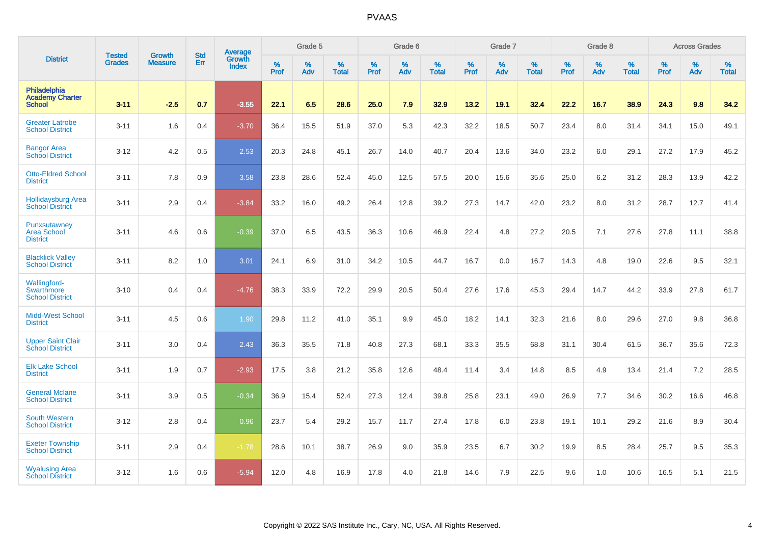|                                                                | <b>Tested</b> | <b>Growth</b>  | <b>Std</b> | Average                       |           | Grade 5  |                   |           | Grade 6  |                   |           | Grade 7  |                   |           | Grade 8  |                   |           | <b>Across Grades</b> |                   |
|----------------------------------------------------------------|---------------|----------------|------------|-------------------------------|-----------|----------|-------------------|-----------|----------|-------------------|-----------|----------|-------------------|-----------|----------|-------------------|-----------|----------------------|-------------------|
| <b>District</b>                                                | <b>Grades</b> | <b>Measure</b> | Err        | <b>Growth</b><br><b>Index</b> | %<br>Prof | %<br>Adv | %<br><b>Total</b> | %<br>Prof | %<br>Adv | %<br><b>Total</b> | %<br>Prof | %<br>Adv | %<br><b>Total</b> | %<br>Prof | %<br>Adv | %<br><b>Total</b> | %<br>Prof | %<br>Adv             | %<br><b>Total</b> |
| <b>Philadelphia</b><br><b>Academy Charter</b><br><b>School</b> | $3 - 11$      | $-2.5$         | 0.7        | $-3.55$                       | 22.1      | 6.5      | 28.6              | 25.0      | 7.9      | 32.9              | 13.2      | 19.1     | 32.4              | 22.2      | 16.7     | 38.9              | 24.3      | 9.8                  | 34.2              |
| <b>Greater Latrobe</b><br><b>School District</b>               | $3 - 11$      | 1.6            | 0.4        | $-3.70$                       | 36.4      | 15.5     | 51.9              | 37.0      | 5.3      | 42.3              | 32.2      | 18.5     | 50.7              | 23.4      | 8.0      | 31.4              | 34.1      | 15.0                 | 49.1              |
| <b>Bangor Area</b><br><b>School District</b>                   | $3 - 12$      | 4.2            | 0.5        | 2.53                          | 20.3      | 24.8     | 45.1              | 26.7      | 14.0     | 40.7              | 20.4      | 13.6     | 34.0              | 23.2      | 6.0      | 29.1              | 27.2      | 17.9                 | 45.2              |
| <b>Otto-Eldred School</b><br><b>District</b>                   | $3 - 11$      | 7.8            | 0.9        | 3.58                          | 23.8      | 28.6     | 52.4              | 45.0      | 12.5     | 57.5              | 20.0      | 15.6     | 35.6              | 25.0      | 6.2      | 31.2              | 28.3      | 13.9                 | 42.2              |
| <b>Hollidaysburg Area</b><br><b>School District</b>            | $3 - 11$      | 2.9            | 0.4        | $-3.84$                       | 33.2      | 16.0     | 49.2              | 26.4      | 12.8     | 39.2              | 27.3      | 14.7     | 42.0              | 23.2      | 8.0      | 31.2              | 28.7      | 12.7                 | 41.4              |
| Punxsutawney<br><b>Area School</b><br><b>District</b>          | $3 - 11$      | 4.6            | 0.6        | $-0.39$                       | 37.0      | 6.5      | 43.5              | 36.3      | 10.6     | 46.9              | 22.4      | 4.8      | 27.2              | 20.5      | 7.1      | 27.6              | 27.8      | 11.1                 | 38.8              |
| <b>Blacklick Valley</b><br><b>School District</b>              | $3 - 11$      | 8.2            | 1.0        | 3.01                          | 24.1      | 6.9      | 31.0              | 34.2      | 10.5     | 44.7              | 16.7      | 0.0      | 16.7              | 14.3      | 4.8      | 19.0              | 22.6      | 9.5                  | 32.1              |
| Wallingford-<br>Swarthmore<br><b>School District</b>           | $3 - 10$      | 0.4            | 0.4        | $-4.76$                       | 38.3      | 33.9     | 72.2              | 29.9      | 20.5     | 50.4              | 27.6      | 17.6     | 45.3              | 29.4      | 14.7     | 44.2              | 33.9      | 27.8                 | 61.7              |
| <b>Midd-West School</b><br><b>District</b>                     | $3 - 11$      | 4.5            | 0.6        | 1.90                          | 29.8      | 11.2     | 41.0              | 35.1      | 9.9      | 45.0              | 18.2      | 14.1     | 32.3              | 21.6      | 8.0      | 29.6              | 27.0      | 9.8                  | 36.8              |
| <b>Upper Saint Clair</b><br><b>School District</b>             | $3 - 11$      | 3.0            | 0.4        | 2.43                          | 36.3      | 35.5     | 71.8              | 40.8      | 27.3     | 68.1              | 33.3      | 35.5     | 68.8              | 31.1      | 30.4     | 61.5              | 36.7      | 35.6                 | 72.3              |
| <b>Elk Lake School</b><br><b>District</b>                      | $3 - 11$      | 1.9            | 0.7        | $-2.93$                       | 17.5      | 3.8      | 21.2              | 35.8      | 12.6     | 48.4              | 11.4      | 3.4      | 14.8              | 8.5       | 4.9      | 13.4              | 21.4      | 7.2                  | 28.5              |
| <b>General Mclane</b><br><b>School District</b>                | $3 - 11$      | 3.9            | 0.5        | $-0.34$                       | 36.9      | 15.4     | 52.4              | 27.3      | 12.4     | 39.8              | 25.8      | 23.1     | 49.0              | 26.9      | 7.7      | 34.6              | 30.2      | 16.6                 | 46.8              |
| <b>South Western</b><br><b>School District</b>                 | $3 - 12$      | 2.8            | 0.4        | 0.96                          | 23.7      | 5.4      | 29.2              | 15.7      | 11.7     | 27.4              | 17.8      | 6.0      | 23.8              | 19.1      | 10.1     | 29.2              | 21.6      | 8.9                  | 30.4              |
| <b>Exeter Township</b><br><b>School District</b>               | $3 - 11$      | 2.9            | 0.4        | $-1.78$                       | 28.6      | 10.1     | 38.7              | 26.9      | 9.0      | 35.9              | 23.5      | 6.7      | 30.2              | 19.9      | 8.5      | 28.4              | 25.7      | 9.5                  | 35.3              |
| <b>Wyalusing Area</b><br><b>School District</b>                | $3 - 12$      | 1.6            | 0.6        | $-5.94$                       | 12.0      | 4.8      | 16.9              | 17.8      | 4.0      | 21.8              | 14.6      | 7.9      | 22.5              | 9.6       | 1.0      | 10.6              | 16.5      | 5.1                  | 21.5              |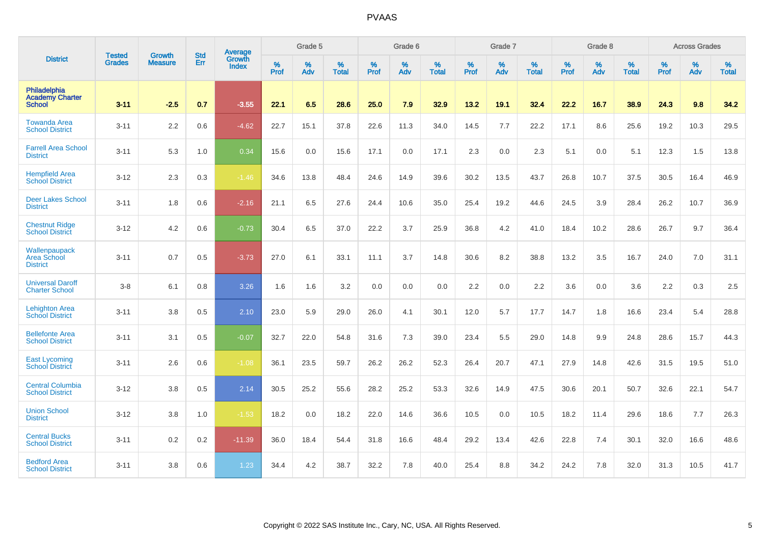|                                                         | <b>Tested</b> | <b>Growth</b>  | <b>Std</b> | <b>Average</b>         |           | Grade 5  |                   |           | Grade 6  |                   |           | Grade 7  |                   |           | Grade 8  |                   |           | <b>Across Grades</b> |                   |
|---------------------------------------------------------|---------------|----------------|------------|------------------------|-----------|----------|-------------------|-----------|----------|-------------------|-----------|----------|-------------------|-----------|----------|-------------------|-----------|----------------------|-------------------|
| <b>District</b>                                         | <b>Grades</b> | <b>Measure</b> | Err        | Growth<br><b>Index</b> | %<br>Prof | %<br>Adv | %<br><b>Total</b> | %<br>Prof | %<br>Adv | %<br><b>Total</b> | %<br>Prof | %<br>Adv | %<br><b>Total</b> | %<br>Prof | %<br>Adv | %<br><b>Total</b> | %<br>Prof | %<br>Adv             | %<br><b>Total</b> |
| Philadelphia<br><b>Academy Charter</b><br><b>School</b> | $3 - 11$      | $-2.5$         | 0.7        | $-3.55$                | 22.1      | 6.5      | 28.6              | 25.0      | 7.9      | 32.9              | 13.2      | 19.1     | 32.4              | 22.2      | 16.7     | 38.9              | 24.3      | 9.8                  | 34.2              |
| <b>Towanda Area</b><br><b>School District</b>           | $3 - 11$      | 2.2            | 0.6        | $-4.62$                | 22.7      | 15.1     | 37.8              | 22.6      | 11.3     | 34.0              | 14.5      | 7.7      | 22.2              | 17.1      | 8.6      | 25.6              | 19.2      | 10.3                 | 29.5              |
| <b>Farrell Area School</b><br><b>District</b>           | $3 - 11$      | 5.3            | 1.0        | 0.34                   | 15.6      | 0.0      | 15.6              | 17.1      | 0.0      | 17.1              | 2.3       | 0.0      | 2.3               | 5.1       | 0.0      | 5.1               | 12.3      | 1.5                  | 13.8              |
| <b>Hempfield Area</b><br><b>School District</b>         | $3 - 12$      | 2.3            | 0.3        | $-1.46$                | 34.6      | 13.8     | 48.4              | 24.6      | 14.9     | 39.6              | 30.2      | 13.5     | 43.7              | 26.8      | 10.7     | 37.5              | 30.5      | 16.4                 | 46.9              |
| <b>Deer Lakes School</b><br><b>District</b>             | $3 - 11$      | 1.8            | 0.6        | $-2.16$                | 21.1      | 6.5      | 27.6              | 24.4      | 10.6     | 35.0              | 25.4      | 19.2     | 44.6              | 24.5      | 3.9      | 28.4              | 26.2      | 10.7                 | 36.9              |
| <b>Chestnut Ridge</b><br><b>School District</b>         | $3 - 12$      | 4.2            | 0.6        | $-0.73$                | 30.4      | 6.5      | 37.0              | 22.2      | 3.7      | 25.9              | 36.8      | 4.2      | 41.0              | 18.4      | 10.2     | 28.6              | 26.7      | 9.7                  | 36.4              |
| Wallenpaupack<br>Area School<br><b>District</b>         | $3 - 11$      | 0.7            | 0.5        | $-3.73$                | 27.0      | 6.1      | 33.1              | 11.1      | 3.7      | 14.8              | 30.6      | 8.2      | 38.8              | 13.2      | 3.5      | 16.7              | 24.0      | 7.0                  | 31.1              |
| <b>Universal Daroff</b><br><b>Charter School</b>        | $3 - 8$       | 6.1            | 0.8        | 3.26                   | 1.6       | 1.6      | 3.2               | 0.0       | 0.0      | 0.0               | 2.2       | 0.0      | 2.2               | 3.6       | 0.0      | 3.6               | 2.2       | 0.3                  | 2.5               |
| <b>Lehighton Area</b><br><b>School District</b>         | $3 - 11$      | 3.8            | 0.5        | 2.10                   | 23.0      | 5.9      | 29.0              | 26.0      | 4.1      | 30.1              | 12.0      | 5.7      | 17.7              | 14.7      | 1.8      | 16.6              | 23.4      | 5.4                  | 28.8              |
| <b>Bellefonte Area</b><br><b>School District</b>        | $3 - 11$      | 3.1            | 0.5        | $-0.07$                | 32.7      | 22.0     | 54.8              | 31.6      | 7.3      | 39.0              | 23.4      | 5.5      | 29.0              | 14.8      | 9.9      | 24.8              | 28.6      | 15.7                 | 44.3              |
| <b>East Lycoming</b><br><b>School District</b>          | $3 - 11$      | 2.6            | 0.6        | $-1.08$                | 36.1      | 23.5     | 59.7              | 26.2      | 26.2     | 52.3              | 26.4      | 20.7     | 47.1              | 27.9      | 14.8     | 42.6              | 31.5      | 19.5                 | 51.0              |
| <b>Central Columbia</b><br><b>School District</b>       | $3 - 12$      | 3.8            | 0.5        | 2.14                   | 30.5      | 25.2     | 55.6              | 28.2      | 25.2     | 53.3              | 32.6      | 14.9     | 47.5              | 30.6      | 20.1     | 50.7              | 32.6      | 22.1                 | 54.7              |
| <b>Union School</b><br><b>District</b>                  | $3 - 12$      | 3.8            | 1.0        | $-1.53$                | 18.2      | 0.0      | 18.2              | 22.0      | 14.6     | 36.6              | 10.5      | 0.0      | 10.5              | 18.2      | 11.4     | 29.6              | 18.6      | 7.7                  | 26.3              |
| <b>Central Bucks</b><br><b>School District</b>          | $3 - 11$      | 0.2            | 0.2        | $-11.39$               | 36.0      | 18.4     | 54.4              | 31.8      | 16.6     | 48.4              | 29.2      | 13.4     | 42.6              | 22.8      | 7.4      | 30.1              | 32.0      | 16.6                 | 48.6              |
| <b>Bedford Area</b><br><b>School District</b>           | $3 - 11$      | 3.8            | 0.6        | 1.23                   | 34.4      | 4.2      | 38.7              | 32.2      | 7.8      | 40.0              | 25.4      | 8.8      | 34.2              | 24.2      | 7.8      | 32.0              | 31.3      | 10.5                 | 41.7              |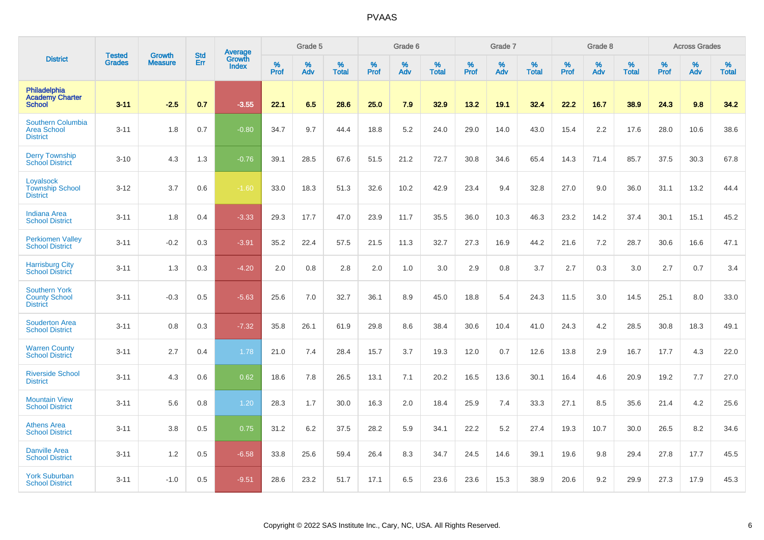|                                                                 |                                |                                 | <b>Std</b> | Average                |              | Grade 5  |                   |           | Grade 6  |                   |           | Grade 7  |                   |           | Grade 8  |                   |           | <b>Across Grades</b> |                   |
|-----------------------------------------------------------------|--------------------------------|---------------------------------|------------|------------------------|--------------|----------|-------------------|-----------|----------|-------------------|-----------|----------|-------------------|-----------|----------|-------------------|-----------|----------------------|-------------------|
| <b>District</b>                                                 | <b>Tested</b><br><b>Grades</b> | <b>Growth</b><br><b>Measure</b> | Err        | Growth<br><b>Index</b> | $\%$<br>Prof | %<br>Adv | %<br><b>Total</b> | %<br>Prof | %<br>Adv | %<br><b>Total</b> | %<br>Prof | %<br>Adv | %<br><b>Total</b> | %<br>Prof | %<br>Adv | %<br><b>Total</b> | %<br>Prof | %<br>Adv             | %<br><b>Total</b> |
| Philadelphia<br><b>Academy Charter</b><br><b>School</b>         | $3 - 11$                       | $-2.5$                          | 0.7        | $-3.55$                | 22.1         | 6.5      | 28.6              | 25.0      | 7.9      | 32.9              | 13.2      | 19.1     | 32.4              | 22.2      | 16.7     | 38.9              | 24.3      | 9.8                  | 34.2              |
| Southern Columbia<br><b>Area School</b><br><b>District</b>      | $3 - 11$                       | 1.8                             | 0.7        | $-0.80$                | 34.7         | 9.7      | 44.4              | 18.8      | $5.2\,$  | 24.0              | 29.0      | 14.0     | 43.0              | 15.4      | 2.2      | 17.6              | 28.0      | 10.6                 | 38.6              |
| <b>Derry Township</b><br><b>School District</b>                 | $3 - 10$                       | 4.3                             | 1.3        | $-0.76$                | 39.1         | 28.5     | 67.6              | 51.5      | 21.2     | 72.7              | 30.8      | 34.6     | 65.4              | 14.3      | 71.4     | 85.7              | 37.5      | 30.3                 | 67.8              |
| Loyalsock<br><b>Township School</b><br><b>District</b>          | $3 - 12$                       | 3.7                             | 0.6        | $-1.60$                | 33.0         | 18.3     | 51.3              | 32.6      | 10.2     | 42.9              | 23.4      | 9.4      | 32.8              | 27.0      | 9.0      | 36.0              | 31.1      | 13.2                 | 44.4              |
| <b>Indiana Area</b><br><b>School District</b>                   | $3 - 11$                       | 1.8                             | 0.4        | $-3.33$                | 29.3         | 17.7     | 47.0              | 23.9      | 11.7     | 35.5              | 36.0      | 10.3     | 46.3              | 23.2      | 14.2     | 37.4              | 30.1      | 15.1                 | 45.2              |
| <b>Perkiomen Valley</b><br><b>School District</b>               | $3 - 11$                       | $-0.2$                          | 0.3        | $-3.91$                | 35.2         | 22.4     | 57.5              | 21.5      | 11.3     | 32.7              | 27.3      | 16.9     | 44.2              | 21.6      | 7.2      | 28.7              | 30.6      | 16.6                 | 47.1              |
| <b>Harrisburg City</b><br><b>School District</b>                | $3 - 11$                       | 1.3                             | 0.3        | $-4.20$                | 2.0          | 0.8      | 2.8               | 2.0       | 1.0      | 3.0               | 2.9       | 0.8      | 3.7               | 2.7       | 0.3      | 3.0               | 2.7       | 0.7                  | 3.4               |
| <b>Southern York</b><br><b>County School</b><br><b>District</b> | $3 - 11$                       | $-0.3$                          | 0.5        | $-5.63$                | 25.6         | 7.0      | 32.7              | 36.1      | 8.9      | 45.0              | 18.8      | 5.4      | 24.3              | 11.5      | 3.0      | 14.5              | 25.1      | 8.0                  | 33.0              |
| <b>Souderton Area</b><br><b>School District</b>                 | $3 - 11$                       | 0.8                             | 0.3        | $-7.32$                | 35.8         | 26.1     | 61.9              | 29.8      | 8.6      | 38.4              | 30.6      | 10.4     | 41.0              | 24.3      | 4.2      | 28.5              | 30.8      | 18.3                 | 49.1              |
| <b>Warren County</b><br><b>School District</b>                  | $3 - 11$                       | 2.7                             | 0.4        | 1.78                   | 21.0         | 7.4      | 28.4              | 15.7      | 3.7      | 19.3              | 12.0      | 0.7      | 12.6              | 13.8      | 2.9      | 16.7              | 17.7      | 4.3                  | 22.0              |
| <b>Riverside School</b><br><b>District</b>                      | $3 - 11$                       | 4.3                             | 0.6        | 0.62                   | 18.6         | 7.8      | 26.5              | 13.1      | 7.1      | 20.2              | 16.5      | 13.6     | 30.1              | 16.4      | 4.6      | 20.9              | 19.2      | 7.7                  | 27.0              |
| <b>Mountain View</b><br><b>School District</b>                  | $3 - 11$                       | 5.6                             | 0.8        | 1.20                   | 28.3         | 1.7      | 30.0              | 16.3      | 2.0      | 18.4              | 25.9      | 7.4      | 33.3              | 27.1      | 8.5      | 35.6              | 21.4      | 4.2                  | 25.6              |
| <b>Athens Area</b><br><b>School District</b>                    | $3 - 11$                       | 3.8                             | 0.5        | 0.75                   | 31.2         | 6.2      | 37.5              | 28.2      | 5.9      | 34.1              | 22.2      | 5.2      | 27.4              | 19.3      | 10.7     | 30.0              | 26.5      | 8.2                  | 34.6              |
| <b>Danville Area</b><br><b>School District</b>                  | $3 - 11$                       | 1.2                             | 0.5        | $-6.58$                | 33.8         | 25.6     | 59.4              | 26.4      | 8.3      | 34.7              | 24.5      | 14.6     | 39.1              | 19.6      | 9.8      | 29.4              | 27.8      | 17.7                 | 45.5              |
| <b>York Suburban</b><br><b>School District</b>                  | $3 - 11$                       | $-1.0$                          | 0.5        | $-9.51$                | 28.6         | 23.2     | 51.7              | 17.1      | 6.5      | 23.6              | 23.6      | 15.3     | 38.9              | 20.6      | 9.2      | 29.9              | 27.3      | 17.9                 | 45.3              |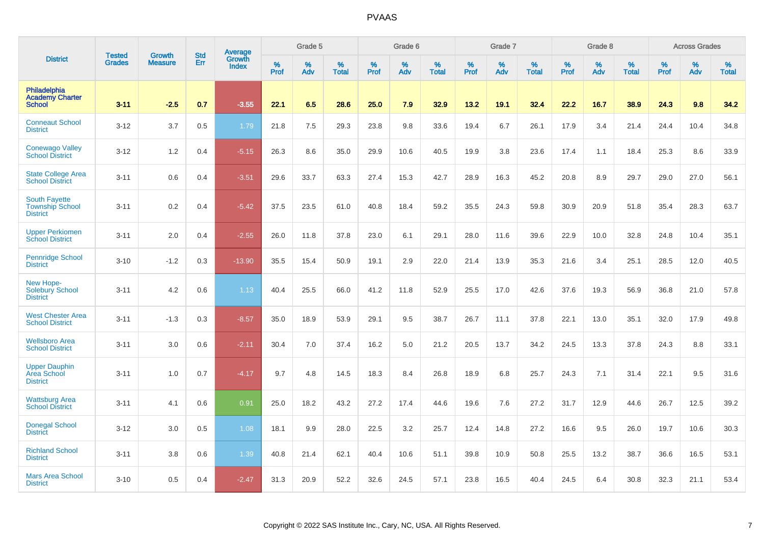|                                                                   | <b>Tested</b> | <b>Growth</b>  | <b>Std</b> | Average                |                     | Grade 5  |                   |                  | Grade 6  |                   |                  | Grade 7  |                   |           | Grade 8  |                   |              | <b>Across Grades</b> |                   |
|-------------------------------------------------------------------|---------------|----------------|------------|------------------------|---------------------|----------|-------------------|------------------|----------|-------------------|------------------|----------|-------------------|-----------|----------|-------------------|--------------|----------------------|-------------------|
| <b>District</b>                                                   | <b>Grades</b> | <b>Measure</b> | Err        | Growth<br><b>Index</b> | $\%$<br><b>Prof</b> | %<br>Adv | %<br><b>Total</b> | %<br><b>Prof</b> | %<br>Adv | %<br><b>Total</b> | %<br><b>Prof</b> | %<br>Adv | %<br><b>Total</b> | %<br>Prof | %<br>Adv | %<br><b>Total</b> | $\%$<br>Prof | %<br>Adv             | %<br><b>Total</b> |
| Philadelphia<br><b>Academy Charter</b><br><b>School</b>           | $3 - 11$      | $-2.5$         | 0.7        | $-3.55$                | 22.1                | 6.5      | 28.6              | 25.0             | 7.9      | 32.9              | 13.2             | 19.1     | 32.4              | 22.2      | 16.7     | 38.9              | 24.3         | 9.8                  | 34.2              |
| <b>Conneaut School</b><br><b>District</b>                         | $3 - 12$      | 3.7            | 0.5        | 1.79                   | 21.8                | 7.5      | 29.3              | 23.8             | 9.8      | 33.6              | 19.4             | 6.7      | 26.1              | 17.9      | 3.4      | 21.4              | 24.4         | 10.4                 | 34.8              |
| <b>Conewago Valley</b><br><b>School District</b>                  | $3 - 12$      | 1.2            | 0.4        | $-5.15$                | 26.3                | 8.6      | 35.0              | 29.9             | 10.6     | 40.5              | 19.9             | 3.8      | 23.6              | 17.4      | 1.1      | 18.4              | 25.3         | 8.6                  | 33.9              |
| State College Area<br><b>School District</b>                      | $3 - 11$      | 0.6            | 0.4        | $-3.51$                | 29.6                | 33.7     | 63.3              | 27.4             | 15.3     | 42.7              | 28.9             | 16.3     | 45.2              | 20.8      | 8.9      | 29.7              | 29.0         | 27.0                 | 56.1              |
| <b>South Fayette</b><br><b>Township School</b><br><b>District</b> | $3 - 11$      | 0.2            | 0.4        | $-5.42$                | 37.5                | 23.5     | 61.0              | 40.8             | 18.4     | 59.2              | 35.5             | 24.3     | 59.8              | 30.9      | 20.9     | 51.8              | 35.4         | 28.3                 | 63.7              |
| <b>Upper Perkiomen</b><br><b>School District</b>                  | $3 - 11$      | 2.0            | 0.4        | $-2.55$                | 26.0                | 11.8     | 37.8              | 23.0             | 6.1      | 29.1              | 28.0             | 11.6     | 39.6              | 22.9      | 10.0     | 32.8              | 24.8         | 10.4                 | 35.1              |
| <b>Pennridge School</b><br><b>District</b>                        | $3 - 10$      | $-1.2$         | 0.3        | $-13.90$               | 35.5                | 15.4     | 50.9              | 19.1             | 2.9      | 22.0              | 21.4             | 13.9     | 35.3              | 21.6      | 3.4      | 25.1              | 28.5         | 12.0                 | 40.5              |
| New Hope-<br>Solebury School<br><b>District</b>                   | $3 - 11$      | 4.2            | 0.6        | 1.13                   | 40.4                | 25.5     | 66.0              | 41.2             | 11.8     | 52.9              | 25.5             | 17.0     | 42.6              | 37.6      | 19.3     | 56.9              | 36.8         | 21.0                 | 57.8              |
| <b>West Chester Area</b><br><b>School District</b>                | $3 - 11$      | $-1.3$         | 0.3        | $-8.57$                | 35.0                | 18.9     | 53.9              | 29.1             | 9.5      | 38.7              | 26.7             | 11.1     | 37.8              | 22.1      | 13.0     | 35.1              | 32.0         | 17.9                 | 49.8              |
| <b>Wellsboro Area</b><br><b>School District</b>                   | $3 - 11$      | 3.0            | 0.6        | $-2.11$                | 30.4                | 7.0      | 37.4              | 16.2             | 5.0      | 21.2              | 20.5             | 13.7     | 34.2              | 24.5      | 13.3     | 37.8              | 24.3         | 8.8                  | 33.1              |
| <b>Upper Dauphin</b><br>Area School<br><b>District</b>            | $3 - 11$      | 1.0            | 0.7        | $-4.17$                | 9.7                 | 4.8      | 14.5              | 18.3             | 8.4      | 26.8              | 18.9             | 6.8      | 25.7              | 24.3      | 7.1      | 31.4              | 22.1         | 9.5                  | 31.6              |
| <b>Wattsburg Area</b><br><b>School District</b>                   | $3 - 11$      | 4.1            | 0.6        | 0.91                   | 25.0                | 18.2     | 43.2              | 27.2             | 17.4     | 44.6              | 19.6             | 7.6      | 27.2              | 31.7      | 12.9     | 44.6              | 26.7         | 12.5                 | 39.2              |
| <b>Donegal School</b><br><b>District</b>                          | $3 - 12$      | 3.0            | 0.5        | 1.08                   | 18.1                | 9.9      | 28.0              | 22.5             | 3.2      | 25.7              | 12.4             | 14.8     | 27.2              | 16.6      | 9.5      | 26.0              | 19.7         | 10.6                 | 30.3              |
| <b>Richland School</b><br><b>District</b>                         | $3 - 11$      | 3.8            | 0.6        | 1.39                   | 40.8                | 21.4     | 62.1              | 40.4             | 10.6     | 51.1              | 39.8             | 10.9     | 50.8              | 25.5      | 13.2     | 38.7              | 36.6         | 16.5                 | 53.1              |
| <b>Mars Area School</b><br><b>District</b>                        | $3 - 10$      | 0.5            | 0.4        | $-2.47$                | 31.3                | 20.9     | 52.2              | 32.6             | 24.5     | 57.1              | 23.8             | 16.5     | 40.4              | 24.5      | 6.4      | 30.8              | 32.3         | 21.1                 | 53.4              |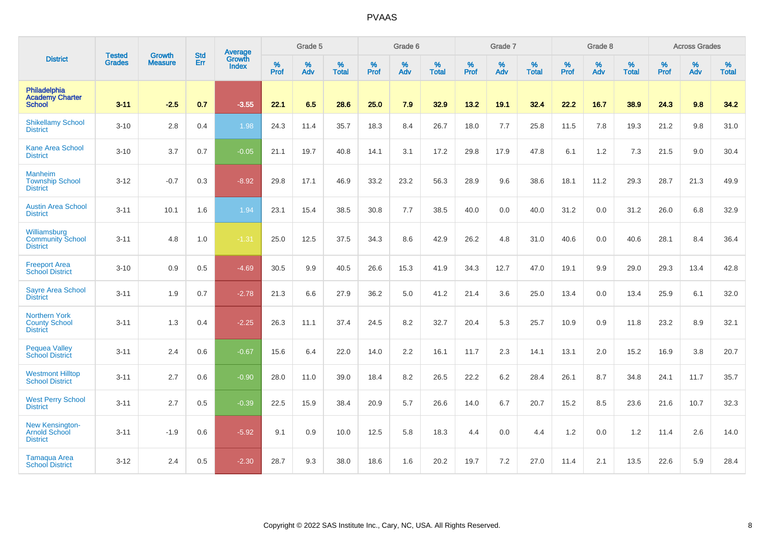|                                                                 | <b>Tested</b> | <b>Growth</b>  | <b>Std</b> | Average                |                     | Grade 5  |                      |                     | Grade 6  |                   |                     | Grade 7  |                   |                     | Grade 8     |                      |                     | <b>Across Grades</b> |                   |
|-----------------------------------------------------------------|---------------|----------------|------------|------------------------|---------------------|----------|----------------------|---------------------|----------|-------------------|---------------------|----------|-------------------|---------------------|-------------|----------------------|---------------------|----------------------|-------------------|
| <b>District</b>                                                 | <b>Grades</b> | <b>Measure</b> | Err        | Growth<br><b>Index</b> | $\%$<br><b>Prof</b> | %<br>Adv | $\%$<br><b>Total</b> | $\%$<br><b>Prof</b> | %<br>Adv | %<br><b>Total</b> | $\%$<br><b>Prof</b> | %<br>Adv | %<br><b>Total</b> | $\%$<br><b>Prof</b> | $\%$<br>Adv | $\%$<br><b>Total</b> | $\%$<br><b>Prof</b> | $\%$<br>Adv          | %<br><b>Total</b> |
| Philadelphia<br><b>Academy Charter</b><br><b>School</b>         | $3 - 11$      | $-2.5$         | 0.7        | $-3.55$                | 22.1                | 6.5      | 28.6                 | 25.0                | 7.9      | 32.9              | 13.2                | 19.1     | 32.4              | 22.2                | 16.7        | 38.9                 | 24.3                | 9.8                  | 34.2              |
| <b>Shikellamy School</b><br><b>District</b>                     | $3 - 10$      | 2.8            | 0.4        | 1.98                   | 24.3                | 11.4     | 35.7                 | 18.3                | 8.4      | 26.7              | 18.0                | 7.7      | 25.8              | 11.5                | 7.8         | 19.3                 | 21.2                | 9.8                  | 31.0              |
| <b>Kane Area School</b><br><b>District</b>                      | $3 - 10$      | 3.7            | 0.7        | $-0.05$                | 21.1                | 19.7     | 40.8                 | 14.1                | 3.1      | 17.2              | 29.8                | 17.9     | 47.8              | 6.1                 | 1.2         | 7.3                  | 21.5                | 9.0                  | 30.4              |
| <b>Manheim</b><br><b>Township School</b><br><b>District</b>     | $3 - 12$      | $-0.7$         | 0.3        | $-8.92$                | 29.8                | 17.1     | 46.9                 | 33.2                | 23.2     | 56.3              | 28.9                | 9.6      | 38.6              | 18.1                | 11.2        | 29.3                 | 28.7                | 21.3                 | 49.9              |
| <b>Austin Area School</b><br><b>District</b>                    | $3 - 11$      | 10.1           | 1.6        | 1.94                   | 23.1                | 15.4     | 38.5                 | 30.8                | 7.7      | 38.5              | 40.0                | 0.0      | 40.0              | 31.2                | 0.0         | 31.2                 | 26.0                | 6.8                  | 32.9              |
| Williamsburg<br><b>Community School</b><br><b>District</b>      | $3 - 11$      | 4.8            | 1.0        | $-1.31$                | 25.0                | 12.5     | 37.5                 | 34.3                | 8.6      | 42.9              | 26.2                | 4.8      | 31.0              | 40.6                | 0.0         | 40.6                 | 28.1                | 8.4                  | 36.4              |
| <b>Freeport Area</b><br><b>School District</b>                  | $3 - 10$      | 0.9            | 0.5        | $-4.69$                | 30.5                | 9.9      | 40.5                 | 26.6                | 15.3     | 41.9              | 34.3                | 12.7     | 47.0              | 19.1                | 9.9         | 29.0                 | 29.3                | 13.4                 | 42.8              |
| <b>Sayre Area School</b><br><b>District</b>                     | $3 - 11$      | 1.9            | 0.7        | $-2.78$                | 21.3                | 6.6      | 27.9                 | 36.2                | 5.0      | 41.2              | 21.4                | 3.6      | 25.0              | 13.4                | 0.0         | 13.4                 | 25.9                | 6.1                  | 32.0              |
| <b>Northern York</b><br><b>County School</b><br><b>District</b> | $3 - 11$      | 1.3            | 0.4        | $-2.25$                | 26.3                | 11.1     | 37.4                 | 24.5                | 8.2      | 32.7              | 20.4                | 5.3      | 25.7              | 10.9                | 0.9         | 11.8                 | 23.2                | 8.9                  | 32.1              |
| <b>Pequea Valley</b><br><b>School District</b>                  | $3 - 11$      | 2.4            | 0.6        | $-0.67$                | 15.6                | 6.4      | 22.0                 | 14.0                | $2.2\,$  | 16.1              | 11.7                | 2.3      | 14.1              | 13.1                | 2.0         | 15.2                 | 16.9                | 3.8                  | 20.7              |
| <b>Westmont Hilltop</b><br><b>School District</b>               | $3 - 11$      | 2.7            | 0.6        | $-0.90$                | 28.0                | 11.0     | 39.0                 | 18.4                | 8.2      | 26.5              | 22.2                | 6.2      | 28.4              | 26.1                | 8.7         | 34.8                 | 24.1                | 11.7                 | 35.7              |
| <b>West Perry School</b><br><b>District</b>                     | $3 - 11$      | 2.7            | 0.5        | $-0.39$                | 22.5                | 15.9     | 38.4                 | 20.9                | 5.7      | 26.6              | 14.0                | 6.7      | 20.7              | 15.2                | 8.5         | 23.6                 | 21.6                | 10.7                 | 32.3              |
| New Kensington-<br><b>Arnold School</b><br><b>District</b>      | $3 - 11$      | $-1.9$         | 0.6        | $-5.92$                | 9.1                 | 0.9      | 10.0                 | 12.5                | 5.8      | 18.3              | 4.4                 | 0.0      | 4.4               | 1.2                 | 0.0         | 1.2                  | 11.4                | 2.6                  | 14.0              |
| <b>Tamaqua Area</b><br><b>School District</b>                   | $3 - 12$      | 2.4            | 0.5        | $-2.30$                | 28.7                | 9.3      | 38.0                 | 18.6                | 1.6      | 20.2              | 19.7                | 7.2      | 27.0              | 11.4                | 2.1         | 13.5                 | 22.6                | 5.9                  | 28.4              |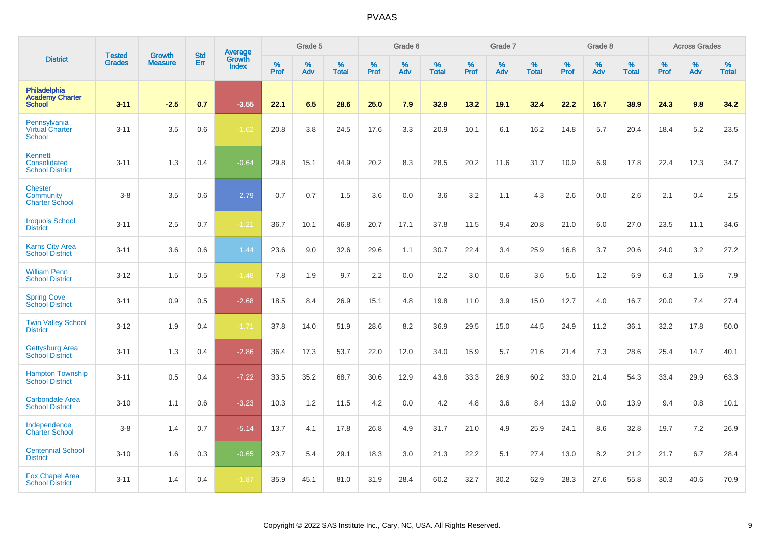|                                                         | <b>Tested</b> | <b>Growth</b>  | <b>Std</b> | Average                       |              | Grade 5  |                   |           | Grade 6  |                   |           | Grade 7  |                   |           | Grade 8  |                   |           | <b>Across Grades</b> |                   |
|---------------------------------------------------------|---------------|----------------|------------|-------------------------------|--------------|----------|-------------------|-----------|----------|-------------------|-----------|----------|-------------------|-----------|----------|-------------------|-----------|----------------------|-------------------|
| <b>District</b>                                         | <b>Grades</b> | <b>Measure</b> | Err        | <b>Growth</b><br><b>Index</b> | $\%$<br>Prof | %<br>Adv | %<br><b>Total</b> | %<br>Prof | %<br>Adv | %<br><b>Total</b> | %<br>Prof | %<br>Adv | %<br><b>Total</b> | %<br>Prof | %<br>Adv | %<br><b>Total</b> | %<br>Prof | %<br>Adv             | %<br><b>Total</b> |
| Philadelphia<br><b>Academy Charter</b><br><b>School</b> | $3 - 11$      | $-2.5$         | 0.7        | $-3.55$                       | 22.1         | 6.5      | 28.6              | 25.0      | 7.9      | 32.9              | 13.2      | 19.1     | 32.4              | 22.2      | 16.7     | 38.9              | 24.3      | 9.8                  | 34.2              |
| Pennsylvania<br>Virtual Charter<br><b>School</b>        | $3 - 11$      | 3.5            | 0.6        | $-1.62$                       | 20.8         | 3.8      | 24.5              | 17.6      | 3.3      | 20.9              | 10.1      | 6.1      | 16.2              | 14.8      | 5.7      | 20.4              | 18.4      | 5.2                  | 23.5              |
| Kennett<br>Consolidated<br><b>School District</b>       | $3 - 11$      | 1.3            | 0.4        | $-0.64$                       | 29.8         | 15.1     | 44.9              | 20.2      | 8.3      | 28.5              | 20.2      | 11.6     | 31.7              | 10.9      | 6.9      | 17.8              | 22.4      | 12.3                 | 34.7              |
| <b>Chester</b><br>Community<br><b>Charter School</b>    | $3-8$         | 3.5            | 0.6        | 2.79                          | 0.7          | 0.7      | 1.5               | 3.6       | 0.0      | 3.6               | 3.2       | 1.1      | 4.3               | 2.6       | 0.0      | 2.6               | 2.1       | 0.4                  | 2.5               |
| <b>Iroquois School</b><br><b>District</b>               | $3 - 11$      | 2.5            | 0.7        | $-1.21$                       | 36.7         | 10.1     | 46.8              | 20.7      | 17.1     | 37.8              | 11.5      | 9.4      | 20.8              | 21.0      | 6.0      | 27.0              | 23.5      | 11.1                 | 34.6              |
| <b>Karns City Area</b><br><b>School District</b>        | $3 - 11$      | 3.6            | 0.6        | 1.44                          | 23.6         | 9.0      | 32.6              | 29.6      | 1.1      | 30.7              | 22.4      | 3.4      | 25.9              | 16.8      | 3.7      | 20.6              | 24.0      | 3.2                  | 27.2              |
| <b>William Penn</b><br><b>School District</b>           | $3 - 12$      | 1.5            | 0.5        | $-1.48$                       | 7.8          | 1.9      | 9.7               | 2.2       | 0.0      | 2.2               | 3.0       | 0.6      | 3.6               | 5.6       | 1.2      | 6.9               | 6.3       | 1.6                  | 7.9               |
| <b>Spring Cove</b><br><b>School District</b>            | $3 - 11$      | 0.9            | 0.5        | $-2.68$                       | 18.5         | 8.4      | 26.9              | 15.1      | 4.8      | 19.8              | 11.0      | 3.9      | 15.0              | 12.7      | 4.0      | 16.7              | 20.0      | 7.4                  | 27.4              |
| <b>Twin Valley School</b><br><b>District</b>            | $3 - 12$      | 1.9            | 0.4        | $-1.71$                       | 37.8         | 14.0     | 51.9              | 28.6      | 8.2      | 36.9              | 29.5      | 15.0     | 44.5              | 24.9      | 11.2     | 36.1              | 32.2      | 17.8                 | 50.0              |
| <b>Gettysburg Area</b><br><b>School District</b>        | $3 - 11$      | 1.3            | 0.4        | $-2.86$                       | 36.4         | 17.3     | 53.7              | 22.0      | 12.0     | 34.0              | 15.9      | 5.7      | 21.6              | 21.4      | 7.3      | 28.6              | 25.4      | 14.7                 | 40.1              |
| <b>Hampton Township</b><br><b>School District</b>       | $3 - 11$      | 0.5            | 0.4        | $-7.22$                       | 33.5         | 35.2     | 68.7              | 30.6      | 12.9     | 43.6              | 33.3      | 26.9     | 60.2              | 33.0      | 21.4     | 54.3              | 33.4      | 29.9                 | 63.3              |
| <b>Carbondale Area</b><br><b>School District</b>        | $3 - 10$      | 1.1            | 0.6        | $-3.23$                       | 10.3         | 1.2      | 11.5              | 4.2       | 0.0      | 4.2               | 4.8       | 3.6      | 8.4               | 13.9      | 0.0      | 13.9              | 9.4       | 0.8                  | 10.1              |
| Independence<br><b>Charter School</b>                   | $3-8$         | 1.4            | 0.7        | $-5.14$                       | 13.7         | 4.1      | 17.8              | 26.8      | 4.9      | 31.7              | 21.0      | 4.9      | 25.9              | 24.1      | 8.6      | 32.8              | 19.7      | 7.2                  | 26.9              |
| <b>Centennial School</b><br><b>District</b>             | $3 - 10$      | 1.6            | 0.3        | $-0.65$                       | 23.7         | 5.4      | 29.1              | 18.3      | 3.0      | 21.3              | 22.2      | 5.1      | 27.4              | 13.0      | 8.2      | 21.2              | 21.7      | 6.7                  | 28.4              |
| <b>Fox Chapel Area</b><br><b>School District</b>        | $3 - 11$      | 1.4            | 0.4        | $-1.87$                       | 35.9         | 45.1     | 81.0              | 31.9      | 28.4     | 60.2              | 32.7      | 30.2     | 62.9              | 28.3      | 27.6     | 55.8              | 30.3      | 40.6                 | 70.9              |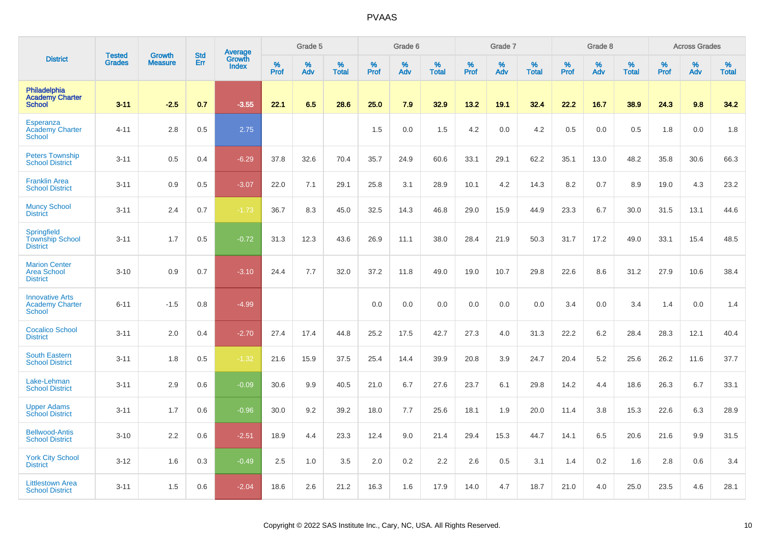|                                                                   | <b>Tested</b> | <b>Growth</b>  | <b>Std</b> | Average<br>Growth |           | Grade 5  |                   |           | Grade 6  |                   |           | Grade 7  |                   |           | Grade 8  |                   |           | <b>Across Grades</b> |                   |
|-------------------------------------------------------------------|---------------|----------------|------------|-------------------|-----------|----------|-------------------|-----------|----------|-------------------|-----------|----------|-------------------|-----------|----------|-------------------|-----------|----------------------|-------------------|
| <b>District</b>                                                   | <b>Grades</b> | <b>Measure</b> | Err        | <b>Index</b>      | %<br>Prof | %<br>Adv | %<br><b>Total</b> | %<br>Prof | %<br>Adv | %<br><b>Total</b> | %<br>Prof | %<br>Adv | %<br><b>Total</b> | %<br>Prof | %<br>Adv | %<br><b>Total</b> | %<br>Prof | %<br>Adv             | %<br><b>Total</b> |
| Philadelphia<br><b>Academy Charter</b><br><b>School</b>           | $3 - 11$      | $-2.5$         | 0.7        | $-3.55$           | 22.1      | 6.5      | 28.6              | 25.0      | 7.9      | 32.9              | 13.2      | 19.1     | 32.4              | 22.2      | 16.7     | 38.9              | 24.3      | 9.8                  | 34.2              |
| Esperanza<br><b>Academy Charter</b><br><b>School</b>              | $4 - 11$      | 2.8            | 0.5        | 2.75              |           |          |                   | 1.5       | 0.0      | 1.5               | 4.2       | 0.0      | 4.2               | 0.5       | 0.0      | 0.5               | 1.8       | 0.0                  | 1.8               |
| <b>Peters Township</b><br><b>School District</b>                  | $3 - 11$      | 0.5            | 0.4        | $-6.29$           | 37.8      | 32.6     | 70.4              | 35.7      | 24.9     | 60.6              | 33.1      | 29.1     | 62.2              | 35.1      | 13.0     | 48.2              | 35.8      | 30.6                 | 66.3              |
| <b>Franklin Area</b><br><b>School District</b>                    | $3 - 11$      | 0.9            | 0.5        | $-3.07$           | 22.0      | 7.1      | 29.1              | 25.8      | 3.1      | 28.9              | 10.1      | 4.2      | 14.3              | 8.2       | 0.7      | 8.9               | 19.0      | 4.3                  | 23.2              |
| <b>Muncy School</b><br><b>District</b>                            | $3 - 11$      | 2.4            | 0.7        | $-1.73$           | 36.7      | 8.3      | 45.0              | 32.5      | 14.3     | 46.8              | 29.0      | 15.9     | 44.9              | 23.3      | 6.7      | 30.0              | 31.5      | 13.1                 | 44.6              |
| Springfield<br><b>Township School</b><br><b>District</b>          | $3 - 11$      | 1.7            | 0.5        | $-0.72$           | 31.3      | 12.3     | 43.6              | 26.9      | 11.1     | 38.0              | 28.4      | 21.9     | 50.3              | 31.7      | 17.2     | 49.0              | 33.1      | 15.4                 | 48.5              |
| <b>Marion Center</b><br><b>Area School</b><br><b>District</b>     | $3 - 10$      | 0.9            | 0.7        | $-3.10$           | 24.4      | 7.7      | 32.0              | 37.2      | 11.8     | 49.0              | 19.0      | 10.7     | 29.8              | 22.6      | 8.6      | 31.2              | 27.9      | 10.6                 | 38.4              |
| <b>Innovative Arts</b><br><b>Academy Charter</b><br><b>School</b> | $6 - 11$      | $-1.5$         | 0.8        | $-4.99$           |           |          |                   | 0.0       | 0.0      | 0.0               | 0.0       | 0.0      | 0.0               | 3.4       | 0.0      | 3.4               | 1.4       | 0.0                  | 1.4               |
| <b>Cocalico School</b><br><b>District</b>                         | $3 - 11$      | 2.0            | 0.4        | $-2.70$           | 27.4      | 17.4     | 44.8              | 25.2      | 17.5     | 42.7              | 27.3      | 4.0      | 31.3              | 22.2      | 6.2      | 28.4              | 28.3      | 12.1                 | 40.4              |
| <b>South Eastern</b><br><b>School District</b>                    | $3 - 11$      | 1.8            | 0.5        | $-1.32$           | 21.6      | 15.9     | 37.5              | 25.4      | 14.4     | 39.9              | 20.8      | 3.9      | 24.7              | 20.4      | 5.2      | 25.6              | 26.2      | 11.6                 | 37.7              |
| Lake-Lehman<br><b>School District</b>                             | $3 - 11$      | 2.9            | 0.6        | $-0.09$           | 30.6      | 9.9      | 40.5              | 21.0      | 6.7      | 27.6              | 23.7      | 6.1      | 29.8              | 14.2      | 4.4      | 18.6              | 26.3      | 6.7                  | 33.1              |
| <b>Upper Adams</b><br><b>School District</b>                      | $3 - 11$      | 1.7            | 0.6        | $-0.96$           | 30.0      | 9.2      | 39.2              | 18.0      | 7.7      | 25.6              | 18.1      | 1.9      | 20.0              | 11.4      | 3.8      | 15.3              | 22.6      | 6.3                  | 28.9              |
| <b>Bellwood-Antis</b><br><b>School District</b>                   | $3 - 10$      | 2.2            | 0.6        | $-2.51$           | 18.9      | 4.4      | 23.3              | 12.4      | 9.0      | 21.4              | 29.4      | 15.3     | 44.7              | 14.1      | 6.5      | 20.6              | 21.6      | 9.9                  | 31.5              |
| <b>York City School</b><br><b>District</b>                        | $3 - 12$      | 1.6            | 0.3        | $-0.49$           | 2.5       | 1.0      | 3.5               | 2.0       | 0.2      | 2.2               | 2.6       | 0.5      | 3.1               | 1.4       | 0.2      | 1.6               | 2.8       | 0.6                  | 3.4               |
| <b>Littlestown Area</b><br><b>School District</b>                 | $3 - 11$      | 1.5            | 0.6        | $-2.04$           | 18.6      | 2.6      | 21.2              | 16.3      | 1.6      | 17.9              | 14.0      | 4.7      | 18.7              | 21.0      | 4.0      | 25.0              | 23.5      | 4.6                  | 28.1              |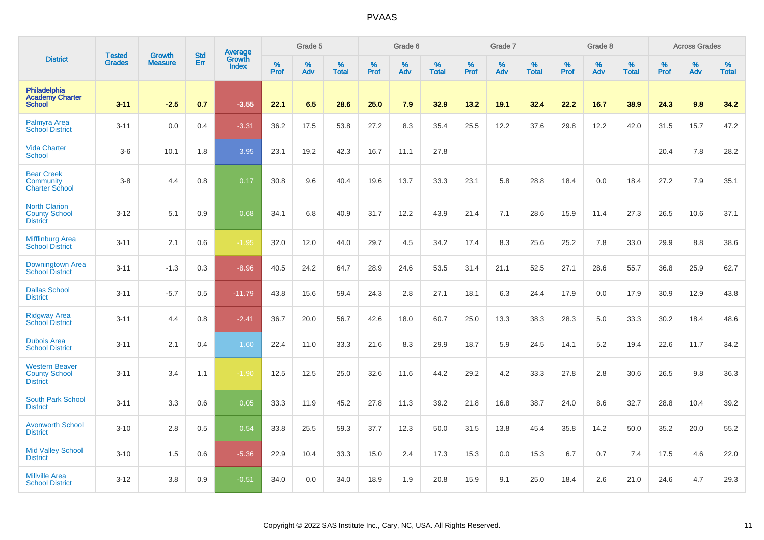|                                                                  |                                |                                 | <b>Std</b> | Average                |              | Grade 5  |                   |           | Grade 6  |                   |           | Grade 7  |                   |           | Grade 8  |                   |           | <b>Across Grades</b> |                   |
|------------------------------------------------------------------|--------------------------------|---------------------------------|------------|------------------------|--------------|----------|-------------------|-----------|----------|-------------------|-----------|----------|-------------------|-----------|----------|-------------------|-----------|----------------------|-------------------|
| <b>District</b>                                                  | <b>Tested</b><br><b>Grades</b> | <b>Growth</b><br><b>Measure</b> | Err        | Growth<br><b>Index</b> | $\%$<br>Prof | %<br>Adv | %<br><b>Total</b> | %<br>Prof | %<br>Adv | %<br><b>Total</b> | %<br>Prof | %<br>Adv | %<br><b>Total</b> | %<br>Prof | %<br>Adv | %<br><b>Total</b> | %<br>Prof | %<br>Adv             | %<br><b>Total</b> |
| Philadelphia<br><b>Academy Charter</b><br><b>School</b>          | $3 - 11$                       | $-2.5$                          | 0.7        | $-3.55$                | 22.1         | 6.5      | 28.6              | 25.0      | 7.9      | 32.9              | 13.2      | 19.1     | 32.4              | 22.2      | 16.7     | 38.9              | 24.3      | 9.8                  | 34.2              |
| Palmyra Area<br><b>School District</b>                           | $3 - 11$                       | 0.0                             | 0.4        | $-3.31$                | 36.2         | 17.5     | 53.8              | 27.2      | 8.3      | 35.4              | 25.5      | 12.2     | 37.6              | 29.8      | 12.2     | 42.0              | 31.5      | 15.7                 | 47.2              |
| <b>Vida Charter</b><br><b>School</b>                             | $3-6$                          | 10.1                            | 1.8        | 3.95                   | 23.1         | 19.2     | 42.3              | 16.7      | 11.1     | 27.8              |           |          |                   |           |          |                   | 20.4      | 7.8                  | 28.2              |
| <b>Bear Creek</b><br>Community<br><b>Charter School</b>          | $3-8$                          | 4.4                             | 0.8        | 0.17                   | 30.8         | 9.6      | 40.4              | 19.6      | 13.7     | 33.3              | 23.1      | 5.8      | 28.8              | 18.4      | 0.0      | 18.4              | 27.2      | 7.9                  | 35.1              |
| <b>North Clarion</b><br><b>County School</b><br><b>District</b>  | $3 - 12$                       | 5.1                             | 0.9        | 0.68                   | 34.1         | 6.8      | 40.9              | 31.7      | 12.2     | 43.9              | 21.4      | 7.1      | 28.6              | 15.9      | 11.4     | 27.3              | 26.5      | 10.6                 | 37.1              |
| Mifflinburg Area<br><b>School District</b>                       | $3 - 11$                       | 2.1                             | 0.6        | $-1.95$                | 32.0         | 12.0     | 44.0              | 29.7      | 4.5      | 34.2              | 17.4      | 8.3      | 25.6              | 25.2      | 7.8      | 33.0              | 29.9      | 8.8                  | 38.6              |
| <b>Downingtown Area</b><br><b>School District</b>                | $3 - 11$                       | $-1.3$                          | 0.3        | $-8.96$                | 40.5         | 24.2     | 64.7              | 28.9      | 24.6     | 53.5              | 31.4      | 21.1     | 52.5              | 27.1      | 28.6     | 55.7              | 36.8      | 25.9                 | 62.7              |
| <b>Dallas School</b><br><b>District</b>                          | $3 - 11$                       | $-5.7$                          | 0.5        | $-11.79$               | 43.8         | 15.6     | 59.4              | 24.3      | 2.8      | 27.1              | 18.1      | 6.3      | 24.4              | 17.9      | 0.0      | 17.9              | 30.9      | 12.9                 | 43.8              |
| <b>Ridgway Area</b><br><b>School District</b>                    | $3 - 11$                       | 4.4                             | 0.8        | $-2.41$                | 36.7         | 20.0     | 56.7              | 42.6      | 18.0     | 60.7              | 25.0      | 13.3     | 38.3              | 28.3      | 5.0      | 33.3              | 30.2      | 18.4                 | 48.6              |
| <b>Dubois Area</b><br><b>School District</b>                     | $3 - 11$                       | 2.1                             | 0.4        | 1.60                   | 22.4         | 11.0     | 33.3              | 21.6      | 8.3      | 29.9              | 18.7      | 5.9      | 24.5              | 14.1      | 5.2      | 19.4              | 22.6      | 11.7                 | 34.2              |
| <b>Western Beaver</b><br><b>County School</b><br><b>District</b> | $3 - 11$                       | 3.4                             | 1.1        | $-1.90$                | 12.5         | 12.5     | 25.0              | 32.6      | 11.6     | 44.2              | 29.2      | 4.2      | 33.3              | 27.8      | 2.8      | 30.6              | 26.5      | 9.8                  | 36.3              |
| South Park School<br><b>District</b>                             | $3 - 11$                       | 3.3                             | 0.6        | 0.05                   | 33.3         | 11.9     | 45.2              | 27.8      | 11.3     | 39.2              | 21.8      | 16.8     | 38.7              | 24.0      | 8.6      | 32.7              | 28.8      | 10.4                 | 39.2              |
| <b>Avonworth School</b><br><b>District</b>                       | $3 - 10$                       | 2.8                             | 0.5        | 0.54                   | 33.8         | 25.5     | 59.3              | 37.7      | 12.3     | 50.0              | 31.5      | 13.8     | 45.4              | 35.8      | 14.2     | 50.0              | 35.2      | 20.0                 | 55.2              |
| <b>Mid Valley School</b><br><b>District</b>                      | $3 - 10$                       | 1.5                             | 0.6        | $-5.36$                | 22.9         | 10.4     | 33.3              | 15.0      | 2.4      | 17.3              | 15.3      | 0.0      | 15.3              | 6.7       | 0.7      | 7.4               | 17.5      | 4.6                  | 22.0              |
| <b>Millville Area</b><br><b>School District</b>                  | $3 - 12$                       | 3.8                             | 0.9        | $-0.51$                | 34.0         | 0.0      | 34.0              | 18.9      | 1.9      | 20.8              | 15.9      | 9.1      | 25.0              | 18.4      | 2.6      | 21.0              | 24.6      | 4.7                  | 29.3              |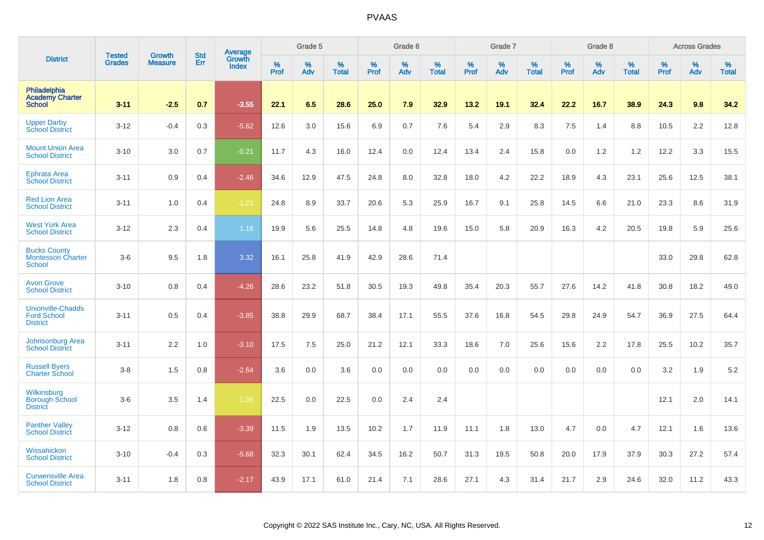|                                                                   | <b>Tested</b> | <b>Growth</b>  | <b>Std</b> | <b>Average</b><br>Growth |                     | Grade 5  |                   |           | Grade 6  |                   |                  | Grade 7  |                   |                  | Grade 8     |                   |                  | <b>Across Grades</b> |                   |
|-------------------------------------------------------------------|---------------|----------------|------------|--------------------------|---------------------|----------|-------------------|-----------|----------|-------------------|------------------|----------|-------------------|------------------|-------------|-------------------|------------------|----------------------|-------------------|
| <b>District</b>                                                   | <b>Grades</b> | <b>Measure</b> | Err        | <b>Index</b>             | $\%$<br><b>Prof</b> | %<br>Adv | %<br><b>Total</b> | %<br>Prof | %<br>Adv | %<br><b>Total</b> | %<br><b>Prof</b> | %<br>Adv | %<br><b>Total</b> | %<br><b>Prof</b> | $\%$<br>Adv | %<br><b>Total</b> | %<br><b>Prof</b> | %<br>Adv             | %<br><b>Total</b> |
| Philadelphia<br><b>Academy Charter</b><br><b>School</b>           | $3 - 11$      | $-2.5$         | 0.7        | $-3.55$                  | 22.1                | 6.5      | 28.6              | 25.0      | 7.9      | 32.9              | 13.2             | 19.1     | 32.4              | 22.2             | 16.7        | 38.9              | 24.3             | 9.8                  | 34.2              |
| <b>Upper Darby</b><br><b>School District</b>                      | $3 - 12$      | $-0.4$         | 0.3        | $-5.62$                  | 12.6                | 3.0      | 15.6              | 6.9       | 0.7      | 7.6               | 5.4              | 2.9      | 8.3               | 7.5              | 1.4         | 8.8               | 10.5             | 2.2                  | 12.8              |
| <b>Mount Union Area</b><br><b>School District</b>                 | $3 - 10$      | 3.0            | 0.7        | $-0.21$                  | 11.7                | 4.3      | 16.0              | 12.4      | 0.0      | 12.4              | 13.4             | 2.4      | 15.8              | 0.0              | 1.2         | 1.2               | 12.2             | 3.3                  | 15.5              |
| <b>Ephrata Area</b><br><b>School District</b>                     | $3 - 11$      | 0.9            | 0.4        | $-2.46$                  | 34.6                | 12.9     | 47.5              | 24.8      | 8.0      | 32.8              | 18.0             | 4.2      | 22.2              | 18.9             | 4.3         | 23.1              | 25.6             | 12.5                 | 38.1              |
| <b>Red Lion Area</b><br><b>School District</b>                    | $3 - 11$      | 1.0            | 0.4        | $-1.21$                  | 24.8                | 8.9      | 33.7              | 20.6      | 5.3      | 25.9              | 16.7             | 9.1      | 25.8              | 14.5             | 6.6         | 21.0              | 23.3             | 8.6                  | 31.9              |
| <b>West York Area</b><br><b>School District</b>                   | $3 - 12$      | 2.3            | 0.4        | 1.16                     | 19.9                | 5.6      | 25.5              | 14.8      | 4.8      | 19.6              | 15.0             | 5.8      | 20.9              | 16.3             | 4.2         | 20.5              | 19.8             | 5.9                  | 25.6              |
| <b>Bucks County</b><br><b>Montessori Charter</b><br><b>School</b> | $3-6$         | 9.5            | 1.8        | 3.32                     | 16.1                | 25.8     | 41.9              | 42.9      | 28.6     | 71.4              |                  |          |                   |                  |             |                   | 33.0             | 29.8                 | 62.8              |
| <b>Avon Grove</b><br><b>School District</b>                       | $3 - 10$      | 0.8            | 0.4        | $-4.26$                  | 28.6                | 23.2     | 51.8              | 30.5      | 19.3     | 49.8              | 35.4             | 20.3     | 55.7              | 27.6             | 14.2        | 41.8              | 30.8             | 18.2                 | 49.0              |
| <b>Unionville-Chadds</b><br><b>Ford School</b><br><b>District</b> | $3 - 11$      | 0.5            | 0.4        | $-3.85$                  | 38.8                | 29.9     | 68.7              | 38.4      | 17.1     | 55.5              | 37.6             | 16.8     | 54.5              | 29.8             | 24.9        | 54.7              | 36.9             | 27.5                 | 64.4              |
| Johnsonburg Area<br><b>School District</b>                        | $3 - 11$      | 2.2            | 1.0        | $-3.10$                  | 17.5                | 7.5      | 25.0              | 21.2      | 12.1     | 33.3              | 18.6             | 7.0      | 25.6              | 15.6             | 2.2         | 17.8              | 25.5             | 10.2                 | 35.7              |
| <b>Russell Byers</b><br><b>Charter School</b>                     | $3-8$         | 1.5            | 0.8        | $-2.64$                  | 3.6                 | 0.0      | 3.6               | 0.0       | 0.0      | 0.0               | 0.0              | 0.0      | 0.0               | 0.0              | 0.0         | 0.0               | 3.2              | 1.9                  | 5.2               |
| Wilkinsburg<br><b>Borough School</b><br><b>District</b>           | $3-6$         | 3.5            | 1.4        | $-1.39$                  | 22.5                | 0.0      | 22.5              | 0.0       | 2.4      | 2.4               |                  |          |                   |                  |             |                   | 12.1             | 2.0                  | 14.1              |
| <b>Panther Valley</b><br><b>School District</b>                   | $3 - 12$      | 0.8            | 0.6        | $-3.39$                  | 11.5                | 1.9      | 13.5              | 10.2      | 1.7      | 11.9              | 11.1             | 1.8      | 13.0              | 4.7              | 0.0         | 4.7               | 12.1             | 1.6                  | 13.6              |
| Wissahickon<br><b>School District</b>                             | $3 - 10$      | $-0.4$         | 0.3        | $-5.68$                  | 32.3                | 30.1     | 62.4              | 34.5      | 16.2     | 50.7              | 31.3             | 19.5     | 50.8              | 20.0             | 17.9        | 37.9              | 30.3             | 27.2                 | 57.4              |
| <b>Curwensville Area</b><br><b>School District</b>                | $3 - 11$      | 1.8            | 0.8        | $-2.17$                  | 43.9                | 17.1     | 61.0              | 21.4      | 7.1      | 28.6              | 27.1             | 4.3      | 31.4              | 21.7             | 2.9         | 24.6              | 32.0             | 11.2                 | 43.3              |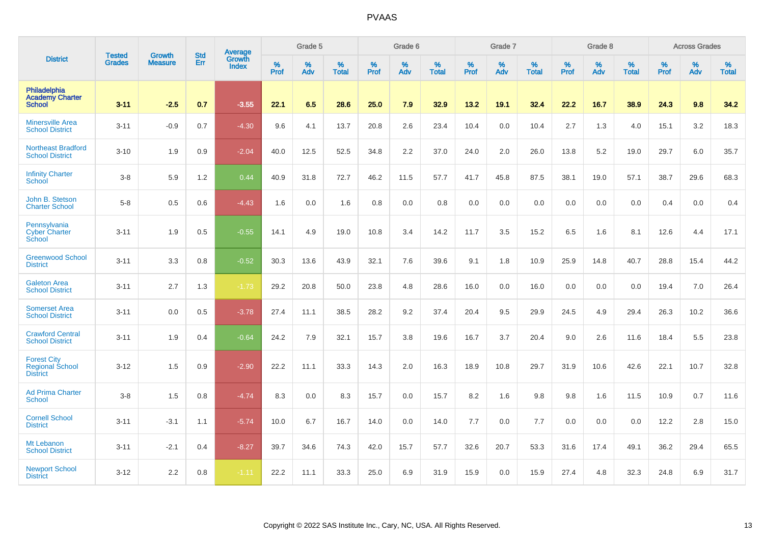|                                                                 | <b>Tested</b> | <b>Growth</b>  | <b>Std</b> | Average                |              | Grade 5  |                   |           | Grade 6  |                   |           | Grade 7  |                   |           | Grade 8  |                   |           | <b>Across Grades</b> |                   |
|-----------------------------------------------------------------|---------------|----------------|------------|------------------------|--------------|----------|-------------------|-----------|----------|-------------------|-----------|----------|-------------------|-----------|----------|-------------------|-----------|----------------------|-------------------|
| <b>District</b>                                                 | <b>Grades</b> | <b>Measure</b> | Err        | Growth<br><b>Index</b> | $\%$<br>Prof | %<br>Adv | %<br><b>Total</b> | %<br>Prof | %<br>Adv | %<br><b>Total</b> | %<br>Prof | %<br>Adv | %<br><b>Total</b> | %<br>Prof | %<br>Adv | %<br><b>Total</b> | %<br>Prof | %<br>Adv             | %<br><b>Total</b> |
| Philadelphia<br><b>Academy Charter</b><br><b>School</b>         | $3 - 11$      | $-2.5$         | 0.7        | $-3.55$                | 22.1         | 6.5      | 28.6              | 25.0      | 7.9      | 32.9              | 13.2      | 19.1     | 32.4              | 22.2      | 16.7     | 38.9              | 24.3      | 9.8                  | 34.2              |
| <b>Minersville Area</b><br><b>School District</b>               | $3 - 11$      | $-0.9$         | 0.7        | $-4.30$                | 9.6          | 4.1      | 13.7              | 20.8      | 2.6      | 23.4              | 10.4      | 0.0      | 10.4              | 2.7       | 1.3      | 4.0               | 15.1      | 3.2                  | 18.3              |
| <b>Northeast Bradford</b><br><b>School District</b>             | $3 - 10$      | 1.9            | 0.9        | $-2.04$                | 40.0         | 12.5     | 52.5              | 34.8      | 2.2      | 37.0              | 24.0      | 2.0      | 26.0              | 13.8      | 5.2      | 19.0              | 29.7      | 6.0                  | 35.7              |
| <b>Infinity Charter</b><br>School                               | $3 - 8$       | 5.9            | 1.2        | 0.44                   | 40.9         | 31.8     | 72.7              | 46.2      | 11.5     | 57.7              | 41.7      | 45.8     | 87.5              | 38.1      | 19.0     | 57.1              | 38.7      | 29.6                 | 68.3              |
| John B. Stetson<br><b>Charter School</b>                        | $5-8$         | 0.5            | 0.6        | $-4.43$                | 1.6          | 0.0      | 1.6               | 0.8       | 0.0      | 0.8               | 0.0       | 0.0      | 0.0               | 0.0       | 0.0      | 0.0               | 0.4       | 0.0                  | 0.4               |
| Pennsylvania<br><b>Cyber Charter</b><br>School                  | $3 - 11$      | 1.9            | 0.5        | $-0.55$                | 14.1         | 4.9      | 19.0              | 10.8      | 3.4      | 14.2              | 11.7      | 3.5      | 15.2              | 6.5       | 1.6      | 8.1               | 12.6      | 4.4                  | 17.1              |
| <b>Greenwood School</b><br><b>District</b>                      | $3 - 11$      | 3.3            | 0.8        | $-0.52$                | 30.3         | 13.6     | 43.9              | 32.1      | 7.6      | 39.6              | 9.1       | 1.8      | 10.9              | 25.9      | 14.8     | 40.7              | 28.8      | 15.4                 | 44.2              |
| <b>Galeton Area</b><br><b>School District</b>                   | $3 - 11$      | 2.7            | 1.3        | $-1.73$                | 29.2         | 20.8     | 50.0              | 23.8      | 4.8      | 28.6              | 16.0      | 0.0      | 16.0              | 0.0       | 0.0      | 0.0               | 19.4      | 7.0                  | 26.4              |
| <b>Somerset Area</b><br><b>School District</b>                  | $3 - 11$      | 0.0            | 0.5        | $-3.78$                | 27.4         | 11.1     | 38.5              | 28.2      | 9.2      | 37.4              | 20.4      | 9.5      | 29.9              | 24.5      | 4.9      | 29.4              | 26.3      | 10.2                 | 36.6              |
| <b>Crawford Central</b><br><b>School District</b>               | $3 - 11$      | 1.9            | 0.4        | $-0.64$                | 24.2         | 7.9      | 32.1              | 15.7      | 3.8      | 19.6              | 16.7      | 3.7      | 20.4              | 9.0       | 2.6      | 11.6              | 18.4      | 5.5                  | 23.8              |
| <b>Forest City</b><br><b>Regional School</b><br><b>District</b> | $3 - 12$      | 1.5            | 0.9        | $-2.90$                | 22.2         | 11.1     | 33.3              | 14.3      | 2.0      | 16.3              | 18.9      | 10.8     | 29.7              | 31.9      | 10.6     | 42.6              | 22.1      | 10.7                 | 32.8              |
| <b>Ad Prima Charter</b><br>School                               | $3 - 8$       | 1.5            | 0.8        | $-4.74$                | 8.3          | 0.0      | 8.3               | 15.7      | 0.0      | 15.7              | 8.2       | 1.6      | 9.8               | 9.8       | 1.6      | 11.5              | 10.9      | 0.7                  | 11.6              |
| <b>Cornell School</b><br><b>District</b>                        | $3 - 11$      | $-3.1$         | 1.1        | $-5.74$                | 10.0         | 6.7      | 16.7              | 14.0      | 0.0      | 14.0              | 7.7       | 0.0      | 7.7               | 0.0       | 0.0      | 0.0               | 12.2      | 2.8                  | 15.0              |
| Mt Lebanon<br><b>School District</b>                            | $3 - 11$      | $-2.1$         | 0.4        | $-8.27$                | 39.7         | 34.6     | 74.3              | 42.0      | 15.7     | 57.7              | 32.6      | 20.7     | 53.3              | 31.6      | 17.4     | 49.1              | 36.2      | 29.4                 | 65.5              |
| <b>Newport School</b><br><b>District</b>                        | $3 - 12$      | 2.2            | 0.8        | $-1.11$                | 22.2         | 11.1     | 33.3              | 25.0      | 6.9      | 31.9              | 15.9      | 0.0      | 15.9              | 27.4      | 4.8      | 32.3              | 24.8      | 6.9                  | 31.7              |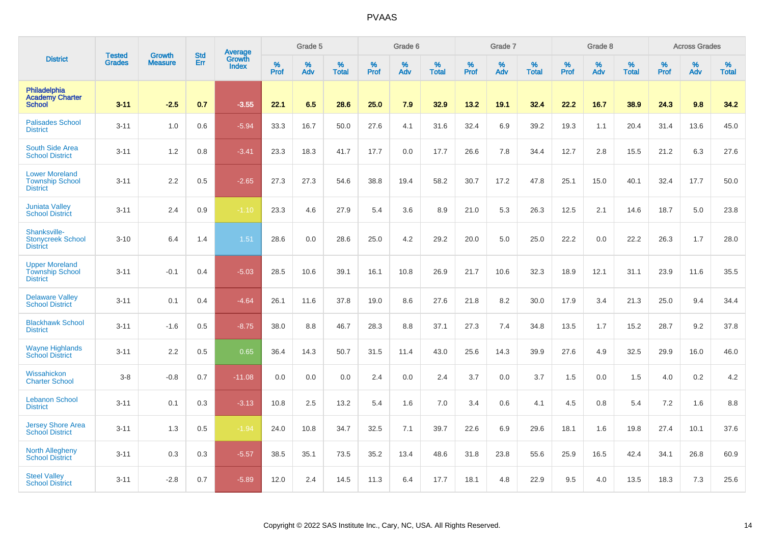|                                                                    |                                | <b>Growth</b>  | <b>Std</b> | Average                |              | Grade 5  |                   |           | Grade 6  |                   |           | Grade 7  |                   |           | Grade 8  |                   |           | <b>Across Grades</b> |                   |
|--------------------------------------------------------------------|--------------------------------|----------------|------------|------------------------|--------------|----------|-------------------|-----------|----------|-------------------|-----------|----------|-------------------|-----------|----------|-------------------|-----------|----------------------|-------------------|
| <b>District</b>                                                    | <b>Tested</b><br><b>Grades</b> | <b>Measure</b> | Err        | Growth<br><b>Index</b> | $\%$<br>Prof | %<br>Adv | %<br><b>Total</b> | %<br>Prof | %<br>Adv | %<br><b>Total</b> | %<br>Prof | %<br>Adv | %<br><b>Total</b> | %<br>Prof | %<br>Adv | %<br><b>Total</b> | %<br>Prof | %<br>Adv             | %<br><b>Total</b> |
| Philadelphia<br><b>Academy Charter</b><br><b>School</b>            | $3 - 11$                       | $-2.5$         | 0.7        | $-3.55$                | 22.1         | 6.5      | 28.6              | 25.0      | 7.9      | 32.9              | 13.2      | 19.1     | 32.4              | 22.2      | 16.7     | 38.9              | 24.3      | 9.8                  | 34.2              |
| <b>Palisades School</b><br><b>District</b>                         | $3 - 11$                       | 1.0            | 0.6        | $-5.94$                | 33.3         | 16.7     | 50.0              | 27.6      | 4.1      | 31.6              | 32.4      | 6.9      | 39.2              | 19.3      | 1.1      | 20.4              | 31.4      | 13.6                 | 45.0              |
| South Side Area<br><b>School District</b>                          | $3 - 11$                       | 1.2            | 0.8        | $-3.41$                | 23.3         | 18.3     | 41.7              | 17.7      | 0.0      | 17.7              | 26.6      | 7.8      | 34.4              | 12.7      | 2.8      | 15.5              | 21.2      | 6.3                  | 27.6              |
| <b>Lower Moreland</b><br><b>Township School</b><br><b>District</b> | $3 - 11$                       | 2.2            | 0.5        | $-2.65$                | 27.3         | 27.3     | 54.6              | 38.8      | 19.4     | 58.2              | 30.7      | 17.2     | 47.8              | 25.1      | 15.0     | 40.1              | 32.4      | 17.7                 | 50.0              |
| <b>Juniata Valley</b><br><b>School District</b>                    | $3 - 11$                       | 2.4            | 0.9        | $-1.10$                | 23.3         | 4.6      | 27.9              | 5.4       | 3.6      | 8.9               | 21.0      | 5.3      | 26.3              | 12.5      | 2.1      | 14.6              | 18.7      | 5.0                  | 23.8              |
| Shanksville-<br><b>Stonycreek School</b><br><b>District</b>        | $3 - 10$                       | 6.4            | 1.4        | 1.51                   | 28.6         | 0.0      | 28.6              | 25.0      | 4.2      | 29.2              | 20.0      | 5.0      | 25.0              | 22.2      | 0.0      | 22.2              | 26.3      | 1.7                  | 28.0              |
| <b>Upper Moreland</b><br><b>Township School</b><br><b>District</b> | $3 - 11$                       | $-0.1$         | 0.4        | $-5.03$                | 28.5         | 10.6     | 39.1              | 16.1      | 10.8     | 26.9              | 21.7      | 10.6     | 32.3              | 18.9      | 12.1     | 31.1              | 23.9      | 11.6                 | 35.5              |
| <b>Delaware Valley</b><br><b>School District</b>                   | $3 - 11$                       | 0.1            | 0.4        | $-4.64$                | 26.1         | 11.6     | 37.8              | 19.0      | 8.6      | 27.6              | 21.8      | 8.2      | 30.0              | 17.9      | 3.4      | 21.3              | 25.0      | 9.4                  | 34.4              |
| <b>Blackhawk School</b><br><b>District</b>                         | $3 - 11$                       | $-1.6$         | 0.5        | $-8.75$                | 38.0         | 8.8      | 46.7              | 28.3      | 8.8      | 37.1              | 27.3      | 7.4      | 34.8              | 13.5      | 1.7      | 15.2              | 28.7      | 9.2                  | 37.8              |
| <b>Wayne Highlands</b><br><b>School District</b>                   | $3 - 11$                       | 2.2            | 0.5        | 0.65                   | 36.4         | 14.3     | 50.7              | 31.5      | 11.4     | 43.0              | 25.6      | 14.3     | 39.9              | 27.6      | 4.9      | 32.5              | 29.9      | 16.0                 | 46.0              |
| Wissahickon<br><b>Charter School</b>                               | $3 - 8$                        | $-0.8$         | 0.7        | $-11.08$               | 0.0          | 0.0      | 0.0               | 2.4       | 0.0      | 2.4               | 3.7       | 0.0      | 3.7               | 1.5       | 0.0      | 1.5               | 4.0       | 0.2                  | 4.2               |
| <b>Lebanon School</b><br><b>District</b>                           | $3 - 11$                       | 0.1            | 0.3        | $-3.13$                | 10.8         | 2.5      | 13.2              | 5.4       | 1.6      | 7.0               | 3.4       | 0.6      | 4.1               | 4.5       | 0.8      | 5.4               | 7.2       | 1.6                  | 8.8               |
| <b>Jersey Shore Area</b><br><b>School District</b>                 | $3 - 11$                       | 1.3            | 0.5        | $-1.94$                | 24.0         | 10.8     | 34.7              | 32.5      | 7.1      | 39.7              | 22.6      | 6.9      | 29.6              | 18.1      | 1.6      | 19.8              | 27.4      | 10.1                 | 37.6              |
| <b>North Allegheny</b><br><b>School District</b>                   | $3 - 11$                       | 0.3            | 0.3        | $-5.57$                | 38.5         | 35.1     | 73.5              | 35.2      | 13.4     | 48.6              | 31.8      | 23.8     | 55.6              | 25.9      | 16.5     | 42.4              | 34.1      | 26.8                 | 60.9              |
| <b>Steel Valley</b><br><b>School District</b>                      | $3 - 11$                       | $-2.8$         | 0.7        | $-5.89$                | 12.0         | 2.4      | 14.5              | 11.3      | 6.4      | 17.7              | 18.1      | 4.8      | 22.9              | 9.5       | 4.0      | 13.5              | 18.3      | 7.3                  | 25.6              |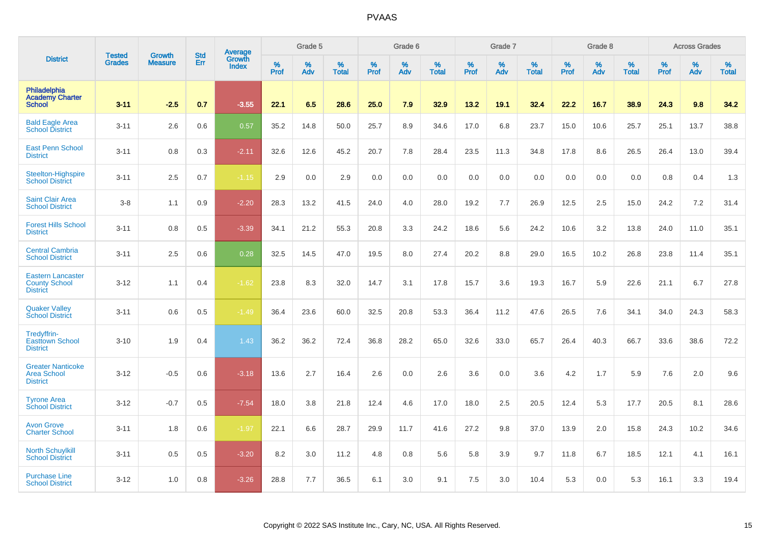|                                                                     |                                |                                 | <b>Std</b> | Average                |              | Grade 5  |                   |           | Grade 6  |                   |           | Grade 7  |                   |           | Grade 8  |                   |           | <b>Across Grades</b> |                   |
|---------------------------------------------------------------------|--------------------------------|---------------------------------|------------|------------------------|--------------|----------|-------------------|-----------|----------|-------------------|-----------|----------|-------------------|-----------|----------|-------------------|-----------|----------------------|-------------------|
| <b>District</b>                                                     | <b>Tested</b><br><b>Grades</b> | <b>Growth</b><br><b>Measure</b> | Err        | Growth<br><b>Index</b> | $\%$<br>Prof | %<br>Adv | %<br><b>Total</b> | %<br>Prof | %<br>Adv | %<br><b>Total</b> | %<br>Prof | %<br>Adv | %<br><b>Total</b> | %<br>Prof | %<br>Adv | %<br><b>Total</b> | %<br>Prof | %<br>Adv             | %<br><b>Total</b> |
| Philadelphia<br><b>Academy Charter</b><br><b>School</b>             | $3 - 11$                       | $-2.5$                          | 0.7        | $-3.55$                | 22.1         | 6.5      | 28.6              | 25.0      | 7.9      | 32.9              | 13.2      | 19.1     | 32.4              | 22.2      | 16.7     | 38.9              | 24.3      | 9.8                  | 34.2              |
| <b>Bald Eagle Area</b><br><b>School District</b>                    | $3 - 11$                       | 2.6                             | 0.6        | 0.57                   | 35.2         | 14.8     | 50.0              | 25.7      | 8.9      | 34.6              | 17.0      | 6.8      | 23.7              | 15.0      | 10.6     | 25.7              | 25.1      | 13.7                 | 38.8              |
| <b>East Penn School</b><br><b>District</b>                          | $3 - 11$                       | 0.8                             | 0.3        | $-2.11$                | 32.6         | 12.6     | 45.2              | 20.7      | 7.8      | 28.4              | 23.5      | 11.3     | 34.8              | 17.8      | 8.6      | 26.5              | 26.4      | 13.0                 | 39.4              |
| Steelton-Highspire<br><b>School District</b>                        | $3 - 11$                       | 2.5                             | 0.7        | $-1.15$                | 2.9          | 0.0      | 2.9               | 0.0       | 0.0      | 0.0               | 0.0       | 0.0      | 0.0               | 0.0       | 0.0      | 0.0               | 0.8       | 0.4                  | 1.3               |
| <b>Saint Clair Area</b><br><b>School District</b>                   | $3-8$                          | 1.1                             | 0.9        | $-2.20$                | 28.3         | 13.2     | 41.5              | 24.0      | 4.0      | 28.0              | 19.2      | 7.7      | 26.9              | 12.5      | 2.5      | 15.0              | 24.2      | 7.2                  | 31.4              |
| <b>Forest Hills School</b><br><b>District</b>                       | $3 - 11$                       | 0.8                             | 0.5        | $-3.39$                | 34.1         | 21.2     | 55.3              | 20.8      | 3.3      | 24.2              | 18.6      | 5.6      | 24.2              | 10.6      | 3.2      | 13.8              | 24.0      | 11.0                 | 35.1              |
| <b>Central Cambria</b><br><b>School District</b>                    | $3 - 11$                       | 2.5                             | 0.6        | 0.28                   | 32.5         | 14.5     | 47.0              | 19.5      | 8.0      | 27.4              | 20.2      | 8.8      | 29.0              | 16.5      | 10.2     | 26.8              | 23.8      | 11.4                 | 35.1              |
| <b>Eastern Lancaster</b><br><b>County School</b><br><b>District</b> | $3 - 12$                       | 1.1                             | 0.4        | $-1.62$                | 23.8         | 8.3      | 32.0              | 14.7      | 3.1      | 17.8              | 15.7      | 3.6      | 19.3              | 16.7      | 5.9      | 22.6              | 21.1      | 6.7                  | 27.8              |
| <b>Quaker Valley</b><br><b>School District</b>                      | $3 - 11$                       | 0.6                             | 0.5        | $-1.49$                | 36.4         | 23.6     | 60.0              | 32.5      | 20.8     | 53.3              | 36.4      | 11.2     | 47.6              | 26.5      | 7.6      | 34.1              | 34.0      | 24.3                 | 58.3              |
| Tredyffrin-<br><b>Easttown School</b><br><b>District</b>            | $3 - 10$                       | 1.9                             | 0.4        | 1.43                   | 36.2         | 36.2     | 72.4              | 36.8      | 28.2     | 65.0              | 32.6      | 33.0     | 65.7              | 26.4      | 40.3     | 66.7              | 33.6      | 38.6                 | 72.2              |
| <b>Greater Nanticoke</b><br><b>Area School</b><br><b>District</b>   | $3 - 12$                       | $-0.5$                          | 0.6        | $-3.18$                | 13.6         | 2.7      | 16.4              | 2.6       | 0.0      | 2.6               | 3.6       | 0.0      | 3.6               | 4.2       | 1.7      | 5.9               | 7.6       | 2.0                  | 9.6               |
| <b>Tyrone Area</b><br><b>School District</b>                        | $3 - 12$                       | $-0.7$                          | 0.5        | $-7.54$                | 18.0         | 3.8      | 21.8              | 12.4      | 4.6      | 17.0              | 18.0      | 2.5      | 20.5              | 12.4      | 5.3      | 17.7              | 20.5      | 8.1                  | 28.6              |
| <b>Avon Grove</b><br><b>Charter School</b>                          | $3 - 11$                       | 1.8                             | 0.6        | $-1.97$                | 22.1         | 6.6      | 28.7              | 29.9      | 11.7     | 41.6              | 27.2      | 9.8      | 37.0              | 13.9      | 2.0      | 15.8              | 24.3      | 10.2                 | 34.6              |
| <b>North Schuylkill</b><br><b>School District</b>                   | $3 - 11$                       | 0.5                             | 0.5        | $-3.20$                | 8.2          | 3.0      | 11.2              | 4.8       | 0.8      | 5.6               | 5.8       | 3.9      | 9.7               | 11.8      | 6.7      | 18.5              | 12.1      | 4.1                  | 16.1              |
| <b>Purchase Line</b><br><b>School District</b>                      | $3 - 12$                       | 1.0                             | 0.8        | $-3.26$                | 28.8         | 7.7      | 36.5              | 6.1       | 3.0      | 9.1               | 7.5       | 3.0      | 10.4              | 5.3       | 0.0      | 5.3               | 16.1      | 3.3                  | 19.4              |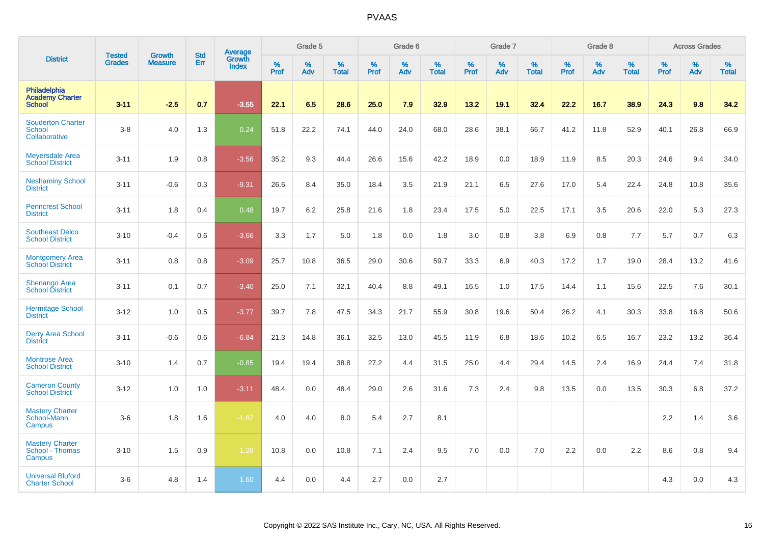|                                                         |                                |                                 |                   | Average                |              | Grade 5  |                   |           | Grade 6  |                   |           | Grade 7  |                   |           | Grade 8  |                   |           | <b>Across Grades</b> |                   |
|---------------------------------------------------------|--------------------------------|---------------------------------|-------------------|------------------------|--------------|----------|-------------------|-----------|----------|-------------------|-----------|----------|-------------------|-----------|----------|-------------------|-----------|----------------------|-------------------|
| <b>District</b>                                         | <b>Tested</b><br><b>Grades</b> | <b>Growth</b><br><b>Measure</b> | <b>Std</b><br>Err | Growth<br><b>Index</b> | $\%$<br>Prof | %<br>Adv | %<br><b>Total</b> | %<br>Prof | %<br>Adv | %<br><b>Total</b> | %<br>Prof | %<br>Adv | %<br><b>Total</b> | %<br>Prof | %<br>Adv | %<br><b>Total</b> | %<br>Prof | %<br>Adv             | %<br><b>Total</b> |
| Philadelphia<br><b>Academy Charter</b><br><b>School</b> | $3 - 11$                       | $-2.5$                          | 0.7               | $-3.55$                | 22.1         | 6.5      | 28.6              | 25.0      | 7.9      | 32.9              | 13.2      | 19.1     | 32.4              | 22.2      | 16.7     | 38.9              | 24.3      | 9.8                  | 34.2              |
| <b>Souderton Charter</b><br>School<br>Collaborative     | $3-8$                          | 4.0                             | 1.3               | 0.24                   | 51.8         | 22.2     | 74.1              | 44.0      | 24.0     | 68.0              | 28.6      | 38.1     | 66.7              | 41.2      | 11.8     | 52.9              | 40.1      | 26.8                 | 66.9              |
| <b>Meyersdale Area</b><br><b>School District</b>        | $3 - 11$                       | 1.9                             | 0.8               | $-3.56$                | 35.2         | 9.3      | 44.4              | 26.6      | 15.6     | 42.2              | 18.9      | 0.0      | 18.9              | 11.9      | 8.5      | 20.3              | 24.6      | 9.4                  | 34.0              |
| <b>Neshaminy School</b><br><b>District</b>              | $3 - 11$                       | $-0.6$                          | 0.3               | $-9.31$                | 26.6         | 8.4      | 35.0              | 18.4      | 3.5      | 21.9              | 21.1      | 6.5      | 27.6              | 17.0      | 5.4      | 22.4              | 24.8      | 10.8                 | 35.6              |
| <b>Penncrest School</b><br><b>District</b>              | $3 - 11$                       | 1.8                             | 0.4               | 0.48                   | 19.7         | 6.2      | 25.8              | 21.6      | 1.8      | 23.4              | 17.5      | 5.0      | 22.5              | 17.1      | 3.5      | 20.6              | 22.0      | 5.3                  | 27.3              |
| <b>Southeast Delco</b><br><b>School District</b>        | $3 - 10$                       | $-0.4$                          | 0.6               | $-3.66$                | 3.3          | 1.7      | 5.0               | 1.8       | 0.0      | 1.8               | 3.0       | 0.8      | 3.8               | 6.9       | 0.8      | 7.7               | 5.7       | 0.7                  | 6.3               |
| <b>Montgomery Area</b><br><b>School District</b>        | $3 - 11$                       | 0.8                             | 0.8               | $-3.09$                | 25.7         | 10.8     | 36.5              | 29.0      | 30.6     | 59.7              | 33.3      | 6.9      | 40.3              | 17.2      | 1.7      | 19.0              | 28.4      | 13.2                 | 41.6              |
| Shenango Area<br><b>School District</b>                 | $3 - 11$                       | 0.1                             | 0.7               | $-3.40$                | 25.0         | 7.1      | 32.1              | 40.4      | 8.8      | 49.1              | 16.5      | 1.0      | 17.5              | 14.4      | 1.1      | 15.6              | 22.5      | 7.6                  | 30.1              |
| <b>Hermitage School</b><br><b>District</b>              | $3 - 12$                       | 1.0                             | 0.5               | $-3.77$                | 39.7         | 7.8      | 47.5              | 34.3      | 21.7     | 55.9              | 30.8      | 19.6     | 50.4              | 26.2      | 4.1      | 30.3              | 33.8      | 16.8                 | 50.6              |
| <b>Derry Area School</b><br><b>District</b>             | $3 - 11$                       | $-0.6$                          | 0.6               | $-6.84$                | 21.3         | 14.8     | 36.1              | 32.5      | 13.0     | 45.5              | 11.9      | 6.8      | 18.6              | 10.2      | 6.5      | 16.7              | 23.2      | 13.2                 | 36.4              |
| <b>Montrose Area</b><br><b>School District</b>          | $3 - 10$                       | 1.4                             | 0.7               | $-0.85$                | 19.4         | 19.4     | 38.8              | 27.2      | 4.4      | 31.5              | 25.0      | 4.4      | 29.4              | 14.5      | 2.4      | 16.9              | 24.4      | 7.4                  | 31.8              |
| <b>Cameron County</b><br><b>School District</b>         | $3 - 12$                       | 1.0                             | 1.0               | $-3.11$                | 48.4         | 0.0      | 48.4              | 29.0      | 2.6      | 31.6              | 7.3       | 2.4      | 9.8               | 13.5      | 0.0      | 13.5              | 30.3      | 6.8                  | 37.2              |
| <b>Mastery Charter</b><br>School-Mann<br>Campus         | $3-6$                          | 1.8                             | 1.6               | $-1.82$                | 4.0          | 4.0      | 8.0               | 5.4       | 2.7      | 8.1               |           |          |                   |           |          |                   | 2.2       | 1.4                  | 3.6               |
| <b>Mastery Charter</b><br>School - Thomas<br>Campus     | $3 - 10$                       | 1.5                             | 0.9               | $-1.26$                | 10.8         | 0.0      | 10.8              | 7.1       | 2.4      | 9.5               | 7.0       | 0.0      | 7.0               | 2.2       | 0.0      | 2.2               | 8.6       | 0.8                  | 9.4               |
| <b>Universal Bluford</b><br><b>Charter School</b>       | $3-6$                          | 4.8                             | 1.4               | 1.60                   | 4.4          | 0.0      | 4.4               | 2.7       | 0.0      | 2.7               |           |          |                   |           |          |                   | 4.3       | 0.0                  | 4.3               |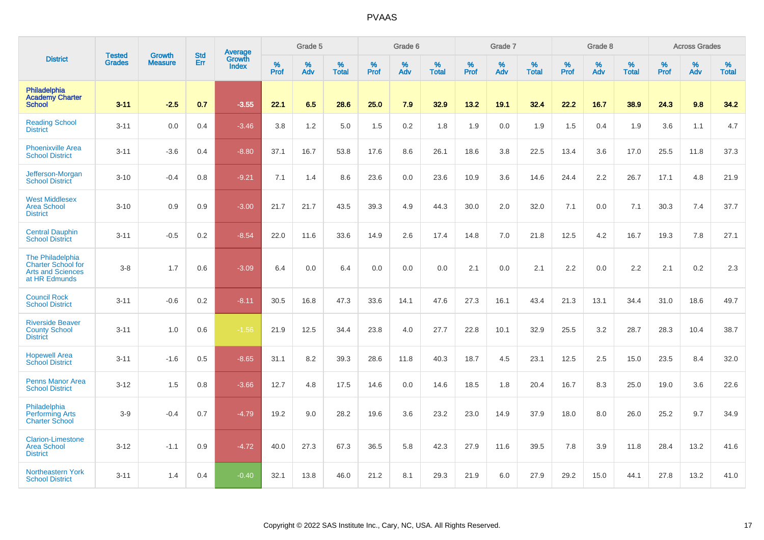|                                                                                            | <b>Tested</b> | <b>Growth</b>  | <b>Std</b> | <b>Average</b>         |                  | Grade 5  |                   |           | Grade 6         |                   |           | Grade 7  |                   |           | Grade 8  |                   |           | <b>Across Grades</b> |                   |
|--------------------------------------------------------------------------------------------|---------------|----------------|------------|------------------------|------------------|----------|-------------------|-----------|-----------------|-------------------|-----------|----------|-------------------|-----------|----------|-------------------|-----------|----------------------|-------------------|
| <b>District</b>                                                                            | <b>Grades</b> | <b>Measure</b> | Err        | Growth<br><b>Index</b> | %<br><b>Prof</b> | %<br>Adv | %<br><b>Total</b> | %<br>Prof | %<br><b>Adv</b> | %<br><b>Total</b> | %<br>Prof | %<br>Adv | %<br><b>Total</b> | %<br>Prof | %<br>Adv | %<br><b>Total</b> | %<br>Prof | %<br>Adv             | %<br><b>Total</b> |
| Philadelphia<br><b>Academy Charter</b><br><b>School</b>                                    | $3 - 11$      | $-2.5$         | 0.7        | $-3.55$                | 22.1             | 6.5      | 28.6              | 25.0      | 7.9             | 32.9              | 13.2      | 19.1     | 32.4              | 22.2      | 16.7     | 38.9              | 24.3      | 9.8                  | 34.2              |
| <b>Reading School</b><br><b>District</b>                                                   | $3 - 11$      | 0.0            | 0.4        | $-3.46$                | 3.8              | 1.2      | 5.0               | 1.5       | 0.2             | 1.8               | 1.9       | 0.0      | 1.9               | 1.5       | 0.4      | 1.9               | 3.6       | 1.1                  | 4.7               |
| <b>Phoenixville Area</b><br><b>School District</b>                                         | $3 - 11$      | $-3.6$         | 0.4        | $-8.80$                | 37.1             | 16.7     | 53.8              | 17.6      | 8.6             | 26.1              | 18.6      | 3.8      | 22.5              | 13.4      | 3.6      | 17.0              | 25.5      | 11.8                 | 37.3              |
| Jefferson-Morgan<br><b>School District</b>                                                 | $3 - 10$      | $-0.4$         | 0.8        | $-9.21$                | 7.1              | 1.4      | 8.6               | 23.6      | 0.0             | 23.6              | 10.9      | 3.6      | 14.6              | 24.4      | 2.2      | 26.7              | 17.1      | 4.8                  | 21.9              |
| <b>West Middlesex</b><br><b>Area School</b><br><b>District</b>                             | $3 - 10$      | 0.9            | 0.9        | $-3.00$                | 21.7             | 21.7     | 43.5              | 39.3      | 4.9             | 44.3              | 30.0      | 2.0      | 32.0              | 7.1       | 0.0      | 7.1               | 30.3      | 7.4                  | 37.7              |
| <b>Central Dauphin</b><br><b>School District</b>                                           | $3 - 11$      | $-0.5$         | 0.2        | $-8.54$                | 22.0             | 11.6     | 33.6              | 14.9      | 2.6             | 17.4              | 14.8      | 7.0      | 21.8              | 12.5      | 4.2      | 16.7              | 19.3      | 7.8                  | 27.1              |
| The Philadelphia<br><b>Charter School for</b><br><b>Arts and Sciences</b><br>at HR Edmunds | $3-8$         | 1.7            | 0.6        | $-3.09$                | 6.4              | 0.0      | 6.4               | 0.0       | 0.0             | 0.0               | 2.1       | 0.0      | 2.1               | 2.2       | 0.0      | 2.2               | 2.1       | 0.2                  | 2.3               |
| <b>Council Rock</b><br><b>School District</b>                                              | $3 - 11$      | $-0.6$         | 0.2        | $-8.11$                | 30.5             | 16.8     | 47.3              | 33.6      | 14.1            | 47.6              | 27.3      | 16.1     | 43.4              | 21.3      | 13.1     | 34.4              | 31.0      | 18.6                 | 49.7              |
| <b>Riverside Beaver</b><br><b>County School</b><br><b>District</b>                         | $3 - 11$      | 1.0            | 0.6        | $-1.56$                | 21.9             | 12.5     | 34.4              | 23.8      | 4.0             | 27.7              | 22.8      | 10.1     | 32.9              | 25.5      | 3.2      | 28.7              | 28.3      | 10.4                 | 38.7              |
| <b>Hopewell Area</b><br><b>School District</b>                                             | $3 - 11$      | $-1.6$         | 0.5        | $-8.65$                | 31.1             | 8.2      | 39.3              | 28.6      | 11.8            | 40.3              | 18.7      | 4.5      | 23.1              | 12.5      | 2.5      | 15.0              | 23.5      | 8.4                  | 32.0              |
| <b>Penns Manor Area</b><br><b>School District</b>                                          | $3 - 12$      | 1.5            | 0.8        | $-3.66$                | 12.7             | 4.8      | 17.5              | 14.6      | 0.0             | 14.6              | 18.5      | 1.8      | 20.4              | 16.7      | 8.3      | 25.0              | 19.0      | 3.6                  | 22.6              |
| Philadelphia<br><b>Performing Arts</b><br><b>Charter School</b>                            | $3-9$         | $-0.4$         | 0.7        | $-4.79$                | 19.2             | 9.0      | 28.2              | 19.6      | 3.6             | 23.2              | 23.0      | 14.9     | 37.9              | 18.0      | 8.0      | 26.0              | 25.2      | 9.7                  | 34.9              |
| <b>Clarion-Limestone</b><br><b>Area School</b><br><b>District</b>                          | $3 - 12$      | $-1.1$         | 0.9        | $-4.72$                | 40.0             | 27.3     | 67.3              | 36.5      | 5.8             | 42.3              | 27.9      | 11.6     | 39.5              | 7.8       | 3.9      | 11.8              | 28.4      | 13.2                 | 41.6              |
| Northeastern York<br><b>School District</b>                                                | $3 - 11$      | 1.4            | 0.4        | $-0.40$                | 32.1             | 13.8     | 46.0              | 21.2      | 8.1             | 29.3              | 21.9      | 6.0      | 27.9              | 29.2      | 15.0     | 44.1              | 27.8      | 13.2                 | 41.0              |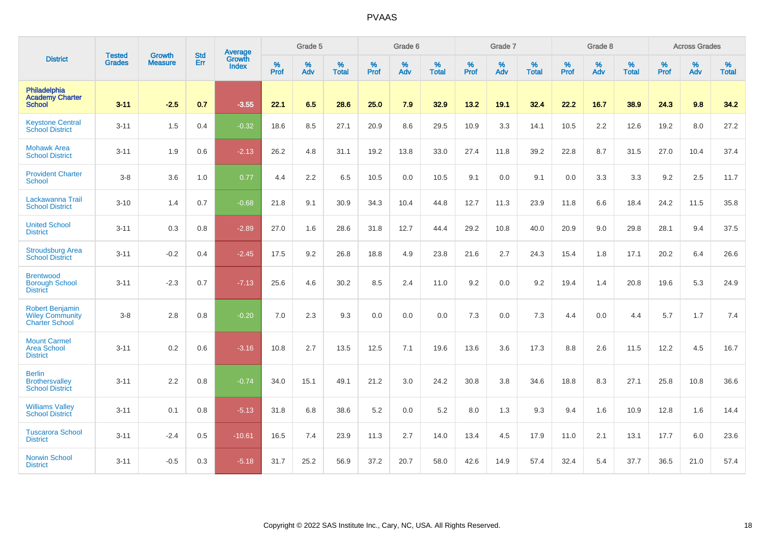|                                                                           | <b>Tested</b> | <b>Growth</b>  | <b>Std</b> | Average                |                     | Grade 5  |                   |              | Grade 6  |                   |                     | Grade 7  |                   |                     | Grade 8  |                   |                  | <b>Across Grades</b> |                   |
|---------------------------------------------------------------------------|---------------|----------------|------------|------------------------|---------------------|----------|-------------------|--------------|----------|-------------------|---------------------|----------|-------------------|---------------------|----------|-------------------|------------------|----------------------|-------------------|
| <b>District</b>                                                           | <b>Grades</b> | <b>Measure</b> | <b>Err</b> | Growth<br><b>Index</b> | $\%$<br><b>Prof</b> | %<br>Adv | %<br><b>Total</b> | $\%$<br>Prof | %<br>Adv | %<br><b>Total</b> | $\%$<br><b>Prof</b> | %<br>Adv | %<br><b>Total</b> | $\%$<br><b>Prof</b> | %<br>Adv | %<br><b>Total</b> | %<br><b>Prof</b> | %<br>Adv             | %<br><b>Total</b> |
| Philadelphia<br><b>Academy Charter</b><br><b>School</b>                   | $3 - 11$      | $-2.5$         | 0.7        | $-3.55$                | 22.1                | 6.5      | 28.6              | 25.0         | 7.9      | 32.9              | 13.2                | 19.1     | 32.4              | 22.2                | 16.7     | 38.9              | 24.3             | 9.8                  | 34.2              |
| <b>Keystone Central</b><br><b>School District</b>                         | $3 - 11$      | 1.5            | 0.4        | $-0.32$                | 18.6                | 8.5      | 27.1              | 20.9         | 8.6      | 29.5              | 10.9                | 3.3      | 14.1              | 10.5                | 2.2      | 12.6              | 19.2             | 8.0                  | 27.2              |
| <b>Mohawk Area</b><br><b>School District</b>                              | $3 - 11$      | 1.9            | 0.6        | $-2.13$                | 26.2                | 4.8      | 31.1              | 19.2         | 13.8     | 33.0              | 27.4                | 11.8     | 39.2              | 22.8                | 8.7      | 31.5              | 27.0             | 10.4                 | 37.4              |
| <b>Provident Charter</b><br><b>School</b>                                 | $3-8$         | 3.6            | 1.0        | 0.77                   | 4.4                 | 2.2      | 6.5               | 10.5         | 0.0      | 10.5              | 9.1                 | 0.0      | 9.1               | 0.0                 | 3.3      | 3.3               | 9.2              | 2.5                  | 11.7              |
| Lackawanna Trail<br><b>School District</b>                                | $3 - 10$      | 1.4            | 0.7        | $-0.68$                | 21.8                | 9.1      | 30.9              | 34.3         | 10.4     | 44.8              | 12.7                | 11.3     | 23.9              | 11.8                | 6.6      | 18.4              | 24.2             | 11.5                 | 35.8              |
| <b>United School</b><br><b>District</b>                                   | $3 - 11$      | 0.3            | 0.8        | $-2.89$                | 27.0                | 1.6      | 28.6              | 31.8         | 12.7     | 44.4              | 29.2                | 10.8     | 40.0              | 20.9                | 9.0      | 29.8              | 28.1             | 9.4                  | 37.5              |
| <b>Stroudsburg Area</b><br><b>School District</b>                         | $3 - 11$      | $-0.2$         | 0.4        | $-2.45$                | 17.5                | 9.2      | 26.8              | 18.8         | 4.9      | 23.8              | 21.6                | 2.7      | 24.3              | 15.4                | 1.8      | 17.1              | 20.2             | 6.4                  | 26.6              |
| <b>Brentwood</b><br><b>Borough School</b><br><b>District</b>              | $3 - 11$      | $-2.3$         | 0.7        | $-7.13$                | 25.6                | 4.6      | 30.2              | 8.5          | 2.4      | 11.0              | 9.2                 | 0.0      | 9.2               | 19.4                | 1.4      | 20.8              | 19.6             | 5.3                  | 24.9              |
| <b>Robert Benjamin</b><br><b>Wiley Community</b><br><b>Charter School</b> | $3-8$         | 2.8            | 0.8        | $-0.20$                | 7.0                 | 2.3      | 9.3               | 0.0          | 0.0      | 0.0               | 7.3                 | 0.0      | 7.3               | 4.4                 | 0.0      | 4.4               | 5.7              | 1.7                  | 7.4               |
| <b>Mount Carmel</b><br><b>Area School</b><br><b>District</b>              | $3 - 11$      | 0.2            | 0.6        | $-3.16$                | 10.8                | 2.7      | 13.5              | 12.5         | 7.1      | 19.6              | 13.6                | 3.6      | 17.3              | 8.8                 | 2.6      | 11.5              | 12.2             | 4.5                  | 16.7              |
| <b>Berlin</b><br><b>Brothersvalley</b><br><b>School District</b>          | $3 - 11$      | 2.2            | 0.8        | $-0.74$                | 34.0                | 15.1     | 49.1              | 21.2         | 3.0      | 24.2              | 30.8                | 3.8      | 34.6              | 18.8                | 8.3      | 27.1              | 25.8             | 10.8                 | 36.6              |
| <b>Williams Valley</b><br><b>School District</b>                          | $3 - 11$      | 0.1            | 0.8        | $-5.13$                | 31.8                | 6.8      | 38.6              | 5.2          | 0.0      | 5.2               | 8.0                 | 1.3      | 9.3               | 9.4                 | 1.6      | 10.9              | 12.8             | 1.6                  | 14.4              |
| <b>Tuscarora School</b><br><b>District</b>                                | $3 - 11$      | $-2.4$         | 0.5        | $-10.61$               | 16.5                | 7.4      | 23.9              | 11.3         | 2.7      | 14.0              | 13.4                | 4.5      | 17.9              | 11.0                | 2.1      | 13.1              | 17.7             | 6.0                  | 23.6              |
| <b>Norwin School</b><br><b>District</b>                                   | $3 - 11$      | $-0.5$         | 0.3        | $-5.18$                | 31.7                | 25.2     | 56.9              | 37.2         | 20.7     | 58.0              | 42.6                | 14.9     | 57.4              | 32.4                | 5.4      | 37.7              | 36.5             | 21.0                 | 57.4              |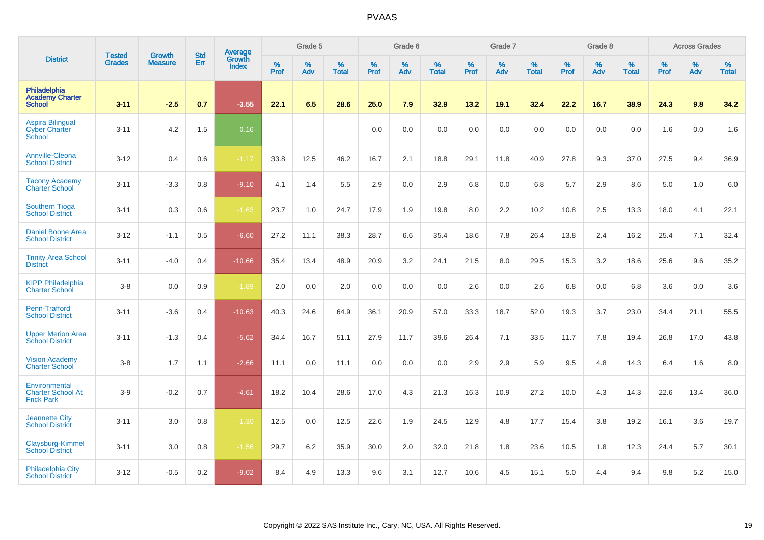|                                                                | <b>Tested</b> | <b>Growth</b>  | <b>Std</b> | Average                |                     | Grade 5  |                   |           | Grade 6  |                   |           | Grade 7  |                   |           | Grade 8  |                   |           | <b>Across Grades</b> |                   |
|----------------------------------------------------------------|---------------|----------------|------------|------------------------|---------------------|----------|-------------------|-----------|----------|-------------------|-----------|----------|-------------------|-----------|----------|-------------------|-----------|----------------------|-------------------|
| <b>District</b>                                                | <b>Grades</b> | <b>Measure</b> | <b>Err</b> | Growth<br><b>Index</b> | $\%$<br><b>Prof</b> | %<br>Adv | %<br><b>Total</b> | %<br>Prof | %<br>Adv | %<br><b>Total</b> | %<br>Prof | %<br>Adv | %<br><b>Total</b> | %<br>Prof | %<br>Adv | %<br><b>Total</b> | %<br>Prof | %<br>Adv             | %<br><b>Total</b> |
| Philadelphia<br><b>Academy Charter</b><br><b>School</b>        | $3 - 11$      | $-2.5$         | 0.7        | $-3.55$                | 22.1                | 6.5      | 28.6              | 25.0      | 7.9      | 32.9              | 13.2      | 19.1     | 32.4              | 22.2      | 16.7     | 38.9              | 24.3      | 9.8                  | 34.2              |
| <b>Aspira Bilingual</b><br><b>Cyber Charter</b><br>School      | $3 - 11$      | 4.2            | 1.5        | 0.16                   |                     |          |                   | 0.0       | 0.0      | 0.0               | 0.0       | 0.0      | 0.0               | 0.0       | 0.0      | 0.0               | 1.6       | 0.0                  | 1.6               |
| Annville-Cleona<br><b>School District</b>                      | $3 - 12$      | 0.4            | 0.6        | $-1.17$                | 33.8                | 12.5     | 46.2              | 16.7      | 2.1      | 18.8              | 29.1      | 11.8     | 40.9              | 27.8      | 9.3      | 37.0              | 27.5      | 9.4                  | 36.9              |
| <b>Tacony Academy</b><br><b>Charter School</b>                 | $3 - 11$      | $-3.3$         | 0.8        | $-9.10$                | 4.1                 | 1.4      | 5.5               | 2.9       | 0.0      | 2.9               | 6.8       | 0.0      | 6.8               | 5.7       | 2.9      | 8.6               | 5.0       | 1.0                  | 6.0               |
| <b>Southern Tioga</b><br><b>School District</b>                | $3 - 11$      | 0.3            | 0.6        | $-1.63$                | 23.7                | 1.0      | 24.7              | 17.9      | 1.9      | 19.8              | 8.0       | 2.2      | 10.2              | 10.8      | 2.5      | 13.3              | 18.0      | 4.1                  | 22.1              |
| <b>Daniel Boone Area</b><br><b>School District</b>             | $3 - 12$      | $-1.1$         | 0.5        | $-6.60$                | 27.2                | 11.1     | 38.3              | 28.7      | 6.6      | 35.4              | 18.6      | 7.8      | 26.4              | 13.8      | 2.4      | 16.2              | 25.4      | 7.1                  | 32.4              |
| <b>Trinity Area School</b><br><b>District</b>                  | $3 - 11$      | $-4.0$         | 0.4        | $-10.66$               | 35.4                | 13.4     | 48.9              | 20.9      | 3.2      | 24.1              | 21.5      | 8.0      | 29.5              | 15.3      | 3.2      | 18.6              | 25.6      | 9.6                  | 35.2              |
| <b>KIPP Philadelphia</b><br><b>Charter School</b>              | $3-8$         | 0.0            | 0.9        | $-1.89$                | 2.0                 | 0.0      | 2.0               | 0.0       | 0.0      | 0.0               | 2.6       | 0.0      | 2.6               | 6.8       | 0.0      | 6.8               | 3.6       | 0.0                  | 3.6               |
| Penn-Trafford<br><b>School District</b>                        | $3 - 11$      | $-3.6$         | 0.4        | $-10.63$               | 40.3                | 24.6     | 64.9              | 36.1      | 20.9     | 57.0              | 33.3      | 18.7     | 52.0              | 19.3      | 3.7      | 23.0              | 34.4      | 21.1                 | 55.5              |
| <b>Upper Merion Area</b><br><b>School District</b>             | $3 - 11$      | $-1.3$         | 0.4        | $-5.62$                | 34.4                | 16.7     | 51.1              | 27.9      | 11.7     | 39.6              | 26.4      | 7.1      | 33.5              | 11.7      | 7.8      | 19.4              | 26.8      | 17.0                 | 43.8              |
| <b>Vision Academy</b><br><b>Charter School</b>                 | $3-8$         | 1.7            | 1.1        | $-2.66$                | 11.1                | 0.0      | 11.1              | 0.0       | 0.0      | 0.0               | 2.9       | 2.9      | 5.9               | 9.5       | 4.8      | 14.3              | 6.4       | 1.6                  | 8.0               |
| Environmental<br><b>Charter School At</b><br><b>Frick Park</b> | $3-9$         | $-0.2$         | 0.7        | $-4.61$                | 18.2                | 10.4     | 28.6              | 17.0      | 4.3      | 21.3              | 16.3      | 10.9     | 27.2              | 10.0      | 4.3      | 14.3              | 22.6      | 13.4                 | 36.0              |
| <b>Jeannette City</b><br><b>School District</b>                | $3 - 11$      | 3.0            | 0.8        | $-1.30$                | 12.5                | 0.0      | 12.5              | 22.6      | 1.9      | 24.5              | 12.9      | 4.8      | 17.7              | 15.4      | 3.8      | 19.2              | 16.1      | 3.6                  | 19.7              |
| Claysburg-Kimmel<br><b>School District</b>                     | $3 - 11$      | 3.0            | 0.8        | $-1.56$                | 29.7                | 6.2      | 35.9              | 30.0      | 2.0      | 32.0              | 21.8      | 1.8      | 23.6              | 10.5      | 1.8      | 12.3              | 24.4      | 5.7                  | 30.1              |
| <b>Philadelphia City</b><br><b>School District</b>             | $3 - 12$      | $-0.5$         | 0.2        | $-9.02$                | 8.4                 | 4.9      | 13.3              | 9.6       | 3.1      | 12.7              | 10.6      | 4.5      | 15.1              | 5.0       | 4.4      | 9.4               | 9.8       | 5.2                  | 15.0              |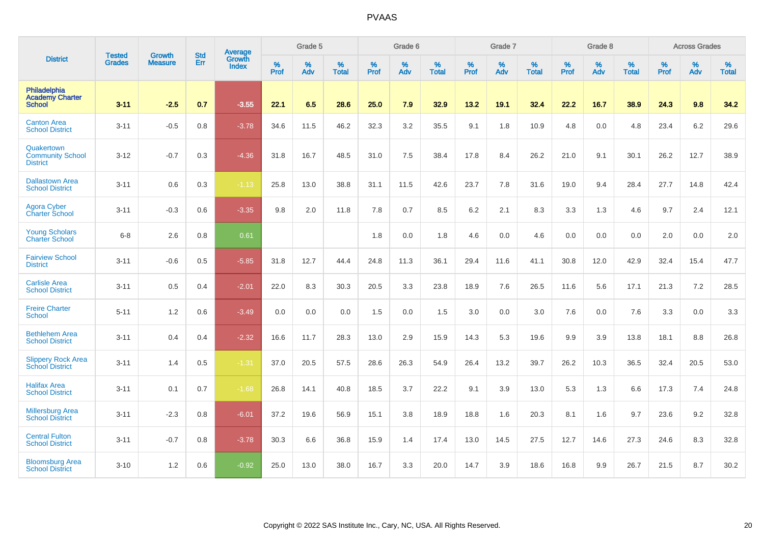|                                                          | <b>Tested</b> | <b>Growth</b>  | <b>Std</b> | Average                |      | Grade 5<br>%<br>%<br>%<br>Prof<br>Adv<br><b>Total</b> |      |           | Grade 6  |                   |           | Grade 7  |                   |           | Grade 8  |                   |           | <b>Across Grades</b> |                   |
|----------------------------------------------------------|---------------|----------------|------------|------------------------|------|-------------------------------------------------------|------|-----------|----------|-------------------|-----------|----------|-------------------|-----------|----------|-------------------|-----------|----------------------|-------------------|
| <b>District</b>                                          | <b>Grades</b> | <b>Measure</b> | Err        | Growth<br><b>Index</b> |      |                                                       |      | %<br>Prof | %<br>Adv | %<br><b>Total</b> | %<br>Prof | %<br>Adv | %<br><b>Total</b> | %<br>Prof | %<br>Adv | %<br><b>Total</b> | %<br>Prof | %<br>Adv             | %<br><b>Total</b> |
| Philadelphia<br><b>Academy Charter</b><br><b>School</b>  | $3 - 11$      | $-2.5$         | 0.7        | $-3.55$                | 22.1 | 6.5                                                   | 28.6 | 25.0      | 7.9      | 32.9              | 13.2      | 19.1     | 32.4              | 22.2      | 16.7     | 38.9              | 24.3      | 9.8                  | 34.2              |
| <b>Canton Area</b><br><b>School District</b>             | $3 - 11$      | $-0.5$         | 0.8        | $-3.78$                | 34.6 | 11.5                                                  | 46.2 | 32.3      | 3.2      | 35.5              | 9.1       | 1.8      | 10.9              | 4.8       | 0.0      | 4.8               | 23.4      | 6.2                  | 29.6              |
| Quakertown<br><b>Community School</b><br><b>District</b> | $3 - 12$      | $-0.7$         | 0.3        | $-4.36$                | 31.8 | 16.7                                                  | 48.5 | 31.0      | 7.5      | 38.4              | 17.8      | 8.4      | 26.2              | 21.0      | 9.1      | 30.1              | 26.2      | 12.7                 | 38.9              |
| <b>Dallastown Area</b><br><b>School District</b>         | $3 - 11$      | 0.6            | 0.3        | $-1.13$                | 25.8 | 13.0                                                  | 38.8 | 31.1      | 11.5     | 42.6              | 23.7      | 7.8      | 31.6              | 19.0      | 9.4      | 28.4              | 27.7      | 14.8                 | 42.4              |
| <b>Agora Cyber</b><br><b>Charter School</b>              | $3 - 11$      | $-0.3$         | 0.6        | $-3.35$                | 9.8  | 2.0                                                   | 11.8 | 7.8       | 0.7      | 8.5               | 6.2       | 2.1      | 8.3               | 3.3       | 1.3      | 4.6               | 9.7       | 2.4                  | 12.1              |
| <b>Young Scholars</b><br><b>Charter School</b>           | $6 - 8$       | 2.6            | 0.8        | 0.61                   |      |                                                       |      | 1.8       | 0.0      | 1.8               | 4.6       | 0.0      | 4.6               | 0.0       | 0.0      | 0.0               | 2.0       | 0.0                  | 2.0               |
| <b>Fairview School</b><br><b>District</b>                | $3 - 11$      | $-0.6$         | 0.5        | $-5.85$                | 31.8 | 12.7                                                  | 44.4 | 24.8      | 11.3     | 36.1              | 29.4      | 11.6     | 41.1              | 30.8      | 12.0     | 42.9              | 32.4      | 15.4                 | 47.7              |
| <b>Carlisle Area</b><br><b>School District</b>           | $3 - 11$      | 0.5            | 0.4        | $-2.01$                | 22.0 | 8.3                                                   | 30.3 | 20.5      | 3.3      | 23.8              | 18.9      | 7.6      | 26.5              | 11.6      | 5.6      | 17.1              | 21.3      | 7.2                  | 28.5              |
| <b>Freire Charter</b><br><b>School</b>                   | $5 - 11$      | 1.2            | 0.6        | $-3.49$                | 0.0  | 0.0                                                   | 0.0  | 1.5       | 0.0      | 1.5               | 3.0       | 0.0      | 3.0               | 7.6       | 0.0      | 7.6               | 3.3       | 0.0                  | 3.3               |
| <b>Bethlehem Area</b><br><b>School District</b>          | $3 - 11$      | 0.4            | 0.4        | $-2.32$                | 16.6 | 11.7                                                  | 28.3 | 13.0      | 2.9      | 15.9              | 14.3      | 5.3      | 19.6              | 9.9       | 3.9      | 13.8              | 18.1      | 8.8                  | 26.8              |
| <b>Slippery Rock Area</b><br><b>School District</b>      | $3 - 11$      | 1.4            | 0.5        | $-1.31$                | 37.0 | 20.5                                                  | 57.5 | 28.6      | 26.3     | 54.9              | 26.4      | 13.2     | 39.7              | 26.2      | 10.3     | 36.5              | 32.4      | 20.5                 | 53.0              |
| <b>Halifax Area</b><br><b>School District</b>            | $3 - 11$      | 0.1            | 0.7        | $-1.68$                | 26.8 | 14.1                                                  | 40.8 | 18.5      | 3.7      | 22.2              | 9.1       | 3.9      | 13.0              | 5.3       | 1.3      | 6.6               | 17.3      | 7.4                  | 24.8              |
| <b>Millersburg Area</b><br><b>School District</b>        | $3 - 11$      | $-2.3$         | 0.8        | $-6.01$                | 37.2 | 19.6                                                  | 56.9 | 15.1      | 3.8      | 18.9              | 18.8      | 1.6      | 20.3              | 8.1       | 1.6      | 9.7               | 23.6      | 9.2                  | 32.8              |
| <b>Central Fulton</b><br><b>School District</b>          | $3 - 11$      | $-0.7$         | 0.8        | $-3.78$                | 30.3 | 6.6                                                   | 36.8 | 15.9      | 1.4      | 17.4              | 13.0      | 14.5     | 27.5              | 12.7      | 14.6     | 27.3              | 24.6      | 8.3                  | 32.8              |
| <b>Bloomsburg Area</b><br><b>School District</b>         | $3 - 10$      | 1.2            | 0.6        | $-0.92$                | 25.0 | 13.0                                                  | 38.0 | 16.7      | 3.3      | 20.0              | 14.7      | 3.9      | 18.6              | 16.8      | 9.9      | 26.7              | 21.5      | 8.7                  | 30.2              |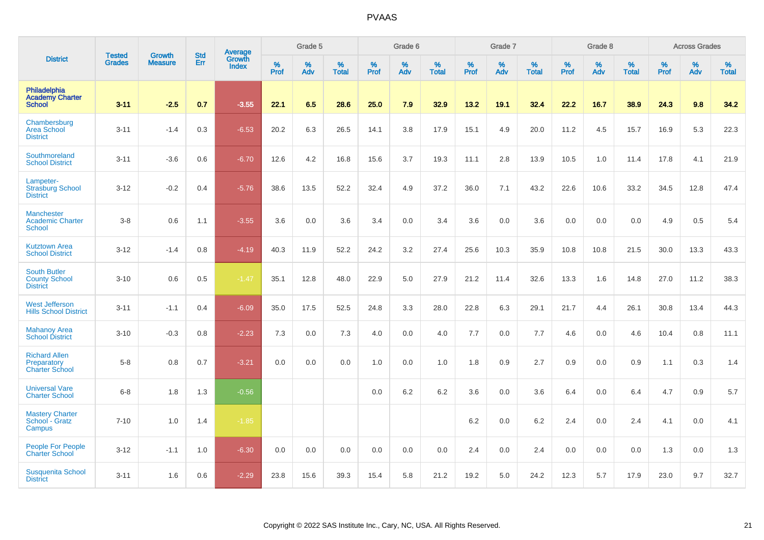|                                                                |                                |                                 | <b>Std</b> | Average                |           | Grade 5  |                      |           | Grade 6  |                   |           | Grade 7  |                   |           | Grade 8  |                   |           | <b>Across Grades</b> |                   |
|----------------------------------------------------------------|--------------------------------|---------------------------------|------------|------------------------|-----------|----------|----------------------|-----------|----------|-------------------|-----------|----------|-------------------|-----------|----------|-------------------|-----------|----------------------|-------------------|
| <b>District</b>                                                | <b>Tested</b><br><b>Grades</b> | <b>Growth</b><br><b>Measure</b> | Err        | Growth<br><b>Index</b> | %<br>Prof | %<br>Adv | $\%$<br><b>Total</b> | %<br>Prof | %<br>Adv | %<br><b>Total</b> | %<br>Prof | %<br>Adv | %<br><b>Total</b> | %<br>Prof | %<br>Adv | %<br><b>Total</b> | %<br>Prof | %<br>Adv             | %<br><b>Total</b> |
| Philadelphia<br><b>Academy Charter</b><br><b>School</b>        | $3 - 11$                       | $-2.5$                          | 0.7        | $-3.55$                | 22.1      | 6.5      | 28.6                 | 25.0      | 7.9      | 32.9              | 13.2      | 19.1     | 32.4              | 22.2      | 16.7     | 38.9              | 24.3      | 9.8                  | 34.2              |
| Chambersburg<br><b>Area School</b><br><b>District</b>          | $3 - 11$                       | $-1.4$                          | 0.3        | $-6.53$                | 20.2      | 6.3      | 26.5                 | 14.1      | 3.8      | 17.9              | 15.1      | 4.9      | 20.0              | 11.2      | 4.5      | 15.7              | 16.9      | 5.3                  | 22.3              |
| Southmoreland<br><b>School District</b>                        | $3 - 11$                       | $-3.6$                          | 0.6        | $-6.70$                | 12.6      | 4.2      | 16.8                 | 15.6      | 3.7      | 19.3              | 11.1      | 2.8      | 13.9              | 10.5      | 1.0      | 11.4              | 17.8      | 4.1                  | 21.9              |
| Lampeter-<br><b>Strasburg School</b><br><b>District</b>        | $3 - 12$                       | $-0.2$                          | 0.4        | $-5.76$                | 38.6      | 13.5     | 52.2                 | 32.4      | 4.9      | 37.2              | 36.0      | 7.1      | 43.2              | 22.6      | 10.6     | 33.2              | 34.5      | 12.8                 | 47.4              |
| Manchester<br><b>Academic Charter</b><br><b>School</b>         | $3-8$                          | 0.6                             | 1.1        | $-3.55$                | 3.6       | 0.0      | 3.6                  | 3.4       | 0.0      | 3.4               | 3.6       | 0.0      | 3.6               | 0.0       | 0.0      | 0.0               | 4.9       | 0.5                  | 5.4               |
| <b>Kutztown Area</b><br><b>School District</b>                 | $3 - 12$                       | $-1.4$                          | 0.8        | $-4.19$                | 40.3      | 11.9     | 52.2                 | 24.2      | 3.2      | 27.4              | 25.6      | 10.3     | 35.9              | 10.8      | 10.8     | 21.5              | 30.0      | 13.3                 | 43.3              |
| <b>South Butler</b><br><b>County School</b><br><b>District</b> | $3 - 10$                       | 0.6                             | 0.5        | $-1.47$                | 35.1      | 12.8     | 48.0                 | 22.9      | 5.0      | 27.9              | 21.2      | 11.4     | 32.6              | 13.3      | 1.6      | 14.8              | 27.0      | 11.2                 | 38.3              |
| <b>West Jefferson</b><br><b>Hills School District</b>          | $3 - 11$                       | $-1.1$                          | 0.4        | $-6.09$                | 35.0      | 17.5     | 52.5                 | 24.8      | 3.3      | 28.0              | 22.8      | 6.3      | 29.1              | 21.7      | 4.4      | 26.1              | 30.8      | 13.4                 | 44.3              |
| <b>Mahanoy Area</b><br><b>School District</b>                  | $3 - 10$                       | $-0.3$                          | 0.8        | $-2.23$                | 7.3       | 0.0      | 7.3                  | 4.0       | 0.0      | 4.0               | 7.7       | 0.0      | 7.7               | 4.6       | 0.0      | 4.6               | 10.4      | 0.8                  | 11.1              |
| <b>Richard Allen</b><br>Preparatory<br><b>Charter School</b>   | $5-8$                          | 0.8                             | 0.7        | $-3.21$                | 0.0       | 0.0      | 0.0                  | 1.0       | 0.0      | 1.0               | 1.8       | 0.9      | 2.7               | 0.9       | 0.0      | 0.9               | 1.1       | 0.3                  | 1.4               |
| <b>Universal Vare</b><br><b>Charter School</b>                 | $6-8$                          | 1.8                             | 1.3        | $-0.56$                |           |          |                      | 0.0       | 6.2      | 6.2               | 3.6       | 0.0      | 3.6               | 6.4       | 0.0      | 6.4               | 4.7       | 0.9                  | 5.7               |
| <b>Mastery Charter</b><br>School - Gratz<br>Campus             | $7 - 10$                       | 1.0                             | 1.4        | $-1.85$                |           |          |                      |           |          |                   | 6.2       | 0.0      | 6.2               | 2.4       | 0.0      | 2.4               | 4.1       | 0.0                  | 4.1               |
| <b>People For People</b><br><b>Charter School</b>              | $3 - 12$                       | $-1.1$                          | 1.0        | $-6.30$                | 0.0       | 0.0      | 0.0                  | 0.0       | 0.0      | 0.0               | 2.4       | 0.0      | 2.4               | 0.0       | 0.0      | 0.0               | 1.3       | 0.0                  | 1.3               |
| <b>Susquenita School</b><br><b>District</b>                    | $3 - 11$                       | 1.6                             | 0.6        | $-2.29$                | 23.8      | 15.6     | 39.3                 | 15.4      | 5.8      | 21.2              | 19.2      | 5.0      | 24.2              | 12.3      | 5.7      | 17.9              | 23.0      | 9.7                  | 32.7              |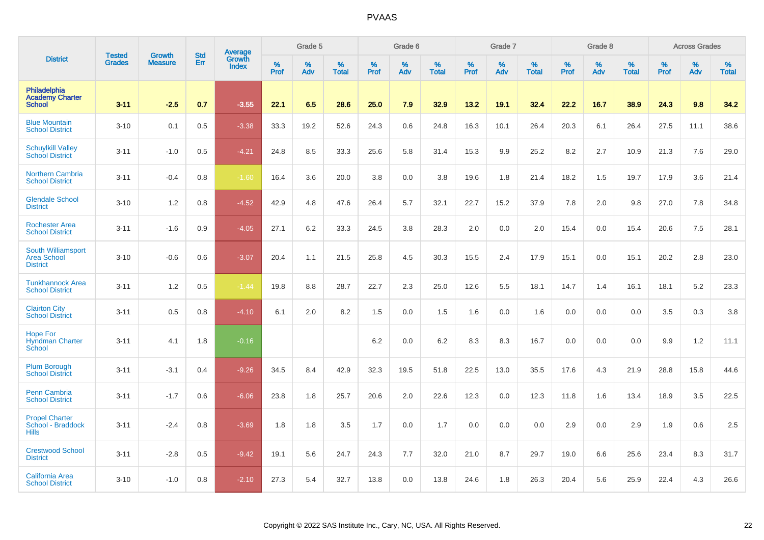|                                                                    |                                | <b>Growth</b>  | <b>Std</b> | Average                |              | Grade 5  |                   |           | Grade 6  |                   |           | Grade 7  |                   |           | Grade 8  |                   |           | <b>Across Grades</b> |                   |
|--------------------------------------------------------------------|--------------------------------|----------------|------------|------------------------|--------------|----------|-------------------|-----------|----------|-------------------|-----------|----------|-------------------|-----------|----------|-------------------|-----------|----------------------|-------------------|
| <b>District</b>                                                    | <b>Tested</b><br><b>Grades</b> | <b>Measure</b> | Err        | Growth<br><b>Index</b> | $\%$<br>Prof | %<br>Adv | %<br><b>Total</b> | %<br>Prof | %<br>Adv | %<br><b>Total</b> | %<br>Prof | %<br>Adv | %<br><b>Total</b> | %<br>Prof | %<br>Adv | %<br><b>Total</b> | %<br>Prof | %<br>Adv             | %<br><b>Total</b> |
| Philadelphia<br><b>Academy Charter</b><br><b>School</b>            | $3 - 11$                       | $-2.5$         | 0.7        | $-3.55$                | 22.1         | 6.5      | 28.6              | 25.0      | 7.9      | 32.9              | 13.2      | 19.1     | 32.4              | 22.2      | 16.7     | 38.9              | 24.3      | 9.8                  | 34.2              |
| <b>Blue Mountain</b><br><b>School District</b>                     | $3 - 10$                       | 0.1            | 0.5        | $-3.38$                | 33.3         | 19.2     | 52.6              | 24.3      | 0.6      | 24.8              | 16.3      | 10.1     | 26.4              | 20.3      | 6.1      | 26.4              | 27.5      | 11.1                 | 38.6              |
| <b>Schuylkill Valley</b><br><b>School District</b>                 | $3 - 11$                       | $-1.0$         | 0.5        | $-4.21$                | 24.8         | 8.5      | 33.3              | 25.6      | 5.8      | 31.4              | 15.3      | 9.9      | 25.2              | 8.2       | 2.7      | 10.9              | 21.3      | 7.6                  | 29.0              |
| <b>Northern Cambria</b><br><b>School District</b>                  | $3 - 11$                       | $-0.4$         | 0.8        | $-1.60$                | 16.4         | 3.6      | 20.0              | 3.8       | 0.0      | 3.8               | 19.6      | 1.8      | 21.4              | 18.2      | 1.5      | 19.7              | 17.9      | 3.6                  | 21.4              |
| <b>Glendale School</b><br><b>District</b>                          | $3 - 10$                       | 1.2            | 0.8        | $-4.52$                | 42.9         | 4.8      | 47.6              | 26.4      | 5.7      | 32.1              | 22.7      | 15.2     | 37.9              | 7.8       | 2.0      | 9.8               | 27.0      | 7.8                  | 34.8              |
| <b>Rochester Area</b><br><b>School District</b>                    | $3 - 11$                       | $-1.6$         | 0.9        | $-4.05$                | 27.1         | 6.2      | 33.3              | 24.5      | 3.8      | 28.3              | 2.0       | 0.0      | 2.0               | 15.4      | 0.0      | 15.4              | 20.6      | 7.5                  | 28.1              |
| <b>South Williamsport</b><br><b>Area School</b><br><b>District</b> | $3 - 10$                       | $-0.6$         | 0.6        | $-3.07$                | 20.4         | 1.1      | 21.5              | 25.8      | 4.5      | 30.3              | 15.5      | 2.4      | 17.9              | 15.1      | 0.0      | 15.1              | 20.2      | 2.8                  | 23.0              |
| <b>Tunkhannock Area</b><br><b>School District</b>                  | $3 - 11$                       | 1.2            | 0.5        | $-1.44$                | 19.8         | 8.8      | 28.7              | 22.7      | 2.3      | 25.0              | 12.6      | 5.5      | 18.1              | 14.7      | 1.4      | 16.1              | 18.1      | 5.2                  | 23.3              |
| <b>Clairton City</b><br><b>School District</b>                     | $3 - 11$                       | 0.5            | 0.8        | $-4.10$                | 6.1          | 2.0      | 8.2               | 1.5       | 0.0      | 1.5               | 1.6       | 0.0      | 1.6               | 0.0       | 0.0      | 0.0               | 3.5       | 0.3                  | 3.8               |
| <b>Hope For</b><br><b>Hyndman Charter</b><br>School                | $3 - 11$                       | 4.1            | 1.8        | $-0.16$                |              |          |                   | 6.2       | 0.0      | 6.2               | 8.3       | 8.3      | 16.7              | 0.0       | 0.0      | 0.0               | 9.9       | $1.2$                | 11.1              |
| <b>Plum Borough</b><br><b>School District</b>                      | $3 - 11$                       | $-3.1$         | 0.4        | $-9.26$                | 34.5         | 8.4      | 42.9              | 32.3      | 19.5     | 51.8              | 22.5      | 13.0     | 35.5              | 17.6      | 4.3      | 21.9              | 28.8      | 15.8                 | 44.6              |
| Penn Cambria<br><b>School District</b>                             | $3 - 11$                       | $-1.7$         | 0.6        | $-6.06$                | 23.8         | 1.8      | 25.7              | 20.6      | 2.0      | 22.6              | 12.3      | 0.0      | 12.3              | 11.8      | 1.6      | 13.4              | 18.9      | 3.5                  | 22.5              |
| <b>Propel Charter</b><br>School - Braddock<br><b>Hills</b>         | $3 - 11$                       | $-2.4$         | 0.8        | $-3.69$                | 1.8          | 1.8      | 3.5               | 1.7       | 0.0      | 1.7               | 0.0       | 0.0      | 0.0               | 2.9       | 0.0      | 2.9               | 1.9       | 0.6                  | $2.5\,$           |
| <b>Crestwood School</b><br><b>District</b>                         | $3 - 11$                       | $-2.8$         | 0.5        | $-9.42$                | 19.1         | 5.6      | 24.7              | 24.3      | 7.7      | 32.0              | 21.0      | 8.7      | 29.7              | 19.0      | 6.6      | 25.6              | 23.4      | 8.3                  | 31.7              |
| California Area<br><b>School District</b>                          | $3 - 10$                       | $-1.0$         | 0.8        | $-2.10$                | 27.3         | 5.4      | 32.7              | 13.8      | 0.0      | 13.8              | 24.6      | 1.8      | 26.3              | 20.4      | 5.6      | 25.9              | 22.4      | 4.3                  | 26.6              |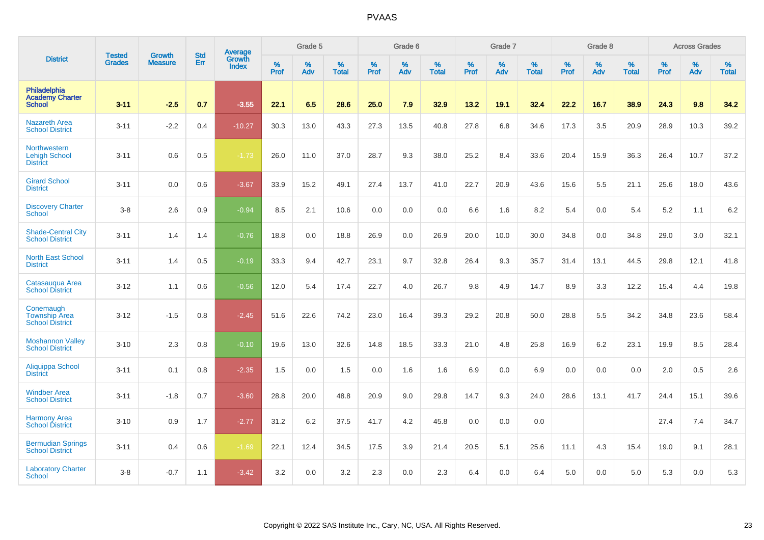|                                                                | <b>Tested</b> | <b>Growth</b>  | <b>Std</b> | <b>Average</b>                |           | Grade 5  |                   |           | Grade 6  |                   |           | Grade 7  |                   |           | Grade 8  |                   |           | <b>Across Grades</b> |                   |
|----------------------------------------------------------------|---------------|----------------|------------|-------------------------------|-----------|----------|-------------------|-----------|----------|-------------------|-----------|----------|-------------------|-----------|----------|-------------------|-----------|----------------------|-------------------|
| <b>District</b>                                                | <b>Grades</b> | <b>Measure</b> | Err        | <b>Growth</b><br><b>Index</b> | %<br>Prof | %<br>Adv | %<br><b>Total</b> | %<br>Prof | %<br>Adv | %<br><b>Total</b> | %<br>Prof | %<br>Adv | %<br><b>Total</b> | %<br>Prof | %<br>Adv | %<br><b>Total</b> | %<br>Prof | %<br>Adv             | %<br><b>Total</b> |
| <b>Philadelphia</b><br><b>Academy Charter</b><br><b>School</b> | $3 - 11$      | $-2.5$         | 0.7        | $-3.55$                       | 22.1      | 6.5      | 28.6              | 25.0      | 7.9      | 32.9              | 13.2      | 19.1     | 32.4              | 22.2      | 16.7     | 38.9              | 24.3      | 9.8                  | 34.2              |
| <b>Nazareth Area</b><br><b>School District</b>                 | $3 - 11$      | $-2.2$         | 0.4        | $-10.27$                      | 30.3      | 13.0     | 43.3              | 27.3      | 13.5     | 40.8              | 27.8      | 6.8      | 34.6              | 17.3      | 3.5      | 20.9              | 28.9      | 10.3                 | 39.2              |
| Northwestern<br><b>Lehigh School</b><br><b>District</b>        | $3 - 11$      | 0.6            | 0.5        | $-1.73$                       | 26.0      | 11.0     | 37.0              | 28.7      | 9.3      | 38.0              | 25.2      | 8.4      | 33.6              | 20.4      | 15.9     | 36.3              | 26.4      | 10.7                 | 37.2              |
| <b>Girard School</b><br><b>District</b>                        | $3 - 11$      | 0.0            | 0.6        | $-3.67$                       | 33.9      | 15.2     | 49.1              | 27.4      | 13.7     | 41.0              | 22.7      | 20.9     | 43.6              | 15.6      | 5.5      | 21.1              | 25.6      | 18.0                 | 43.6              |
| <b>Discovery Charter</b><br><b>School</b>                      | $3-8$         | 2.6            | 0.9        | $-0.94$                       | 8.5       | 2.1      | 10.6              | 0.0       | 0.0      | 0.0               | 6.6       | 1.6      | 8.2               | 5.4       | 0.0      | 5.4               | 5.2       | 1.1                  | 6.2               |
| <b>Shade-Central City</b><br><b>School District</b>            | $3 - 11$      | 1.4            | 1.4        | $-0.76$                       | 18.8      | 0.0      | 18.8              | 26.9      | 0.0      | 26.9              | 20.0      | 10.0     | 30.0              | 34.8      | 0.0      | 34.8              | 29.0      | 3.0                  | 32.1              |
| <b>North East School</b><br><b>District</b>                    | $3 - 11$      | 1.4            | 0.5        | $-0.19$                       | 33.3      | 9.4      | 42.7              | 23.1      | 9.7      | 32.8              | 26.4      | 9.3      | 35.7              | 31.4      | 13.1     | 44.5              | 29.8      | 12.1                 | 41.8              |
| Catasauqua Area<br><b>School District</b>                      | $3 - 12$      | 1.1            | 0.6        | $-0.56$                       | 12.0      | 5.4      | 17.4              | 22.7      | 4.0      | 26.7              | 9.8       | 4.9      | 14.7              | 8.9       | 3.3      | 12.2              | 15.4      | 4.4                  | 19.8              |
| Conemaugh<br><b>Township Area</b><br><b>School District</b>    | $3 - 12$      | $-1.5$         | 0.8        | $-2.45$                       | 51.6      | 22.6     | 74.2              | 23.0      | 16.4     | 39.3              | 29.2      | 20.8     | 50.0              | 28.8      | 5.5      | 34.2              | 34.8      | 23.6                 | 58.4              |
| <b>Moshannon Valley</b><br><b>School District</b>              | $3 - 10$      | 2.3            | 0.8        | $-0.10$                       | 19.6      | 13.0     | 32.6              | 14.8      | 18.5     | 33.3              | 21.0      | 4.8      | 25.8              | 16.9      | 6.2      | 23.1              | 19.9      | 8.5                  | 28.4              |
| Aliquippa School<br><b>District</b>                            | $3 - 11$      | 0.1            | 0.8        | $-2.35$                       | 1.5       | 0.0      | 1.5               | 0.0       | 1.6      | 1.6               | 6.9       | 0.0      | 6.9               | 0.0       | 0.0      | 0.0               | 2.0       | 0.5                  | 2.6               |
| <b>Windber Area</b><br><b>School District</b>                  | $3 - 11$      | $-1.8$         | 0.7        | $-3.60$                       | 28.8      | 20.0     | 48.8              | 20.9      | 9.0      | 29.8              | 14.7      | 9.3      | 24.0              | 28.6      | 13.1     | 41.7              | 24.4      | 15.1                 | 39.6              |
| <b>Harmony Area</b><br><b>School District</b>                  | $3 - 10$      | 0.9            | 1.7        | $-2.77$                       | 31.2      | 6.2      | 37.5              | 41.7      | 4.2      | 45.8              | 0.0       | 0.0      | 0.0               |           |          |                   | 27.4      | 7.4                  | 34.7              |
| <b>Bermudian Springs</b><br><b>School District</b>             | $3 - 11$      | 0.4            | 0.6        | $-1.69$                       | 22.1      | 12.4     | 34.5              | 17.5      | 3.9      | 21.4              | 20.5      | 5.1      | 25.6              | 11.1      | 4.3      | 15.4              | 19.0      | 9.1                  | 28.1              |
| <b>Laboratory Charter</b><br><b>School</b>                     | $3 - 8$       | $-0.7$         | 1.1        | $-3.42$                       | 3.2       | 0.0      | 3.2               | 2.3       | 0.0      | 2.3               | 6.4       | 0.0      | 6.4               | 5.0       | 0.0      | 5.0               | 5.3       | 0.0                  | 5.3               |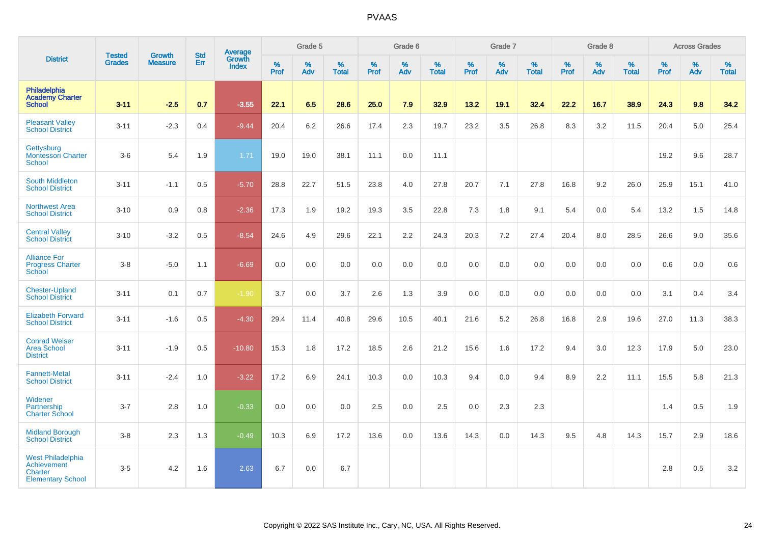|                                                                                       |                                |                                 | <b>Std</b> | Average                       |           | Grade 5  |                   |           | Grade 6  |                   |           | Grade 7  |                   |           | Grade 8  |                   |           | <b>Across Grades</b> |                   |
|---------------------------------------------------------------------------------------|--------------------------------|---------------------------------|------------|-------------------------------|-----------|----------|-------------------|-----------|----------|-------------------|-----------|----------|-------------------|-----------|----------|-------------------|-----------|----------------------|-------------------|
| <b>District</b>                                                                       | <b>Tested</b><br><b>Grades</b> | <b>Growth</b><br><b>Measure</b> | Err        | <b>Growth</b><br><b>Index</b> | %<br>Prof | %<br>Adv | %<br><b>Total</b> | %<br>Prof | %<br>Adv | %<br><b>Total</b> | %<br>Prof | %<br>Adv | %<br><b>Total</b> | %<br>Prof | %<br>Adv | %<br><b>Total</b> | %<br>Prof | %<br>Adv             | %<br><b>Total</b> |
| Philadelphia<br><b>Academy Charter</b><br><b>School</b>                               | $3 - 11$                       | $-2.5$                          | 0.7        | $-3.55$                       | 22.1      | 6.5      | 28.6              | 25.0      | 7.9      | 32.9              | 13.2      | 19.1     | 32.4              | 22.2      | 16.7     | 38.9              | 24.3      | 9.8                  | 34.2              |
| <b>Pleasant Valley</b><br><b>School District</b>                                      | $3 - 11$                       | $-2.3$                          | 0.4        | $-9.44$                       | 20.4      | 6.2      | 26.6              | 17.4      | 2.3      | 19.7              | 23.2      | 3.5      | 26.8              | 8.3       | 3.2      | 11.5              | 20.4      | 5.0                  | 25.4              |
| Gettysburg<br><b>Montessori Charter</b><br><b>School</b>                              | $3-6$                          | 5.4                             | 1.9        | 1.71                          | 19.0      | 19.0     | 38.1              | 11.1      | 0.0      | 11.1              |           |          |                   |           |          |                   | 19.2      | 9.6                  | 28.7              |
| <b>South Middleton</b><br><b>School District</b>                                      | $3 - 11$                       | $-1.1$                          | 0.5        | $-5.70$                       | 28.8      | 22.7     | 51.5              | 23.8      | 4.0      | 27.8              | 20.7      | 7.1      | 27.8              | 16.8      | 9.2      | 26.0              | 25.9      | 15.1                 | 41.0              |
| <b>Northwest Area</b><br><b>School District</b>                                       | $3 - 10$                       | 0.9                             | 0.8        | $-2.36$                       | 17.3      | 1.9      | 19.2              | 19.3      | 3.5      | 22.8              | 7.3       | 1.8      | 9.1               | 5.4       | 0.0      | 5.4               | 13.2      | 1.5                  | 14.8              |
| <b>Central Valley</b><br><b>School District</b>                                       | $3 - 10$                       | $-3.2$                          | 0.5        | $-8.54$                       | 24.6      | 4.9      | 29.6              | 22.1      | 2.2      | 24.3              | 20.3      | 7.2      | 27.4              | 20.4      | 8.0      | 28.5              | 26.6      | 9.0                  | 35.6              |
| <b>Alliance For</b><br><b>Progress Charter</b><br>School                              | $3 - 8$                        | $-5.0$                          | 1.1        | $-6.69$                       | 0.0       | 0.0      | 0.0               | 0.0       | 0.0      | 0.0               | 0.0       | 0.0      | 0.0               | $0.0\,$   | 0.0      | 0.0               | 0.6       | 0.0                  | $0.6\,$           |
| <b>Chester-Upland</b><br><b>School District</b>                                       | $3 - 11$                       | 0.1                             | 0.7        | $-1.90$                       | 3.7       | 0.0      | 3.7               | 2.6       | 1.3      | 3.9               | 0.0       | 0.0      | 0.0               | 0.0       | 0.0      | 0.0               | 3.1       | 0.4                  | 3.4               |
| <b>Elizabeth Forward</b><br><b>School District</b>                                    | $3 - 11$                       | $-1.6$                          | 0.5        | $-4.30$                       | 29.4      | 11.4     | 40.8              | 29.6      | 10.5     | 40.1              | 21.6      | 5.2      | 26.8              | 16.8      | 2.9      | 19.6              | 27.0      | 11.3                 | 38.3              |
| <b>Conrad Weiser</b><br><b>Area School</b><br><b>District</b>                         | $3 - 11$                       | $-1.9$                          | 0.5        | $-10.80$                      | 15.3      | 1.8      | 17.2              | 18.5      | 2.6      | 21.2              | 15.6      | 1.6      | 17.2              | 9.4       | 3.0      | 12.3              | 17.9      | 5.0                  | 23.0              |
| <b>Fannett-Metal</b><br><b>School District</b>                                        | $3 - 11$                       | $-2.4$                          | 1.0        | $-3.22$                       | 17.2      | 6.9      | 24.1              | 10.3      | 0.0      | 10.3              | 9.4       | 0.0      | 9.4               | 8.9       | 2.2      | 11.1              | 15.5      | 5.8                  | 21.3              |
| Widener<br>Partnership<br><b>Charter School</b>                                       | $3 - 7$                        | 2.8                             | 1.0        | $-0.33$                       | 0.0       | 0.0      | 0.0               | 2.5       | 0.0      | 2.5               | 0.0       | 2.3      | 2.3               |           |          |                   | 1.4       | $0.5\,$              | 1.9               |
| <b>Midland Borough</b><br><b>School District</b>                                      | $3 - 8$                        | 2.3                             | 1.3        | $-0.49$                       | 10.3      | 6.9      | 17.2              | 13.6      | 0.0      | 13.6              | 14.3      | 0.0      | 14.3              | 9.5       | 4.8      | 14.3              | 15.7      | 2.9                  | 18.6              |
| <b>West Philadelphia</b><br>Achievement<br><b>Charter</b><br><b>Elementary School</b> | $3-5$                          | 4.2                             | 1.6        | 2.63                          | 6.7       | 0.0      | 6.7               |           |          |                   |           |          |                   |           |          |                   | 2.8       | 0.5                  | $3.2\,$           |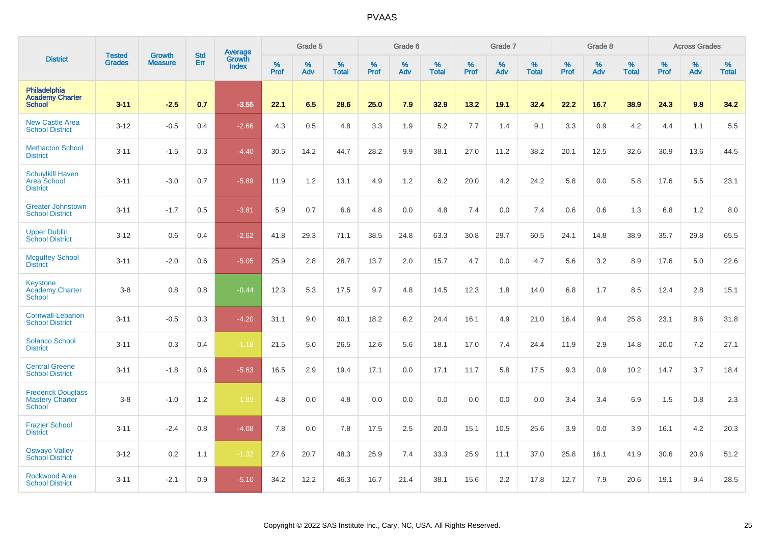|                                                                  |                                | <b>Growth</b>  | <b>Std</b> | Average         |           | Grade 5  |                   |           | Grade 6  |                   |              | Grade 7  |                   |           | Grade 8  |                   |              | <b>Across Grades</b> |                   |
|------------------------------------------------------------------|--------------------------------|----------------|------------|-----------------|-----------|----------|-------------------|-----------|----------|-------------------|--------------|----------|-------------------|-----------|----------|-------------------|--------------|----------------------|-------------------|
| <b>District</b>                                                  | <b>Tested</b><br><b>Grades</b> | <b>Measure</b> | Err        | Growth<br>Index | %<br>Prof | %<br>Adv | %<br><b>Total</b> | %<br>Prof | %<br>Adv | %<br><b>Total</b> | $\%$<br>Prof | %<br>Adv | %<br><b>Total</b> | %<br>Prof | %<br>Adv | %<br><b>Total</b> | $\%$<br>Prof | %<br>Adv             | %<br><b>Total</b> |
| Philadelphia<br><b>Academy Charter</b><br><b>School</b>          | $3 - 11$                       | $-2.5$         | 0.7        | $-3.55$         | 22.1      | 6.5      | 28.6              | 25.0      | 7.9      | 32.9              | 13.2         | 19.1     | 32.4              | 22.2      | 16.7     | 38.9              | 24.3         | 9.8                  | 34.2              |
| <b>New Castle Area</b><br><b>School District</b>                 | $3 - 12$                       | $-0.5$         | 0.4        | $-2.66$         | 4.3       | 0.5      | 4.8               | 3.3       | 1.9      | 5.2               | 7.7          | 1.4      | 9.1               | 3.3       | 0.9      | 4.2               | 4.4          | 1.1                  | 5.5               |
| <b>Methacton School</b><br><b>District</b>                       | $3 - 11$                       | $-1.5$         | 0.3        | $-4.40$         | 30.5      | 14.2     | 44.7              | 28.2      | 9.9      | 38.1              | 27.0         | 11.2     | 38.2              | 20.1      | 12.5     | 32.6              | 30.9         | 13.6                 | 44.5              |
| <b>Schuylkill Haven</b><br><b>Area School</b><br><b>District</b> | $3 - 11$                       | $-3.0$         | 0.7        | $-5.89$         | 11.9      | 1.2      | 13.1              | 4.9       | 1.2      | 6.2               | 20.0         | 4.2      | 24.2              | 5.8       | 0.0      | 5.8               | 17.6         | 5.5                  | 23.1              |
| <b>Greater Johnstown</b><br><b>School District</b>               | $3 - 11$                       | $-1.7$         | 0.5        | $-3.81$         | 5.9       | 0.7      | 6.6               | 4.8       | 0.0      | 4.8               | 7.4          | 0.0      | 7.4               | 0.6       | 0.6      | 1.3               | 6.8          | 1.2                  | 8.0               |
| <b>Upper Dublin</b><br><b>School District</b>                    | $3 - 12$                       | 0.6            | 0.4        | $-2.62$         | 41.8      | 29.3     | 71.1              | 38.5      | 24.8     | 63.3              | 30.8         | 29.7     | 60.5              | 24.1      | 14.8     | 38.9              | 35.7         | 29.8                 | 65.5              |
| <b>Mcguffey School</b><br><b>District</b>                        | $3 - 11$                       | $-2.0$         | 0.6        | $-5.05$         | 25.9      | 2.8      | 28.7              | 13.7      | 2.0      | 15.7              | 4.7          | 0.0      | 4.7               | 5.6       | 3.2      | 8.9               | 17.6         | 5.0                  | 22.6              |
| Keystone<br><b>Academy Charter</b><br>School                     | $3-8$                          | 0.8            | 0.8        | $-0.44$         | 12.3      | 5.3      | 17.5              | 9.7       | 4.8      | 14.5              | 12.3         | 1.8      | 14.0              | 6.8       | 1.7      | 8.5               | 12.4         | 2.8                  | 15.1              |
| Cornwall-Lebanon<br><b>School District</b>                       | $3 - 11$                       | $-0.5$         | 0.3        | $-4.20$         | 31.1      | 9.0      | 40.1              | 18.2      | 6.2      | 24.4              | 16.1         | 4.9      | 21.0              | 16.4      | 9.4      | 25.8              | 23.1         | 8.6                  | 31.8              |
| <b>Solanco School</b><br><b>District</b>                         | $3 - 11$                       | 0.3            | 0.4        | $-1.18$         | 21.5      | 5.0      | 26.5              | 12.6      | 5.6      | 18.1              | 17.0         | 7.4      | 24.4              | 11.9      | 2.9      | 14.8              | 20.0         | 7.2                  | 27.1              |
| <b>Central Greene</b><br><b>School District</b>                  | $3 - 11$                       | $-1.8$         | 0.6        | $-5.63$         | 16.5      | 2.9      | 19.4              | 17.1      | 0.0      | 17.1              | 11.7         | 5.8      | 17.5              | 9.3       | 0.9      | 10.2              | 14.7         | 3.7                  | 18.4              |
| <b>Frederick Douglass</b><br><b>Mastery Charter</b><br>School    | $3-8$                          | $-1.0$         | 1.2        | $-1.85$         | 4.8       | 0.0      | 4.8               | 0.0       | 0.0      | 0.0               | 0.0          | 0.0      | 0.0               | 3.4       | 3.4      | 6.9               | 1.5          | 0.8                  | 2.3               |
| <b>Frazier School</b><br><b>District</b>                         | $3 - 11$                       | $-2.4$         | 0.8        | $-4.08$         | 7.8       | 0.0      | 7.8               | 17.5      | 2.5      | 20.0              | 15.1         | 10.5     | 25.6              | 3.9       | 0.0      | 3.9               | 16.1         | 4.2                  | 20.3              |
| <b>Oswayo Valley</b><br><b>School District</b>                   | $3-12$                         | 0.2            | 1.1        | $-1.32$         | 27.6      | 20.7     | 48.3              | 25.9      | 7.4      | 33.3              | 25.9         | 11.1     | 37.0              | 25.8      | 16.1     | 41.9              | 30.6         | 20.6                 | 51.2              |
| Rockwood Area<br><b>School District</b>                          | $3 - 11$                       | $-2.1$         | 0.9        | $-5.10$         | 34.2      | 12.2     | 46.3              | 16.7      | 21.4     | 38.1              | 15.6         | 2.2      | 17.8              | 12.7      | 7.9      | 20.6              | 19.1         | 9.4                  | 28.5              |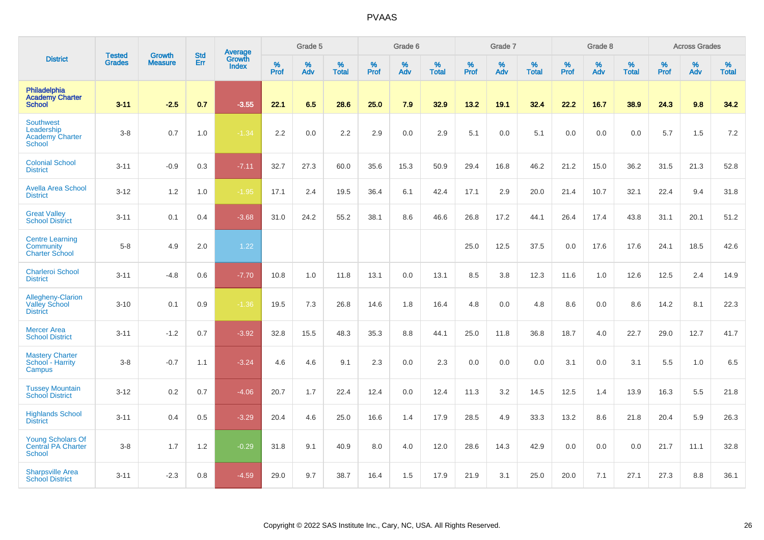|                                                                        |                                | <b>Growth</b>  | <b>Std</b> | Average                |           | Grade 5  |                   |           | Grade 6  |                   |           | Grade 7  |                   |           | Grade 8  |                   |           | <b>Across Grades</b> |                   |
|------------------------------------------------------------------------|--------------------------------|----------------|------------|------------------------|-----------|----------|-------------------|-----------|----------|-------------------|-----------|----------|-------------------|-----------|----------|-------------------|-----------|----------------------|-------------------|
| <b>District</b>                                                        | <b>Tested</b><br><b>Grades</b> | <b>Measure</b> | Err        | Growth<br><b>Index</b> | %<br>Prof | %<br>Adv | %<br><b>Total</b> | %<br>Prof | %<br>Adv | %<br><b>Total</b> | %<br>Prof | %<br>Adv | %<br><b>Total</b> | %<br>Prof | %<br>Adv | %<br><b>Total</b> | %<br>Prof | %<br>Adv             | %<br><b>Total</b> |
| Philadelphia<br><b>Academy Charter</b><br><b>School</b>                | $3 - 11$                       | $-2.5$         | 0.7        | $-3.55$                | 22.1      | 6.5      | 28.6              | 25.0      | 7.9      | 32.9              | 13.2      | 19.1     | 32.4              | 22.2      | 16.7     | 38.9              | 24.3      | 9.8                  | 34.2              |
| Southwest<br>Leadership<br><b>Academy Charter</b><br><b>School</b>     | $3-8$                          | 0.7            | 1.0        | $-1.34$                | 2.2       | 0.0      | 2.2               | 2.9       | 0.0      | 2.9               | 5.1       | 0.0      | 5.1               | $0.0\,$   | 0.0      | 0.0               | 5.7       | 1.5                  | 7.2               |
| <b>Colonial School</b><br><b>District</b>                              | $3 - 11$                       | $-0.9$         | 0.3        | $-7.11$                | 32.7      | 27.3     | 60.0              | 35.6      | 15.3     | 50.9              | 29.4      | 16.8     | 46.2              | 21.2      | 15.0     | 36.2              | 31.5      | 21.3                 | 52.8              |
| <b>Avella Area School</b><br><b>District</b>                           | $3 - 12$                       | 1.2            | 1.0        | $-1.95$                | 17.1      | 2.4      | 19.5              | 36.4      | 6.1      | 42.4              | 17.1      | 2.9      | 20.0              | 21.4      | 10.7     | 32.1              | 22.4      | 9.4                  | 31.8              |
| <b>Great Valley</b><br><b>School District</b>                          | $3 - 11$                       | 0.1            | 0.4        | $-3.68$                | 31.0      | 24.2     | 55.2              | 38.1      | 8.6      | 46.6              | 26.8      | 17.2     | 44.1              | 26.4      | 17.4     | 43.8              | 31.1      | 20.1                 | 51.2              |
| <b>Centre Learning</b><br>Community<br><b>Charter School</b>           | $5-8$                          | 4.9            | 2.0        | 1.22                   |           |          |                   |           |          |                   | 25.0      | 12.5     | 37.5              | 0.0       | 17.6     | 17.6              | 24.1      | 18.5                 | 42.6              |
| <b>Charleroi School</b><br><b>District</b>                             | $3 - 11$                       | $-4.8$         | 0.6        | $-7.70$                | 10.8      | 1.0      | 11.8              | 13.1      | 0.0      | 13.1              | 8.5       | 3.8      | 12.3              | 11.6      | 1.0      | 12.6              | 12.5      | 2.4                  | 14.9              |
| Allegheny-Clarion<br><b>Valley School</b><br><b>District</b>           | $3 - 10$                       | 0.1            | 0.9        | $-1.36$                | 19.5      | 7.3      | 26.8              | 14.6      | 1.8      | 16.4              | 4.8       | 0.0      | 4.8               | 8.6       | 0.0      | 8.6               | 14.2      | 8.1                  | 22.3              |
| <b>Mercer Area</b><br><b>School District</b>                           | $3 - 11$                       | $-1.2$         | 0.7        | $-3.92$                | 32.8      | 15.5     | 48.3              | 35.3      | 8.8      | 44.1              | 25.0      | 11.8     | 36.8              | 18.7      | 4.0      | 22.7              | 29.0      | 12.7                 | 41.7              |
| <b>Mastery Charter</b><br>School - Harrity<br>Campus                   | $3-8$                          | $-0.7$         | 1.1        | $-3.24$                | 4.6       | 4.6      | 9.1               | 2.3       | 0.0      | 2.3               | $0.0\,$   | 0.0      | 0.0               | 3.1       | 0.0      | 3.1               | 5.5       | 1.0                  | 6.5               |
| <b>Tussey Mountain</b><br><b>School District</b>                       | $3 - 12$                       | 0.2            | 0.7        | $-4.06$                | 20.7      | 1.7      | 22.4              | 12.4      | 0.0      | 12.4              | 11.3      | 3.2      | 14.5              | 12.5      | 1.4      | 13.9              | 16.3      | 5.5                  | 21.8              |
| <b>Highlands School</b><br><b>District</b>                             | $3 - 11$                       | 0.4            | 0.5        | $-3.29$                | 20.4      | 4.6      | 25.0              | 16.6      | 1.4      | 17.9              | 28.5      | 4.9      | 33.3              | 13.2      | 8.6      | 21.8              | 20.4      | 5.9                  | 26.3              |
| <b>Young Scholars Of</b><br><b>Central PA Charter</b><br><b>School</b> | $3-8$                          | 1.7            | 1.2        | $-0.29$                | 31.8      | 9.1      | 40.9              | 8.0       | 4.0      | 12.0              | 28.6      | 14.3     | 42.9              | 0.0       | 0.0      | 0.0               | 21.7      | 11.1                 | 32.8              |
| <b>Sharpsville Area</b><br><b>School District</b>                      | $3 - 11$                       | $-2.3$         | 0.8        | $-4.59$                | 29.0      | 9.7      | 38.7              | 16.4      | 1.5      | 17.9              | 21.9      | 3.1      | 25.0              | 20.0      | 7.1      | 27.1              | 27.3      | 8.8                  | 36.1              |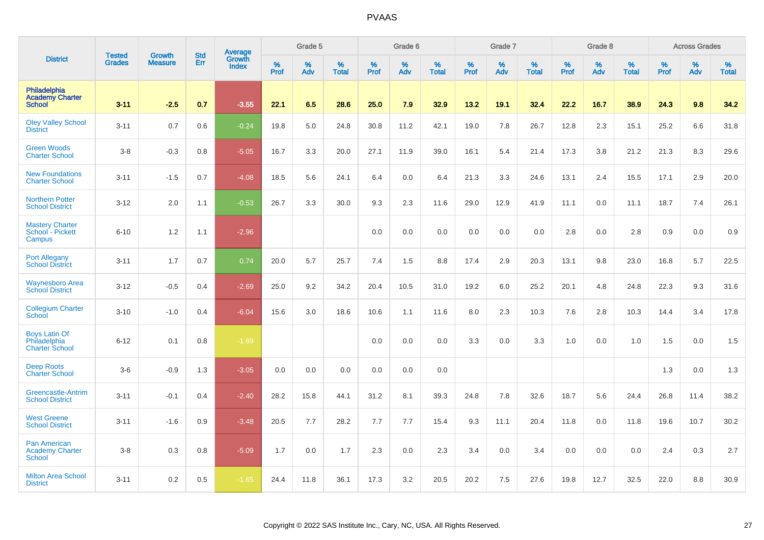|                                                               |                                | <b>Growth</b>  | <b>Std</b> | Average                |              | Grade 5  |                   |           | Grade 6  |                   |           | Grade 7  |                   |           | Grade 8  |                   |           | <b>Across Grades</b> |                   |
|---------------------------------------------------------------|--------------------------------|----------------|------------|------------------------|--------------|----------|-------------------|-----------|----------|-------------------|-----------|----------|-------------------|-----------|----------|-------------------|-----------|----------------------|-------------------|
| <b>District</b>                                               | <b>Tested</b><br><b>Grades</b> | <b>Measure</b> | Err        | Growth<br><b>Index</b> | $\%$<br>Prof | %<br>Adv | %<br><b>Total</b> | %<br>Prof | %<br>Adv | %<br><b>Total</b> | %<br>Prof | %<br>Adv | %<br><b>Total</b> | %<br>Prof | %<br>Adv | %<br><b>Total</b> | %<br>Prof | %<br>Adv             | %<br><b>Total</b> |
| Philadelphia<br><b>Academy Charter</b><br><b>School</b>       | $3 - 11$                       | $-2.5$         | 0.7        | $-3.55$                | 22.1         | 6.5      | 28.6              | 25.0      | 7.9      | 32.9              | 13.2      | 19.1     | 32.4              | 22.2      | 16.7     | 38.9              | 24.3      | 9.8                  | 34.2              |
| <b>Oley Valley School</b><br><b>District</b>                  | $3 - 11$                       | 0.7            | 0.6        | $-0.24$                | 19.8         | 5.0      | 24.8              | 30.8      | 11.2     | 42.1              | 19.0      | 7.8      | 26.7              | 12.8      | 2.3      | 15.1              | 25.2      | 6.6                  | 31.8              |
| <b>Green Woods</b><br><b>Charter School</b>                   | $3-8$                          | $-0.3$         | 0.8        | $-5.05$                | 16.7         | 3.3      | 20.0              | 27.1      | 11.9     | 39.0              | 16.1      | 5.4      | 21.4              | 17.3      | 3.8      | 21.2              | 21.3      | 8.3                  | 29.6              |
| <b>New Foundations</b><br><b>Charter School</b>               | $3 - 11$                       | $-1.5$         | 0.7        | $-4.08$                | 18.5         | 5.6      | 24.1              | 6.4       | 0.0      | 6.4               | 21.3      | 3.3      | 24.6              | 13.1      | 2.4      | 15.5              | 17.1      | 2.9                  | 20.0              |
| <b>Northern Potter</b><br><b>School District</b>              | $3 - 12$                       | 2.0            | 1.1        | $-0.53$                | 26.7         | 3.3      | 30.0              | 9.3       | 2.3      | 11.6              | 29.0      | 12.9     | 41.9              | 11.1      | 0.0      | 11.1              | 18.7      | 7.4                  | 26.1              |
| <b>Mastery Charter</b><br>School - Pickett<br>Campus          | $6 - 10$                       | 1.2            | 1.1        | $-2.96$                |              |          |                   | 0.0       | 0.0      | 0.0               | 0.0       | 0.0      | 0.0               | 2.8       | 0.0      | 2.8               | 0.9       | 0.0                  | 0.9               |
| <b>Port Allegany</b><br><b>School District</b>                | $3 - 11$                       | 1.7            | 0.7        | 0.74                   | 20.0         | 5.7      | 25.7              | 7.4       | 1.5      | 8.8               | 17.4      | 2.9      | 20.3              | 13.1      | 9.8      | 23.0              | 16.8      | 5.7                  | 22.5              |
| <b>Waynesboro Area</b><br><b>School District</b>              | $3 - 12$                       | $-0.5$         | 0.4        | $-2.69$                | 25.0         | 9.2      | 34.2              | 20.4      | 10.5     | 31.0              | 19.2      | 6.0      | 25.2              | 20.1      | 4.8      | 24.8              | 22.3      | 9.3                  | 31.6              |
| <b>Collegium Charter</b><br><b>School</b>                     | $3 - 10$                       | $-1.0$         | 0.4        | $-6.04$                | 15.6         | 3.0      | 18.6              | 10.6      | 1.1      | 11.6              | 8.0       | 2.3      | 10.3              | 7.6       | 2.8      | 10.3              | 14.4      | 3.4                  | 17.8              |
| <b>Boys Latin Of</b><br>Philadelphia<br><b>Charter School</b> | $6 - 12$                       | 0.1            | 0.8        | $-1.69$                |              |          |                   | 0.0       | 0.0      | 0.0               | 3.3       | 0.0      | 3.3               | 1.0       | 0.0      | 1.0               | 1.5       | 0.0                  | 1.5               |
| <b>Deep Roots</b><br><b>Charter School</b>                    | $3-6$                          | $-0.9$         | 1.3        | $-3.05$                | 0.0          | 0.0      | 0.0               | 0.0       | 0.0      | 0.0               |           |          |                   |           |          |                   | 1.3       | 0.0                  | 1.3               |
| Greencastle-Antrim<br><b>School District</b>                  | $3 - 11$                       | $-0.1$         | 0.4        | $-2.40$                | 28.2         | 15.8     | 44.1              | 31.2      | 8.1      | 39.3              | 24.8      | 7.8      | 32.6              | 18.7      | 5.6      | 24.4              | 26.8      | 11.4                 | 38.2              |
| <b>West Greene</b><br><b>School District</b>                  | $3 - 11$                       | $-1.6$         | 0.9        | $-3.48$                | 20.5         | 7.7      | 28.2              | 7.7       | 7.7      | 15.4              | 9.3       | 11.1     | 20.4              | 11.8      | 0.0      | 11.8              | 19.6      | 10.7                 | 30.2              |
| <b>Pan American</b><br><b>Academy Charter</b><br>School       | $3-8$                          | 0.3            | 0.8        | $-5.09$                | 1.7          | 0.0      | 1.7               | 2.3       | 0.0      | 2.3               | 3.4       | 0.0      | 3.4               | 0.0       | 0.0      | 0.0               | 2.4       | 0.3                  | 2.7               |
| <b>Milton Area School</b><br><b>District</b>                  | $3 - 11$                       | 0.2            | 0.5        | $-1.65$                | 24.4         | 11.8     | 36.1              | 17.3      | 3.2      | 20.5              | 20.2      | 7.5      | 27.6              | 19.8      | 12.7     | 32.5              | 22.0      | 8.8                  | 30.9              |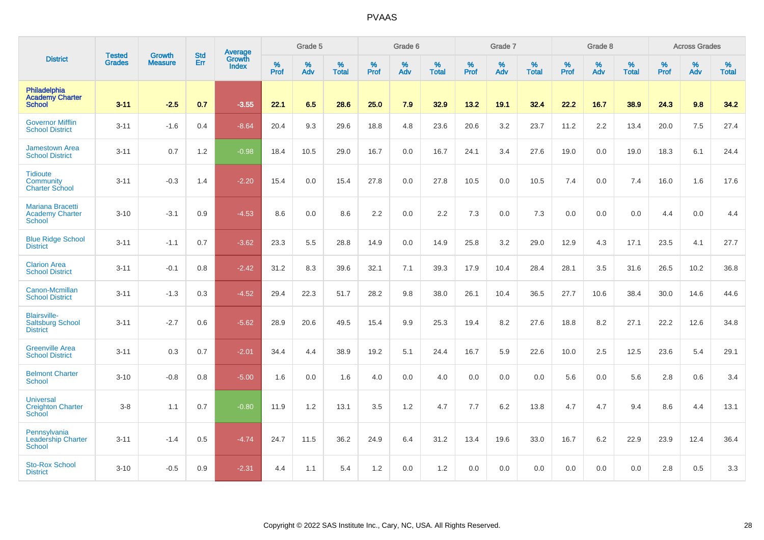|                                                                   |                                |                                 | <b>Std</b> | Average                       |           | Grade 5  |                   |           | Grade 6  |                   |           | Grade 7  |                   |           | Grade 8  |                   |           | <b>Across Grades</b> |                   |
|-------------------------------------------------------------------|--------------------------------|---------------------------------|------------|-------------------------------|-----------|----------|-------------------|-----------|----------|-------------------|-----------|----------|-------------------|-----------|----------|-------------------|-----------|----------------------|-------------------|
| <b>District</b>                                                   | <b>Tested</b><br><b>Grades</b> | <b>Growth</b><br><b>Measure</b> | Err        | <b>Growth</b><br><b>Index</b> | %<br>Prof | %<br>Adv | %<br><b>Total</b> | %<br>Prof | %<br>Adv | %<br><b>Total</b> | %<br>Prof | %<br>Adv | %<br><b>Total</b> | %<br>Prof | %<br>Adv | %<br><b>Total</b> | %<br>Prof | %<br>Adv             | %<br><b>Total</b> |
| Philadelphia<br><b>Academy Charter</b><br><b>School</b>           | $3 - 11$                       | $-2.5$                          | 0.7        | $-3.55$                       | 22.1      | 6.5      | 28.6              | 25.0      | 7.9      | 32.9              | 13.2      | 19.1     | 32.4              | 22.2      | 16.7     | 38.9              | 24.3      | 9.8                  | 34.2              |
| <b>Governor Mifflin</b><br><b>School District</b>                 | $3 - 11$                       | $-1.6$                          | 0.4        | $-8.64$                       | 20.4      | 9.3      | 29.6              | 18.8      | 4.8      | 23.6              | 20.6      | 3.2      | 23.7              | 11.2      | 2.2      | 13.4              | 20.0      | 7.5                  | 27.4              |
| <b>Jamestown Area</b><br><b>School District</b>                   | $3 - 11$                       | 0.7                             | 1.2        | $-0.98$                       | 18.4      | 10.5     | 29.0              | 16.7      | 0.0      | 16.7              | 24.1      | 3.4      | 27.6              | 19.0      | 0.0      | 19.0              | 18.3      | 6.1                  | 24.4              |
| <b>Tidioute</b><br>Community<br><b>Charter School</b>             | $3 - 11$                       | $-0.3$                          | 1.4        | $-2.20$                       | 15.4      | $0.0\,$  | 15.4              | 27.8      | 0.0      | 27.8              | 10.5      | 0.0      | 10.5              | 7.4       | 0.0      | 7.4               | 16.0      | 1.6                  | 17.6              |
| Mariana Bracetti<br><b>Academy Charter</b><br>School              | $3 - 10$                       | $-3.1$                          | 0.9        | $-4.53$                       | 8.6       | 0.0      | 8.6               | 2.2       | 0.0      | 2.2               | 7.3       | 0.0      | 7.3               | 0.0       | 0.0      | 0.0               | 4.4       | 0.0                  | 4.4               |
| <b>Blue Ridge School</b><br><b>District</b>                       | $3 - 11$                       | $-1.1$                          | 0.7        | $-3.62$                       | 23.3      | 5.5      | 28.8              | 14.9      | 0.0      | 14.9              | 25.8      | 3.2      | 29.0              | 12.9      | 4.3      | 17.1              | 23.5      | 4.1                  | 27.7              |
| <b>Clarion Area</b><br><b>School District</b>                     | $3 - 11$                       | $-0.1$                          | 0.8        | $-2.42$                       | 31.2      | 8.3      | 39.6              | 32.1      | 7.1      | 39.3              | 17.9      | 10.4     | 28.4              | 28.1      | 3.5      | 31.6              | 26.5      | 10.2                 | 36.8              |
| Canon-Mcmillan<br><b>School District</b>                          | $3 - 11$                       | $-1.3$                          | 0.3        | $-4.52$                       | 29.4      | 22.3     | 51.7              | 28.2      | 9.8      | 38.0              | 26.1      | 10.4     | 36.5              | 27.7      | 10.6     | 38.4              | 30.0      | 14.6                 | 44.6              |
| <b>Blairsville-</b><br><b>Saltsburg School</b><br><b>District</b> | $3 - 11$                       | $-2.7$                          | 0.6        | $-5.62$                       | 28.9      | 20.6     | 49.5              | 15.4      | 9.9      | 25.3              | 19.4      | 8.2      | 27.6              | 18.8      | 8.2      | 27.1              | 22.2      | 12.6                 | 34.8              |
| <b>Greenville Area</b><br><b>School District</b>                  | $3 - 11$                       | 0.3                             | 0.7        | $-2.01$                       | 34.4      | 4.4      | 38.9              | 19.2      | 5.1      | 24.4              | 16.7      | 5.9      | 22.6              | 10.0      | 2.5      | 12.5              | 23.6      | 5.4                  | 29.1              |
| <b>Belmont Charter</b><br><b>School</b>                           | $3 - 10$                       | $-0.8$                          | 0.8        | $-5.00$                       | 1.6       | 0.0      | 1.6               | 4.0       | 0.0      | 4.0               | 0.0       | 0.0      | 0.0               | 5.6       | 0.0      | 5.6               | 2.8       | 0.6                  | 3.4               |
| <b>Universal</b><br><b>Creighton Charter</b><br><b>School</b>     | $3-8$                          | 1.1                             | 0.7        | $-0.80$                       | 11.9      | 1.2      | 13.1              | 3.5       | 1.2      | 4.7               | 7.7       | 6.2      | 13.8              | 4.7       | 4.7      | 9.4               | 8.6       | 4.4                  | 13.1              |
| Pennsylvania<br><b>Leadership Charter</b><br><b>School</b>        | $3 - 11$                       | $-1.4$                          | 0.5        | $-4.74$                       | 24.7      | 11.5     | 36.2              | 24.9      | 6.4      | 31.2              | 13.4      | 19.6     | 33.0              | 16.7      | 6.2      | 22.9              | 23.9      | 12.4                 | 36.4              |
| <b>Sto-Rox School</b><br><b>District</b>                          | $3 - 10$                       | $-0.5$                          | 0.9        | $-2.31$                       | 4.4       | 1.1      | 5.4               | 1.2       | 0.0      | 1.2               | 0.0       | 0.0      | 0.0               | 0.0       | 0.0      | 0.0               | 2.8       | 0.5                  | 3.3               |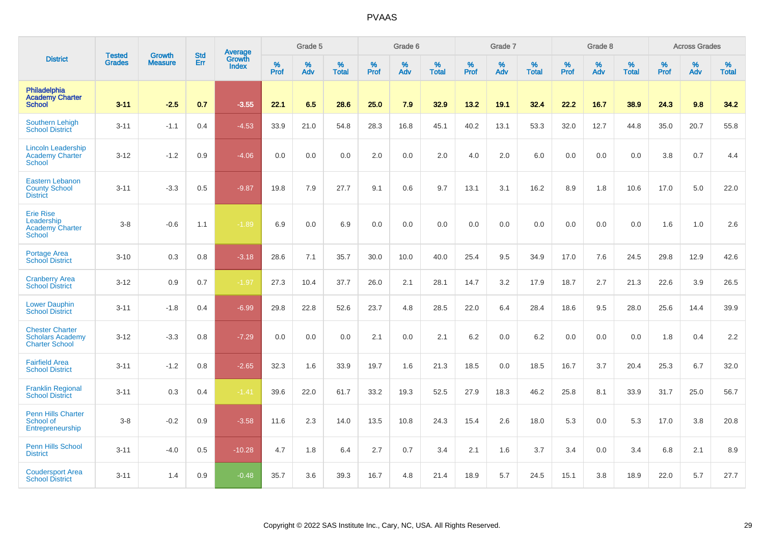|                                                                            |                                |                                 | <b>Std</b> | <b>Average</b>                |           | Grade 5  |                   |           | Grade 6  |                   |           | Grade 7  |                   |           | Grade 8  |                   |           | <b>Across Grades</b> |                   |
|----------------------------------------------------------------------------|--------------------------------|---------------------------------|------------|-------------------------------|-----------|----------|-------------------|-----------|----------|-------------------|-----------|----------|-------------------|-----------|----------|-------------------|-----------|----------------------|-------------------|
| <b>District</b>                                                            | <b>Tested</b><br><b>Grades</b> | <b>Growth</b><br><b>Measure</b> | Err        | <b>Growth</b><br><b>Index</b> | %<br>Prof | %<br>Adv | %<br><b>Total</b> | %<br>Prof | %<br>Adv | %<br><b>Total</b> | %<br>Prof | %<br>Adv | %<br><b>Total</b> | %<br>Prof | %<br>Adv | %<br><b>Total</b> | %<br>Prof | %<br>Adv             | %<br><b>Total</b> |
| Philadelphia<br><b>Academy Charter</b><br><b>School</b>                    | $3 - 11$                       | $-2.5$                          | 0.7        | $-3.55$                       | 22.1      | 6.5      | 28.6              | 25.0      | 7.9      | 32.9              | 13.2      | 19.1     | 32.4              | 22.2      | 16.7     | 38.9              | 24.3      | 9.8                  | 34.2              |
| <b>Southern Lehigh</b><br><b>School District</b>                           | $3 - 11$                       | $-1.1$                          | 0.4        | $-4.53$                       | 33.9      | 21.0     | 54.8              | 28.3      | 16.8     | 45.1              | 40.2      | 13.1     | 53.3              | 32.0      | 12.7     | 44.8              | 35.0      | 20.7                 | 55.8              |
| <b>Lincoln Leadership</b><br>Academy Charter<br><b>School</b>              | $3 - 12$                       | $-1.2$                          | 0.9        | $-4.06$                       | 0.0       | 0.0      | 0.0               | 2.0       | 0.0      | 2.0               | 4.0       | 2.0      | 6.0               | 0.0       | 0.0      | 0.0               | 3.8       | 0.7                  | 4.4               |
| <b>Eastern Lebanon</b><br><b>County School</b><br><b>District</b>          | $3 - 11$                       | $-3.3$                          | 0.5        | $-9.87$                       | 19.8      | 7.9      | 27.7              | 9.1       | 0.6      | 9.7               | 13.1      | 3.1      | 16.2              | 8.9       | 1.8      | 10.6              | 17.0      | 5.0                  | 22.0              |
| <b>Erie Rise</b><br>Leadership<br><b>Academy Charter</b><br>School         | $3-8$                          | $-0.6$                          | 1.1        | $-1.89$                       | 6.9       | 0.0      | 6.9               | 0.0       | 0.0      | 0.0               | 0.0       | 0.0      | 0.0               | 0.0       | 0.0      | 0.0               | 1.6       | 1.0                  | 2.6               |
| <b>Portage Area</b><br><b>School District</b>                              | $3 - 10$                       | 0.3                             | 0.8        | $-3.18$                       | 28.6      | 7.1      | 35.7              | 30.0      | 10.0     | 40.0              | 25.4      | 9.5      | 34.9              | 17.0      | 7.6      | 24.5              | 29.8      | 12.9                 | 42.6              |
| <b>Cranberry Area</b><br><b>School District</b>                            | $3 - 12$                       | 0.9                             | 0.7        | $-1.97$                       | 27.3      | 10.4     | 37.7              | 26.0      | 2.1      | 28.1              | 14.7      | 3.2      | 17.9              | 18.7      | 2.7      | 21.3              | 22.6      | 3.9                  | 26.5              |
| <b>Lower Dauphin</b><br><b>School District</b>                             | $3 - 11$                       | $-1.8$                          | 0.4        | $-6.99$                       | 29.8      | 22.8     | 52.6              | 23.7      | 4.8      | 28.5              | 22.0      | 6.4      | 28.4              | 18.6      | 9.5      | 28.0              | 25.6      | 14.4                 | 39.9              |
| <b>Chester Charter</b><br><b>Scholars Academy</b><br><b>Charter School</b> | $3 - 12$                       | $-3.3$                          | 0.8        | $-7.29$                       | 0.0       | 0.0      | 0.0               | 2.1       | 0.0      | 2.1               | 6.2       | 0.0      | 6.2               | 0.0       | 0.0      | 0.0               | 1.8       | 0.4                  | 2.2               |
| <b>Fairfield Area</b><br><b>School District</b>                            | $3 - 11$                       | $-1.2$                          | 0.8        | $-2.65$                       | 32.3      | 1.6      | 33.9              | 19.7      | 1.6      | 21.3              | 18.5      | 0.0      | 18.5              | 16.7      | 3.7      | 20.4              | 25.3      | 6.7                  | 32.0              |
| <b>Franklin Regional</b><br><b>School District</b>                         | $3 - 11$                       | 0.3                             | 0.4        | $-1.41$                       | 39.6      | 22.0     | 61.7              | 33.2      | 19.3     | 52.5              | 27.9      | 18.3     | 46.2              | 25.8      | 8.1      | 33.9              | 31.7      | 25.0                 | 56.7              |
| <b>Penn Hills Charter</b><br>School of<br>Entrepreneurship                 | $3-8$                          | $-0.2$                          | 0.9        | $-3.58$                       | 11.6      | 2.3      | 14.0              | 13.5      | 10.8     | 24.3              | 15.4      | 2.6      | 18.0              | 5.3       | 0.0      | 5.3               | 17.0      | 3.8                  | 20.8              |
| Penn Hills School<br><b>District</b>                                       | $3 - 11$                       | $-4.0$                          | 0.5        | $-10.28$                      | 4.7       | 1.8      | 6.4               | 2.7       | 0.7      | 3.4               | 2.1       | 1.6      | 3.7               | 3.4       | 0.0      | 3.4               | 6.8       | 2.1                  | 8.9               |
| <b>Coudersport Area</b><br><b>School District</b>                          | $3 - 11$                       | 1.4                             | 0.9        | $-0.48$                       | 35.7      | 3.6      | 39.3              | 16.7      | 4.8      | 21.4              | 18.9      | 5.7      | 24.5              | 15.1      | 3.8      | 18.9              | 22.0      | 5.7                  | 27.7              |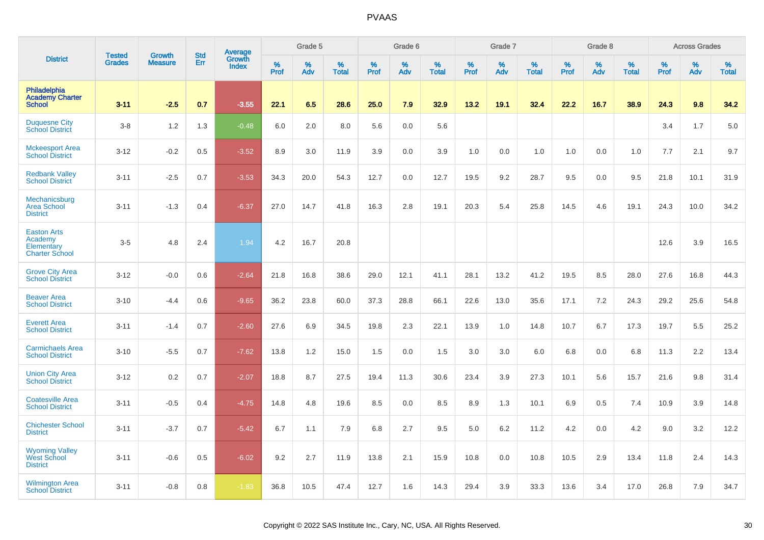|                                                                      |                                |                                 | <b>Std</b> | Average                |              | Grade 5  |                   |              | Grade 6  |                   |              | Grade 7  |                   |              | Grade 8  |                   |           | <b>Across Grades</b> |                   |
|----------------------------------------------------------------------|--------------------------------|---------------------------------|------------|------------------------|--------------|----------|-------------------|--------------|----------|-------------------|--------------|----------|-------------------|--------------|----------|-------------------|-----------|----------------------|-------------------|
| <b>District</b>                                                      | <b>Tested</b><br><b>Grades</b> | <b>Growth</b><br><b>Measure</b> | Err        | Growth<br><b>Index</b> | $\%$<br>Prof | %<br>Adv | %<br><b>Total</b> | $\%$<br>Prof | %<br>Adv | %<br><b>Total</b> | $\%$<br>Prof | %<br>Adv | %<br><b>Total</b> | $\%$<br>Prof | %<br>Adv | %<br><b>Total</b> | %<br>Prof | %<br>Adv             | %<br><b>Total</b> |
| Philadelphia<br><b>Academy Charter</b><br><b>School</b>              | $3 - 11$                       | $-2.5$                          | 0.7        | $-3.55$                | 22.1         | 6.5      | 28.6              | 25.0         | 7.9      | 32.9              | 13.2         | 19.1     | 32.4              | 22.2         | 16.7     | 38.9              | 24.3      | 9.8                  | 34.2              |
| <b>Duquesne City</b><br><b>School District</b>                       | $3-8$                          | 1.2                             | 1.3        | $-0.48$                | 6.0          | 2.0      | 8.0               | 5.6          | 0.0      | 5.6               |              |          |                   |              |          |                   | 3.4       | 1.7                  | 5.0               |
| <b>Mckeesport Area</b><br><b>School District</b>                     | $3 - 12$                       | $-0.2$                          | 0.5        | $-3.52$                | 8.9          | 3.0      | 11.9              | 3.9          | 0.0      | 3.9               | 1.0          | 0.0      | 1.0               | 1.0          | 0.0      | 1.0               | 7.7       | 2.1                  | 9.7               |
| <b>Redbank Valley</b><br><b>School District</b>                      | $3 - 11$                       | $-2.5$                          | 0.7        | $-3.53$                | 34.3         | 20.0     | 54.3              | 12.7         | 0.0      | 12.7              | 19.5         | 9.2      | 28.7              | 9.5          | 0.0      | 9.5               | 21.8      | 10.1                 | 31.9              |
| Mechanicsburg<br><b>Area School</b><br><b>District</b>               | $3 - 11$                       | $-1.3$                          | 0.4        | $-6.37$                | 27.0         | 14.7     | 41.8              | 16.3         | 2.8      | 19.1              | 20.3         | 5.4      | 25.8              | 14.5         | 4.6      | 19.1              | 24.3      | 10.0                 | 34.2              |
| <b>Easton Arts</b><br>Academy<br>Elementary<br><b>Charter School</b> | $3-5$                          | 4.8                             | 2.4        | 1.94                   | 4.2          | 16.7     | 20.8              |              |          |                   |              |          |                   |              |          |                   | 12.6      | 3.9                  | 16.5              |
| <b>Grove City Area</b><br><b>School District</b>                     | $3 - 12$                       | $-0.0$                          | 0.6        | $-2.64$                | 21.8         | 16.8     | 38.6              | 29.0         | 12.1     | 41.1              | 28.1         | 13.2     | 41.2              | 19.5         | 8.5      | 28.0              | 27.6      | 16.8                 | 44.3              |
| <b>Beaver Area</b><br><b>School District</b>                         | $3 - 10$                       | $-4.4$                          | 0.6        | $-9.65$                | 36.2         | 23.8     | 60.0              | 37.3         | 28.8     | 66.1              | 22.6         | 13.0     | 35.6              | 17.1         | 7.2      | 24.3              | 29.2      | 25.6                 | 54.8              |
| <b>Everett Area</b><br><b>School District</b>                        | $3 - 11$                       | $-1.4$                          | 0.7        | $-2.60$                | 27.6         | 6.9      | 34.5              | 19.8         | 2.3      | 22.1              | 13.9         | 1.0      | 14.8              | 10.7         | 6.7      | 17.3              | 19.7      | 5.5                  | 25.2              |
| <b>Carmichaels Area</b><br><b>School District</b>                    | $3 - 10$                       | $-5.5$                          | 0.7        | $-7.62$                | 13.8         | 1.2      | 15.0              | 1.5          | 0.0      | 1.5               | 3.0          | 3.0      | 6.0               | 6.8          | 0.0      | 6.8               | 11.3      | 2.2                  | 13.4              |
| <b>Union City Area</b><br><b>School District</b>                     | $3 - 12$                       | 0.2                             | 0.7        | $-2.07$                | 18.8         | 8.7      | 27.5              | 19.4         | 11.3     | 30.6              | 23.4         | 3.9      | 27.3              | 10.1         | 5.6      | 15.7              | 21.6      | 9.8                  | 31.4              |
| <b>Coatesville Area</b><br><b>School District</b>                    | $3 - 11$                       | $-0.5$                          | 0.4        | $-4.75$                | 14.8         | 4.8      | 19.6              | 8.5          | 0.0      | 8.5               | 8.9          | 1.3      | 10.1              | 6.9          | 0.5      | 7.4               | 10.9      | 3.9                  | 14.8              |
| <b>Chichester School</b><br><b>District</b>                          | $3 - 11$                       | $-3.7$                          | 0.7        | $-5.42$                | 6.7          | 1.1      | 7.9               | 6.8          | 2.7      | 9.5               | 5.0          | $6.2\,$  | 11.2              | 4.2          | 0.0      | 4.2               | 9.0       | 3.2                  | 12.2              |
| <b>Wyoming Valley</b><br><b>West School</b><br><b>District</b>       | $3 - 11$                       | $-0.6$                          | 0.5        | $-6.02$                | 9.2          | 2.7      | 11.9              | 13.8         | 2.1      | 15.9              | 10.8         | 0.0      | 10.8              | 10.5         | 2.9      | 13.4              | 11.8      | 2.4                  | 14.3              |
| <b>Wilmington Area</b><br><b>School District</b>                     | $3 - 11$                       | $-0.8$                          | 0.8        | $-1.83$                | 36.8         | 10.5     | 47.4              | 12.7         | 1.6      | 14.3              | 29.4         | 3.9      | 33.3              | 13.6         | 3.4      | 17.0              | 26.8      | 7.9                  | 34.7              |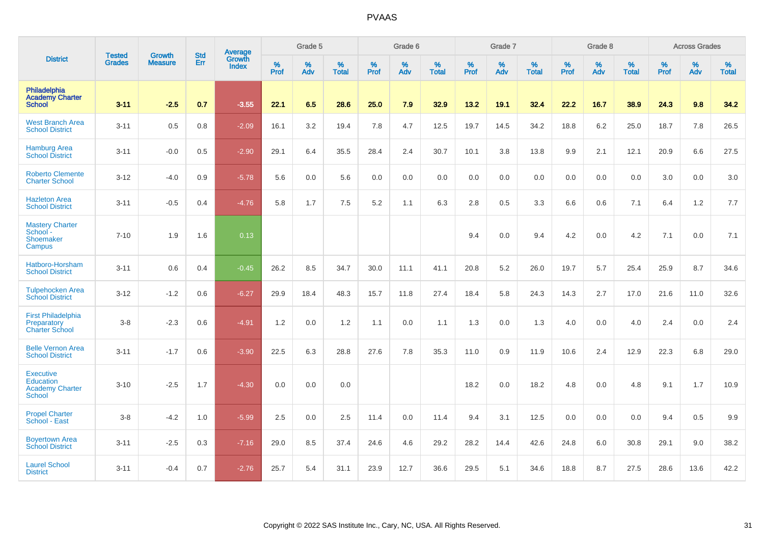|                                                                                 |                                |                                 | <b>Std</b> | Average                |           | Grade 5  |                   |           | Grade 6  |                   |           | Grade 7  |                   |           | Grade 8  |                   |           | <b>Across Grades</b> |                   |
|---------------------------------------------------------------------------------|--------------------------------|---------------------------------|------------|------------------------|-----------|----------|-------------------|-----------|----------|-------------------|-----------|----------|-------------------|-----------|----------|-------------------|-----------|----------------------|-------------------|
| <b>District</b>                                                                 | <b>Tested</b><br><b>Grades</b> | <b>Growth</b><br><b>Measure</b> | Err        | Growth<br><b>Index</b> | %<br>Prof | %<br>Adv | %<br><b>Total</b> | %<br>Prof | %<br>Adv | %<br><b>Total</b> | %<br>Prof | %<br>Adv | %<br><b>Total</b> | %<br>Prof | %<br>Adv | %<br><b>Total</b> | %<br>Prof | %<br>Adv             | %<br><b>Total</b> |
| <b>Philadelphia</b><br><b>Academy Charter</b><br><b>School</b>                  | $3 - 11$                       | $-2.5$                          | 0.7        | $-3.55$                | 22.1      | 6.5      | 28.6              | 25.0      | 7.9      | 32.9              | 13.2      | 19.1     | 32.4              | 22.2      | 16.7     | 38.9              | 24.3      | 9.8                  | 34.2              |
| <b>West Branch Area</b><br><b>School District</b>                               | $3 - 11$                       | 0.5                             | 0.8        | $-2.09$                | 16.1      | 3.2      | 19.4              | 7.8       | 4.7      | 12.5              | 19.7      | 14.5     | 34.2              | 18.8      | 6.2      | 25.0              | 18.7      | 7.8                  | 26.5              |
| <b>Hamburg Area</b><br><b>School District</b>                                   | $3 - 11$                       | $-0.0$                          | 0.5        | $-2.90$                | 29.1      | 6.4      | 35.5              | 28.4      | 2.4      | 30.7              | 10.1      | 3.8      | 13.8              | 9.9       | 2.1      | 12.1              | 20.9      | 6.6                  | 27.5              |
| <b>Roberto Clemente</b><br><b>Charter School</b>                                | $3 - 12$                       | $-4.0$                          | 0.9        | $-5.78$                | 5.6       | 0.0      | 5.6               | 0.0       | 0.0      | 0.0               | 0.0       | 0.0      | 0.0               | 0.0       | 0.0      | 0.0               | 3.0       | 0.0                  | 3.0               |
| <b>Hazleton Area</b><br><b>School District</b>                                  | $3 - 11$                       | $-0.5$                          | 0.4        | $-4.76$                | 5.8       | 1.7      | 7.5               | 5.2       | 1.1      | 6.3               | 2.8       | 0.5      | 3.3               | 6.6       | 0.6      | 7.1               | 6.4       | 1.2                  | 7.7               |
| <b>Mastery Charter</b><br>School<br>Shoemaker<br>Campus                         | $7 - 10$                       | 1.9                             | 1.6        | 0.13                   |           |          |                   |           |          |                   | 9.4       | 0.0      | 9.4               | 4.2       | 0.0      | 4.2               | 7.1       | 0.0                  | 7.1               |
| Hatboro-Horsham<br><b>School District</b>                                       | $3 - 11$                       | 0.6                             | 0.4        | $-0.45$                | 26.2      | 8.5      | 34.7              | 30.0      | 11.1     | 41.1              | 20.8      | 5.2      | 26.0              | 19.7      | 5.7      | 25.4              | 25.9      | 8.7                  | 34.6              |
| <b>Tulpehocken Area</b><br><b>School District</b>                               | $3 - 12$                       | $-1.2$                          | 0.6        | $-6.27$                | 29.9      | 18.4     | 48.3              | 15.7      | 11.8     | 27.4              | 18.4      | 5.8      | 24.3              | 14.3      | 2.7      | 17.0              | 21.6      | 11.0                 | 32.6              |
| <b>First Philadelphia</b><br>Preparatory<br><b>Charter School</b>               | $3-8$                          | $-2.3$                          | 0.6        | $-4.91$                | 1.2       | 0.0      | 1.2               | 1.1       | 0.0      | 1.1               | 1.3       | 0.0      | 1.3               | 4.0       | 0.0      | 4.0               | 2.4       | 0.0                  | 2.4               |
| <b>Belle Vernon Area</b><br><b>School District</b>                              | $3 - 11$                       | $-1.7$                          | 0.6        | $-3.90$                | 22.5      | 6.3      | 28.8              | 27.6      | 7.8      | 35.3              | 11.0      | 0.9      | 11.9              | 10.6      | 2.4      | 12.9              | 22.3      | 6.8                  | 29.0              |
| <b>Executive</b><br><b>Education</b><br><b>Academy Charter</b><br><b>School</b> | $3 - 10$                       | $-2.5$                          | 1.7        | $-4.30$                | 0.0       | 0.0      | 0.0               |           |          |                   | 18.2      | 0.0      | 18.2              | 4.8       | 0.0      | 4.8               | 9.1       | 1.7                  | 10.9              |
| <b>Propel Charter</b><br>School - East                                          | $3 - 8$                        | $-4.2$                          | 1.0        | $-5.99$                | 2.5       | 0.0      | 2.5               | 11.4      | 0.0      | 11.4              | 9.4       | 3.1      | 12.5              | 0.0       | 0.0      | 0.0               | 9.4       | 0.5                  | 9.9               |
| <b>Boyertown Area</b><br><b>School District</b>                                 | $3 - 11$                       | $-2.5$                          | 0.3        | $-7.16$                | 29.0      | 8.5      | 37.4              | 24.6      | 4.6      | 29.2              | 28.2      | 14.4     | 42.6              | 24.8      | 6.0      | 30.8              | 29.1      | 9.0                  | 38.2              |
| <b>Laurel School</b><br><b>District</b>                                         | $3 - 11$                       | $-0.4$                          | 0.7        | $-2.76$                | 25.7      | 5.4      | 31.1              | 23.9      | 12.7     | 36.6              | 29.5      | 5.1      | 34.6              | 18.8      | 8.7      | 27.5              | 28.6      | 13.6                 | 42.2              |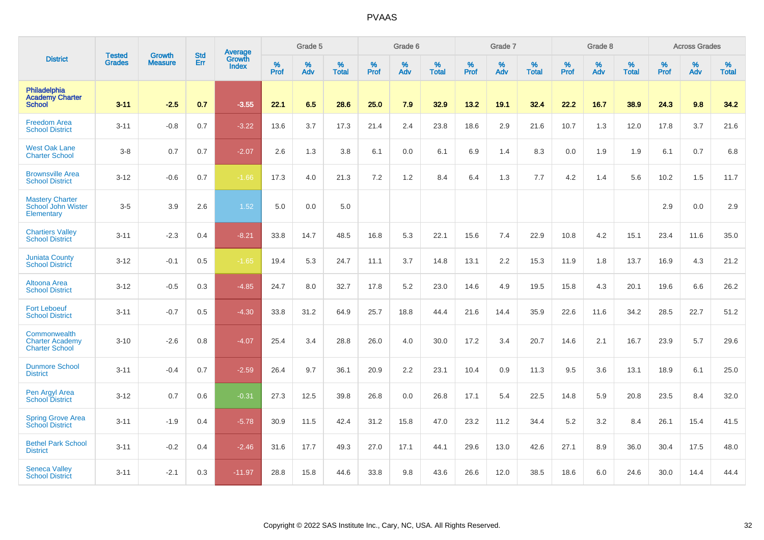|                                                                 | <b>Tested</b> | <b>Growth</b>  | <b>Std</b> | Average                       |              | Grade 5  |                   |           | Grade 6  |                   |           | Grade 7  |                   |           | Grade 8  |                   |           | <b>Across Grades</b> |                   |
|-----------------------------------------------------------------|---------------|----------------|------------|-------------------------------|--------------|----------|-------------------|-----------|----------|-------------------|-----------|----------|-------------------|-----------|----------|-------------------|-----------|----------------------|-------------------|
| <b>District</b>                                                 | <b>Grades</b> | <b>Measure</b> | <b>Err</b> | <b>Growth</b><br><b>Index</b> | $\%$<br>Prof | %<br>Adv | %<br><b>Total</b> | %<br>Prof | %<br>Adv | %<br><b>Total</b> | %<br>Prof | %<br>Adv | %<br><b>Total</b> | %<br>Prof | %<br>Adv | %<br><b>Total</b> | %<br>Prof | %<br>Adv             | %<br><b>Total</b> |
| <b>Philadelphia</b><br><b>Academy Charter</b><br><b>School</b>  | $3 - 11$      | $-2.5$         | 0.7        | $-3.55$                       | 22.1         | 6.5      | 28.6              | 25.0      | 7.9      | 32.9              | 13.2      | 19.1     | 32.4              | 22.2      | 16.7     | 38.9              | 24.3      | 9.8                  | 34.2              |
| <b>Freedom Area</b><br><b>School District</b>                   | $3 - 11$      | $-0.8$         | 0.7        | $-3.22$                       | 13.6         | 3.7      | 17.3              | 21.4      | 2.4      | 23.8              | 18.6      | 2.9      | 21.6              | 10.7      | 1.3      | 12.0              | 17.8      | 3.7                  | 21.6              |
| <b>West Oak Lane</b><br><b>Charter School</b>                   | $3-8$         | 0.7            | 0.7        | $-2.07$                       | 2.6          | 1.3      | 3.8               | 6.1       | 0.0      | 6.1               | 6.9       | 1.4      | 8.3               | 0.0       | 1.9      | 1.9               | 6.1       | 0.7                  | 6.8               |
| <b>Brownsville Area</b><br><b>School District</b>               | $3 - 12$      | $-0.6$         | 0.7        | $-1.66$                       | 17.3         | 4.0      | 21.3              | 7.2       | 1.2      | 8.4               | 6.4       | 1.3      | 7.7               | 4.2       | 1.4      | 5.6               | 10.2      | 1.5                  | 11.7              |
| <b>Mastery Charter</b><br>School John Wister<br>Elementary      | $3-5$         | 3.9            | 2.6        | 1.52                          | 5.0          | 0.0      | 5.0               |           |          |                   |           |          |                   |           |          |                   | 2.9       | 0.0                  | 2.9               |
| <b>Chartiers Valley</b><br><b>School District</b>               | $3 - 11$      | $-2.3$         | 0.4        | $-8.21$                       | 33.8         | 14.7     | 48.5              | 16.8      | 5.3      | 22.1              | 15.6      | 7.4      | 22.9              | 10.8      | 4.2      | 15.1              | 23.4      | 11.6                 | 35.0              |
| <b>Juniata County</b><br><b>School District</b>                 | $3 - 12$      | $-0.1$         | 0.5        | $-1.65$                       | 19.4         | 5.3      | 24.7              | 11.1      | 3.7      | 14.8              | 13.1      | 2.2      | 15.3              | 11.9      | 1.8      | 13.7              | 16.9      | 4.3                  | 21.2              |
| Altoona Area<br><b>School District</b>                          | $3 - 12$      | $-0.5$         | 0.3        | $-4.85$                       | 24.7         | 8.0      | 32.7              | 17.8      | 5.2      | 23.0              | 14.6      | 4.9      | 19.5              | 15.8      | 4.3      | 20.1              | 19.6      | 6.6                  | 26.2              |
| <b>Fort Leboeuf</b><br><b>School District</b>                   | $3 - 11$      | $-0.7$         | 0.5        | $-4.30$                       | 33.8         | 31.2     | 64.9              | 25.7      | 18.8     | 44.4              | 21.6      | 14.4     | 35.9              | 22.6      | 11.6     | 34.2              | 28.5      | 22.7                 | 51.2              |
| Commonwealth<br><b>Charter Academy</b><br><b>Charter School</b> | $3 - 10$      | $-2.6$         | 0.8        | $-4.07$                       | 25.4         | 3.4      | 28.8              | 26.0      | 4.0      | 30.0              | 17.2      | 3.4      | 20.7              | 14.6      | 2.1      | 16.7              | 23.9      | 5.7                  | 29.6              |
| <b>Dunmore School</b><br><b>District</b>                        | $3 - 11$      | $-0.4$         | 0.7        | $-2.59$                       | 26.4         | 9.7      | 36.1              | 20.9      | 2.2      | 23.1              | 10.4      | 0.9      | 11.3              | 9.5       | 3.6      | 13.1              | 18.9      | 6.1                  | 25.0              |
| Pen Argyl Area<br><b>School District</b>                        | $3 - 12$      | 0.7            | 0.6        | $-0.31$                       | 27.3         | 12.5     | 39.8              | 26.8      | 0.0      | 26.8              | 17.1      | 5.4      | 22.5              | 14.8      | 5.9      | 20.8              | 23.5      | 8.4                  | 32.0              |
| <b>Spring Grove Area</b><br><b>School District</b>              | $3 - 11$      | $-1.9$         | 0.4        | $-5.78$                       | 30.9         | 11.5     | 42.4              | 31.2      | 15.8     | 47.0              | 23.2      | 11.2     | 34.4              | 5.2       | 3.2      | 8.4               | 26.1      | 15.4                 | 41.5              |
| <b>Bethel Park School</b><br><b>District</b>                    | $3 - 11$      | $-0.2$         | 0.4        | $-2.46$                       | 31.6         | 17.7     | 49.3              | 27.0      | 17.1     | 44.1              | 29.6      | 13.0     | 42.6              | 27.1      | 8.9      | 36.0              | 30.4      | 17.5                 | 48.0              |
| <b>Seneca Valley</b><br><b>School District</b>                  | $3 - 11$      | $-2.1$         | 0.3        | $-11.97$                      | 28.8         | 15.8     | 44.6              | 33.8      | 9.8      | 43.6              | 26.6      | 12.0     | 38.5              | 18.6      | 6.0      | 24.6              | 30.0      | 14.4                 | 44.4              |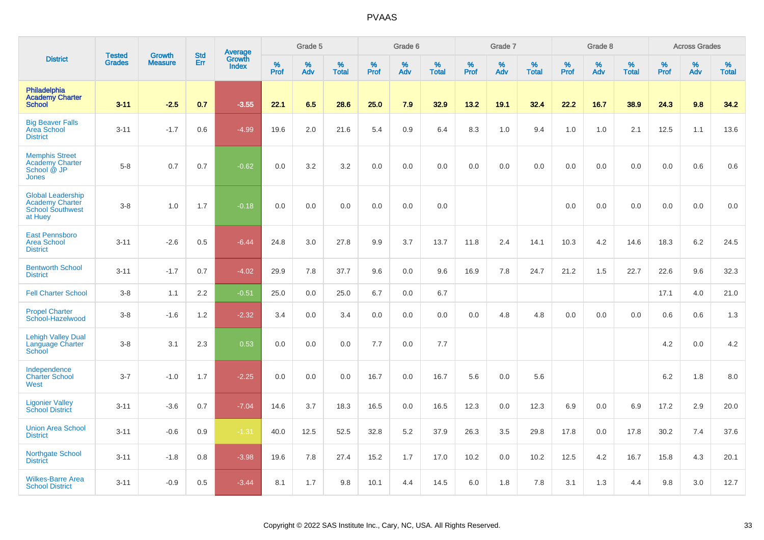|                                                                                          |                                |                                 | <b>Std</b> | Average                |                     | Grade 5  |                   |                  | Grade 6  |                   |                     | Grade 7  |                   |              | Grade 8  |                   |              | <b>Across Grades</b> |                   |
|------------------------------------------------------------------------------------------|--------------------------------|---------------------------------|------------|------------------------|---------------------|----------|-------------------|------------------|----------|-------------------|---------------------|----------|-------------------|--------------|----------|-------------------|--------------|----------------------|-------------------|
| <b>District</b>                                                                          | <b>Tested</b><br><b>Grades</b> | <b>Growth</b><br><b>Measure</b> | Err        | Growth<br><b>Index</b> | $\%$<br><b>Prof</b> | %<br>Adv | %<br><b>Total</b> | %<br><b>Prof</b> | %<br>Adv | %<br><b>Total</b> | $\%$<br><b>Prof</b> | %<br>Adv | %<br><b>Total</b> | $\%$<br>Prof | %<br>Adv | %<br><b>Total</b> | $\%$<br>Prof | %<br>Adv             | %<br><b>Total</b> |
| Philadelphia<br><b>Academy Charter</b><br><b>School</b>                                  | $3 - 11$                       | $-2.5$                          | 0.7        | $-3.55$                | 22.1                | 6.5      | 28.6              | 25.0             | 7.9      | 32.9              | 13.2                | 19.1     | 32.4              | 22.2         | 16.7     | 38.9              | 24.3         | 9.8                  | 34.2              |
| <b>Big Beaver Falls</b><br><b>Area School</b><br><b>District</b>                         | $3 - 11$                       | $-1.7$                          | 0.6        | $-4.99$                | 19.6                | 2.0      | 21.6              | 5.4              | 0.9      | 6.4               | 8.3                 | 1.0      | 9.4               | 1.0          | 1.0      | 2.1               | 12.5         | 1.1                  | 13.6              |
| <b>Memphis Street</b><br>Academy Charter<br>School @ JP<br><b>Jones</b>                  | $5 - 8$                        | 0.7                             | 0.7        | $-0.62$                | 0.0                 | 3.2      | 3.2               | 0.0              | 0.0      | 0.0               | 0.0                 | 0.0      | 0.0               | 0.0          | 0.0      | 0.0               | 0.0          | 0.6                  | 0.6               |
| <b>Global Leadership</b><br><b>Academy Charter</b><br><b>School Southwest</b><br>at Huey | $3 - 8$                        | 1.0                             | 1.7        | $-0.18$                | 0.0                 | 0.0      | 0.0               | 0.0              | 0.0      | 0.0               |                     |          |                   | 0.0          | 0.0      | 0.0               | 0.0          | 0.0                  | 0.0               |
| <b>East Pennsboro</b><br><b>Area School</b><br><b>District</b>                           | $3 - 11$                       | $-2.6$                          | 0.5        | $-6.44$                | 24.8                | 3.0      | 27.8              | 9.9              | 3.7      | 13.7              | 11.8                | 2.4      | 14.1              | 10.3         | 4.2      | 14.6              | 18.3         | 6.2                  | 24.5              |
| <b>Bentworth School</b><br><b>District</b>                                               | $3 - 11$                       | $-1.7$                          | 0.7        | $-4.02$                | 29.9                | 7.8      | 37.7              | 9.6              | 0.0      | 9.6               | 16.9                | 7.8      | 24.7              | 21.2         | 1.5      | 22.7              | 22.6         | 9.6                  | 32.3              |
| <b>Fell Charter School</b>                                                               | $3 - 8$                        | 1.1                             | 2.2        | $-0.51$                | 25.0                | 0.0      | 25.0              | 6.7              | 0.0      | 6.7               |                     |          |                   |              |          |                   | 17.1         | 4.0                  | 21.0              |
| <b>Propel Charter</b><br>School-Hazelwood                                                | $3 - 8$                        | $-1.6$                          | 1.2        | $-2.32$                | 3.4                 | 0.0      | 3.4               | 0.0              | 0.0      | 0.0               | 0.0                 | 4.8      | 4.8               | 0.0          | 0.0      | 0.0               | 0.6          | $0.6\,$              | 1.3               |
| <b>Lehigh Valley Dual</b><br>Language Charter<br>School                                  | $3 - 8$                        | 3.1                             | 2.3        | 0.53                   | 0.0                 | 0.0      | 0.0               | 7.7              | 0.0      | 7.7               |                     |          |                   |              |          |                   | 4.2          | 0.0                  | 4.2               |
| Independence<br><b>Charter School</b><br>West                                            | $3 - 7$                        | $-1.0$                          | 1.7        | $-2.25$                | 0.0                 | 0.0      | 0.0               | 16.7             | 0.0      | 16.7              | 5.6                 | 0.0      | 5.6               |              |          |                   | 6.2          | 1.8                  | 8.0               |
| <b>Ligonier Valley</b><br><b>School District</b>                                         | $3 - 11$                       | $-3.6$                          | 0.7        | $-7.04$                | 14.6                | 3.7      | 18.3              | 16.5             | 0.0      | 16.5              | 12.3                | 0.0      | 12.3              | 6.9          | 0.0      | 6.9               | 17.2         | 2.9                  | 20.0              |
| <b>Union Area School</b><br><b>District</b>                                              | $3 - 11$                       | $-0.6$                          | 0.9        | $-1.31$                | 40.0                | 12.5     | 52.5              | 32.8             | 5.2      | 37.9              | 26.3                | 3.5      | 29.8              | 17.8         | 0.0      | 17.8              | 30.2         | 7.4                  | 37.6              |
| Northgate School<br><b>District</b>                                                      | $3 - 11$                       | $-1.8$                          | 0.8        | $-3.98$                | 19.6                | 7.8      | 27.4              | 15.2             | 1.7      | 17.0              | 10.2                | 0.0      | 10.2              | 12.5         | 4.2      | 16.7              | 15.8         | 4.3                  | 20.1              |
| <b>Wilkes-Barre Area</b><br><b>School District</b>                                       | $3 - 11$                       | $-0.9$                          | 0.5        | $-3.44$                | 8.1                 | 1.7      | 9.8               | 10.1             | 4.4      | 14.5              | 6.0                 | 1.8      | 7.8               | 3.1          | 1.3      | 4.4               | 9.8          | 3.0                  | 12.7              |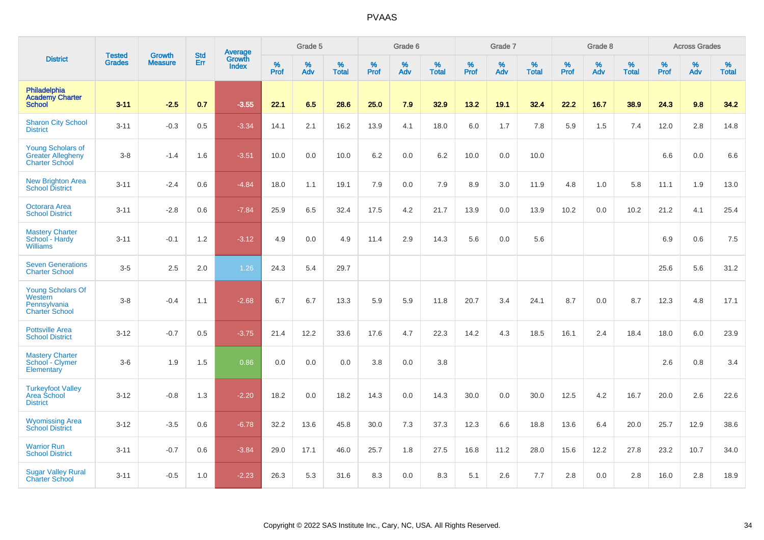|                                                                               |                                |                                 | <b>Std</b> | Average                |           | Grade 5  |                      |           | Grade 6  |                   |           | Grade 7  |                   |           | Grade 8  |                   |           | <b>Across Grades</b> |                   |
|-------------------------------------------------------------------------------|--------------------------------|---------------------------------|------------|------------------------|-----------|----------|----------------------|-----------|----------|-------------------|-----------|----------|-------------------|-----------|----------|-------------------|-----------|----------------------|-------------------|
| <b>District</b>                                                               | <b>Tested</b><br><b>Grades</b> | <b>Growth</b><br><b>Measure</b> | Err        | Growth<br><b>Index</b> | %<br>Prof | %<br>Adv | $\%$<br><b>Total</b> | %<br>Prof | %<br>Adv | %<br><b>Total</b> | %<br>Prof | %<br>Adv | %<br><b>Total</b> | %<br>Prof | %<br>Adv | %<br><b>Total</b> | %<br>Prof | $\%$<br>Adv          | %<br><b>Total</b> |
| Philadelphia<br><b>Academy Charter</b><br><b>School</b>                       | $3 - 11$                       | $-2.5$                          | 0.7        | $-3.55$                | 22.1      | 6.5      | 28.6                 | 25.0      | 7.9      | 32.9              | 13.2      | 19.1     | 32.4              | 22.2      | 16.7     | 38.9              | 24.3      | 9.8                  | 34.2              |
| <b>Sharon City School</b><br><b>District</b>                                  | $3 - 11$                       | $-0.3$                          | 0.5        | $-3.34$                | 14.1      | 2.1      | 16.2                 | 13.9      | 4.1      | 18.0              | 6.0       | 1.7      | 7.8               | 5.9       | 1.5      | 7.4               | 12.0      | 2.8                  | 14.8              |
| <b>Young Scholars of</b><br><b>Greater Allegheny</b><br><b>Charter School</b> | $3-8$                          | $-1.4$                          | 1.6        | $-3.51$                | 10.0      | 0.0      | 10.0                 | 6.2       | 0.0      | 6.2               | 10.0      | 0.0      | 10.0              |           |          |                   | 6.6       | 0.0                  | 6.6               |
| <b>New Brighton Area</b><br><b>School District</b>                            | $3 - 11$                       | $-2.4$                          | 0.6        | $-4.84$                | 18.0      | 1.1      | 19.1                 | 7.9       | 0.0      | 7.9               | 8.9       | 3.0      | 11.9              | 4.8       | 1.0      | 5.8               | 11.1      | 1.9                  | 13.0              |
| <b>Octorara Area</b><br><b>School District</b>                                | $3 - 11$                       | $-2.8$                          | 0.6        | $-7.84$                | 25.9      | 6.5      | 32.4                 | 17.5      | 4.2      | 21.7              | 13.9      | 0.0      | 13.9              | 10.2      | 0.0      | 10.2              | 21.2      | 4.1                  | 25.4              |
| <b>Mastery Charter</b><br>School - Hardy<br><b>Williams</b>                   | $3 - 11$                       | $-0.1$                          | 1.2        | $-3.12$                | 4.9       | 0.0      | 4.9                  | 11.4      | 2.9      | 14.3              | 5.6       | 0.0      | 5.6               |           |          |                   | 6.9       | 0.6                  | 7.5               |
| <b>Seven Generations</b><br><b>Charter School</b>                             | $3-5$                          | 2.5                             | 2.0        | 1.26                   | 24.3      | 5.4      | 29.7                 |           |          |                   |           |          |                   |           |          |                   | 25.6      | 5.6                  | 31.2              |
| <b>Young Scholars Of</b><br>Western<br>Pennsylvania<br><b>Charter School</b>  | $3-8$                          | $-0.4$                          | 1.1        | $-2.68$                | 6.7       | 6.7      | 13.3                 | 5.9       | 5.9      | 11.8              | 20.7      | 3.4      | 24.1              | 8.7       | 0.0      | 8.7               | 12.3      | 4.8                  | 17.1              |
| <b>Pottsville Area</b><br><b>School District</b>                              | $3 - 12$                       | $-0.7$                          | 0.5        | $-3.75$                | 21.4      | 12.2     | 33.6                 | 17.6      | 4.7      | 22.3              | 14.2      | 4.3      | 18.5              | 16.1      | 2.4      | 18.4              | 18.0      | 6.0                  | 23.9              |
| <b>Mastery Charter</b><br>School - Clymer<br>Elementary                       | $3-6$                          | 1.9                             | 1.5        | 0.86                   | 0.0       | 0.0      | 0.0                  | 3.8       | 0.0      | 3.8               |           |          |                   |           |          |                   | 2.6       | 0.8                  | 3.4               |
| <b>Turkeyfoot Valley</b><br>Area School<br><b>District</b>                    | $3 - 12$                       | $-0.8$                          | 1.3        | $-2.20$                | 18.2      | 0.0      | 18.2                 | 14.3      | 0.0      | 14.3              | 30.0      | 0.0      | 30.0              | 12.5      | 4.2      | 16.7              | 20.0      | 2.6                  | 22.6              |
| <b>Wyomissing Area</b><br><b>School District</b>                              | $3 - 12$                       | $-3.5$                          | 0.6        | $-6.78$                | 32.2      | 13.6     | 45.8                 | 30.0      | 7.3      | 37.3              | 12.3      | 6.6      | 18.8              | 13.6      | 6.4      | 20.0              | 25.7      | 12.9                 | 38.6              |
| <b>Warrior Run</b><br><b>School District</b>                                  | $3 - 11$                       | $-0.7$                          | 0.6        | $-3.84$                | 29.0      | 17.1     | 46.0                 | 25.7      | 1.8      | 27.5              | 16.8      | 11.2     | 28.0              | 15.6      | 12.2     | 27.8              | 23.2      | 10.7                 | 34.0              |
| <b>Sugar Valley Rural</b><br><b>Charter School</b>                            | $3 - 11$                       | $-0.5$                          | 1.0        | $-2.23$                | 26.3      | 5.3      | 31.6                 | 8.3       | 0.0      | 8.3               | 5.1       | 2.6      | 7.7               | 2.8       | 0.0      | 2.8               | 16.0      | 2.8                  | 18.9              |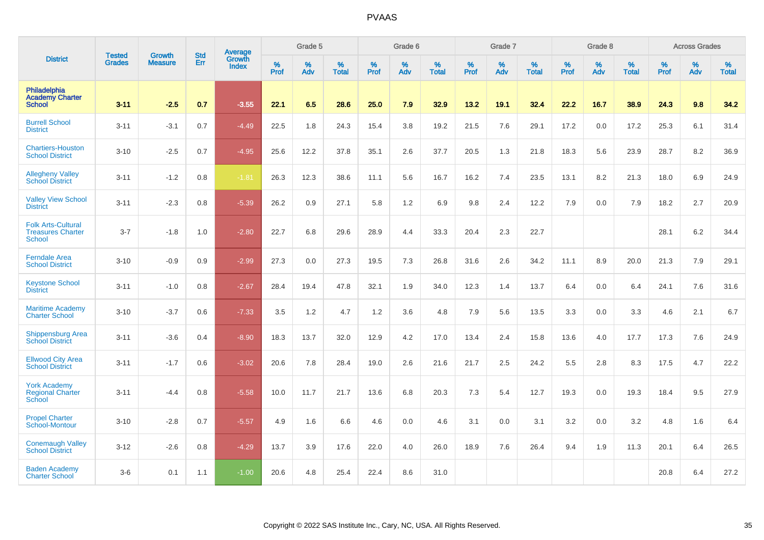|                                                                        | <b>Tested</b> | <b>Growth</b>  | <b>Std</b> | Average                       |           | Grade 5  |                   |           | Grade 6  |                   |           | Grade 7  |                   |           | Grade 8  |                   |           | <b>Across Grades</b> |                   |
|------------------------------------------------------------------------|---------------|----------------|------------|-------------------------------|-----------|----------|-------------------|-----------|----------|-------------------|-----------|----------|-------------------|-----------|----------|-------------------|-----------|----------------------|-------------------|
| <b>District</b>                                                        | <b>Grades</b> | <b>Measure</b> | Err        | <b>Growth</b><br><b>Index</b> | %<br>Prof | %<br>Adv | %<br><b>Total</b> | %<br>Prof | %<br>Adv | %<br><b>Total</b> | %<br>Prof | %<br>Adv | %<br><b>Total</b> | %<br>Prof | %<br>Adv | %<br><b>Total</b> | %<br>Prof | %<br>Adv             | %<br><b>Total</b> |
| Philadelphia<br><b>Academy Charter</b><br><b>School</b>                | $3 - 11$      | $-2.5$         | 0.7        | $-3.55$                       | 22.1      | 6.5      | 28.6              | 25.0      | 7.9      | 32.9              | 13.2      | 19.1     | 32.4              | 22.2      | 16.7     | 38.9              | 24.3      | 9.8                  | 34.2              |
| <b>Burrell School</b><br><b>District</b>                               | $3 - 11$      | $-3.1$         | 0.7        | $-4.49$                       | 22.5      | 1.8      | 24.3              | 15.4      | 3.8      | 19.2              | 21.5      | 7.6      | 29.1              | 17.2      | 0.0      | 17.2              | 25.3      | 6.1                  | 31.4              |
| <b>Chartiers-Houston</b><br><b>School District</b>                     | $3 - 10$      | $-2.5$         | 0.7        | $-4.95$                       | 25.6      | 12.2     | 37.8              | 35.1      | 2.6      | 37.7              | 20.5      | 1.3      | 21.8              | 18.3      | 5.6      | 23.9              | 28.7      | 8.2                  | 36.9              |
| <b>Allegheny Valley</b><br><b>School District</b>                      | $3 - 11$      | $-1.2$         | 0.8        | $-1.81$                       | 26.3      | 12.3     | 38.6              | 11.1      | 5.6      | 16.7              | 16.2      | 7.4      | 23.5              | 13.1      | 8.2      | 21.3              | 18.0      | 6.9                  | 24.9              |
| <b>Valley View School</b><br><b>District</b>                           | $3 - 11$      | $-2.3$         | 0.8        | $-5.39$                       | 26.2      | 0.9      | 27.1              | 5.8       | 1.2      | 6.9               | 9.8       | 2.4      | 12.2              | 7.9       | 0.0      | 7.9               | 18.2      | 2.7                  | 20.9              |
| <b>Folk Arts-Cultural</b><br><b>Treasures Charter</b><br><b>School</b> | $3 - 7$       | $-1.8$         | 1.0        | $-2.80$                       | 22.7      | 6.8      | 29.6              | 28.9      | 4.4      | 33.3              | 20.4      | 2.3      | 22.7              |           |          |                   | 28.1      | $6.2\,$              | 34.4              |
| <b>Ferndale Area</b><br><b>School District</b>                         | $3 - 10$      | $-0.9$         | 0.9        | $-2.99$                       | 27.3      | 0.0      | 27.3              | 19.5      | 7.3      | 26.8              | 31.6      | 2.6      | 34.2              | 11.1      | 8.9      | 20.0              | 21.3      | 7.9                  | 29.1              |
| <b>Keystone School</b><br><b>District</b>                              | $3 - 11$      | $-1.0$         | 0.8        | $-2.67$                       | 28.4      | 19.4     | 47.8              | 32.1      | 1.9      | 34.0              | 12.3      | 1.4      | 13.7              | 6.4       | 0.0      | 6.4               | 24.1      | 7.6                  | 31.6              |
| <b>Maritime Academy</b><br><b>Charter School</b>                       | $3 - 10$      | $-3.7$         | 0.6        | $-7.33$                       | 3.5       | 1.2      | 4.7               | 1.2       | 3.6      | 4.8               | 7.9       | 5.6      | 13.5              | 3.3       | 0.0      | 3.3               | 4.6       | 2.1                  | 6.7               |
| <b>Shippensburg Area</b><br><b>School District</b>                     | $3 - 11$      | $-3.6$         | 0.4        | $-8.90$                       | 18.3      | 13.7     | 32.0              | 12.9      | 4.2      | 17.0              | 13.4      | 2.4      | 15.8              | 13.6      | 4.0      | 17.7              | 17.3      | 7.6                  | 24.9              |
| <b>Ellwood City Area</b><br><b>School District</b>                     | $3 - 11$      | $-1.7$         | 0.6        | $-3.02$                       | 20.6      | 7.8      | 28.4              | 19.0      | 2.6      | 21.6              | 21.7      | 2.5      | 24.2              | 5.5       | 2.8      | 8.3               | 17.5      | 4.7                  | 22.2              |
| <b>York Academy</b><br><b>Regional Charter</b><br>School               | $3 - 11$      | $-4.4$         | 0.8        | $-5.58$                       | 10.0      | 11.7     | 21.7              | 13.6      | 6.8      | 20.3              | 7.3       | 5.4      | 12.7              | 19.3      | 0.0      | 19.3              | 18.4      | 9.5                  | 27.9              |
| <b>Propel Charter</b><br>School-Montour                                | $3 - 10$      | $-2.8$         | 0.7        | $-5.57$                       | 4.9       | 1.6      | 6.6               | 4.6       | 0.0      | 4.6               | 3.1       | 0.0      | 3.1               | 3.2       | 0.0      | 3.2               | 4.8       | 1.6                  | 6.4               |
| <b>Conemaugh Valley</b><br><b>School District</b>                      | $3 - 12$      | $-2.6$         | 0.8        | $-4.29$                       | 13.7      | 3.9      | 17.6              | 22.0      | 4.0      | 26.0              | 18.9      | 7.6      | 26.4              | 9.4       | 1.9      | 11.3              | 20.1      | 6.4                  | 26.5              |
| <b>Baden Academy</b><br><b>Charter School</b>                          | $3-6$         | 0.1            | 1.1        | $-1.00$                       | 20.6      | 4.8      | 25.4              | 22.4      | 8.6      | 31.0              |           |          |                   |           |          |                   | 20.8      | 6.4                  | 27.2              |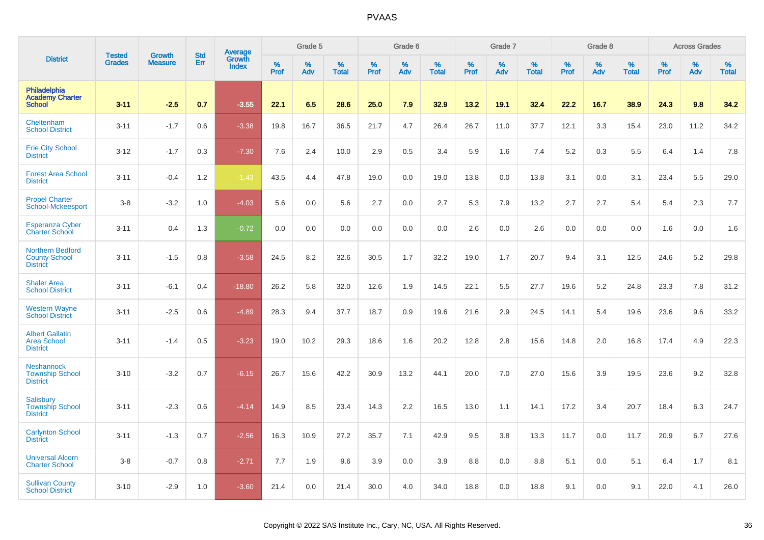|                                                                    |                                | <b>Growth</b>  | <b>Std</b> | <b>Average</b><br>Growth |              | Grade 5  |                   |           | Grade 6  |                   |           | Grade 7  |                   |           | Grade 8  |                   |           | <b>Across Grades</b> |                   |
|--------------------------------------------------------------------|--------------------------------|----------------|------------|--------------------------|--------------|----------|-------------------|-----------|----------|-------------------|-----------|----------|-------------------|-----------|----------|-------------------|-----------|----------------------|-------------------|
| <b>District</b>                                                    | <b>Tested</b><br><b>Grades</b> | <b>Measure</b> | Err        | <b>Index</b>             | $\%$<br>Prof | %<br>Adv | %<br><b>Total</b> | %<br>Prof | %<br>Adv | %<br><b>Total</b> | %<br>Prof | %<br>Adv | %<br><b>Total</b> | %<br>Prof | %<br>Adv | %<br><b>Total</b> | %<br>Prof | %<br>Adv             | %<br><b>Total</b> |
| Philadelphia<br><b>Academy Charter</b><br><b>School</b>            | $3 - 11$                       | $-2.5$         | 0.7        | $-3.55$                  | 22.1         | 6.5      | 28.6              | 25.0      | 7.9      | 32.9              | 13.2      | 19.1     | 32.4              | 22.2      | 16.7     | 38.9              | 24.3      | 9.8                  | 34.2              |
| Cheltenham<br><b>School District</b>                               | $3 - 11$                       | $-1.7$         | 0.6        | $-3.38$                  | 19.8         | 16.7     | 36.5              | 21.7      | 4.7      | 26.4              | 26.7      | 11.0     | 37.7              | 12.1      | 3.3      | 15.4              | 23.0      | 11.2                 | 34.2              |
| <b>Erie City School</b><br><b>District</b>                         | $3 - 12$                       | $-1.7$         | 0.3        | $-7.30$                  | 7.6          | 2.4      | 10.0              | 2.9       | 0.5      | 3.4               | 5.9       | 1.6      | 7.4               | 5.2       | 0.3      | 5.5               | 6.4       | 1.4                  | 7.8               |
| <b>Forest Area School</b><br><b>District</b>                       | $3 - 11$                       | $-0.4$         | 1.2        | $-1.43$                  | 43.5         | 4.4      | 47.8              | 19.0      | 0.0      | 19.0              | 13.8      | 0.0      | 13.8              | 3.1       | 0.0      | 3.1               | 23.4      | 5.5                  | 29.0              |
| <b>Propel Charter</b><br>School-Mckeesport                         | $3-8$                          | $-3.2$         | 1.0        | $-4.03$                  | 5.6          | 0.0      | 5.6               | 2.7       | 0.0      | 2.7               | 5.3       | 7.9      | 13.2              | 2.7       | 2.7      | 5.4               | 5.4       | 2.3                  | 7.7               |
| <b>Esperanza Cyber</b><br><b>Charter School</b>                    | $3 - 11$                       | 0.4            | 1.3        | $-0.72$                  | 0.0          | 0.0      | 0.0               | 0.0       | 0.0      | 0.0               | 2.6       | 0.0      | 2.6               | 0.0       | 0.0      | 0.0               | 1.6       | 0.0                  | 1.6               |
| <b>Northern Bedford</b><br><b>County School</b><br><b>District</b> | $3 - 11$                       | $-1.5$         | 0.8        | $-3.58$                  | 24.5         | 8.2      | 32.6              | 30.5      | 1.7      | 32.2              | 19.0      | 1.7      | 20.7              | 9.4       | 3.1      | 12.5              | 24.6      | 5.2                  | 29.8              |
| <b>Shaler Area</b><br><b>School District</b>                       | $3 - 11$                       | $-6.1$         | 0.4        | $-18.80$                 | 26.2         | 5.8      | 32.0              | 12.6      | 1.9      | 14.5              | 22.1      | 5.5      | 27.7              | 19.6      | 5.2      | 24.8              | 23.3      | 7.8                  | 31.2              |
| <b>Western Wayne</b><br><b>School District</b>                     | $3 - 11$                       | $-2.5$         | 0.6        | $-4.89$                  | 28.3         | 9.4      | 37.7              | 18.7      | 0.9      | 19.6              | 21.6      | 2.9      | 24.5              | 14.1      | 5.4      | 19.6              | 23.6      | 9.6                  | 33.2              |
| <b>Albert Gallatin</b><br><b>Area School</b><br><b>District</b>    | $3 - 11$                       | $-1.4$         | 0.5        | $-3.23$                  | 19.0         | 10.2     | 29.3              | 18.6      | 1.6      | 20.2              | 12.8      | 2.8      | 15.6              | 14.8      | 2.0      | 16.8              | 17.4      | 4.9                  | 22.3              |
| <b>Neshannock</b><br><b>Township School</b><br><b>District</b>     | $3 - 10$                       | $-3.2$         | 0.7        | $-6.15$                  | 26.7         | 15.6     | 42.2              | 30.9      | 13.2     | 44.1              | 20.0      | 7.0      | 27.0              | 15.6      | 3.9      | 19.5              | 23.6      | 9.2                  | 32.8              |
| Salisbury<br><b>Township School</b><br><b>District</b>             | $3 - 11$                       | $-2.3$         | 0.6        | $-4.14$                  | 14.9         | 8.5      | 23.4              | 14.3      | 2.2      | 16.5              | 13.0      | 1.1      | 14.1              | 17.2      | 3.4      | 20.7              | 18.4      | 6.3                  | 24.7              |
| <b>Carlynton School</b><br><b>District</b>                         | $3 - 11$                       | $-1.3$         | 0.7        | $-2.56$                  | 16.3         | 10.9     | 27.2              | 35.7      | 7.1      | 42.9              | 9.5       | 3.8      | 13.3              | 11.7      | 0.0      | 11.7              | 20.9      | 6.7                  | 27.6              |
| <b>Universal Alcorn</b><br><b>Charter School</b>                   | $3 - 8$                        | $-0.7$         | 0.8        | $-2.71$                  | 7.7          | 1.9      | 9.6               | 3.9       | 0.0      | 3.9               | 8.8       | 0.0      | 8.8               | 5.1       | 0.0      | 5.1               | 6.4       | 1.7                  | 8.1               |
| <b>Sullivan County</b><br><b>School District</b>                   | $3 - 10$                       | $-2.9$         | 1.0        | $-3.60$                  | 21.4         | 0.0      | 21.4              | 30.0      | 4.0      | 34.0              | 18.8      | 0.0      | 18.8              | 9.1       | 0.0      | 9.1               | 22.0      | 4.1                  | 26.0              |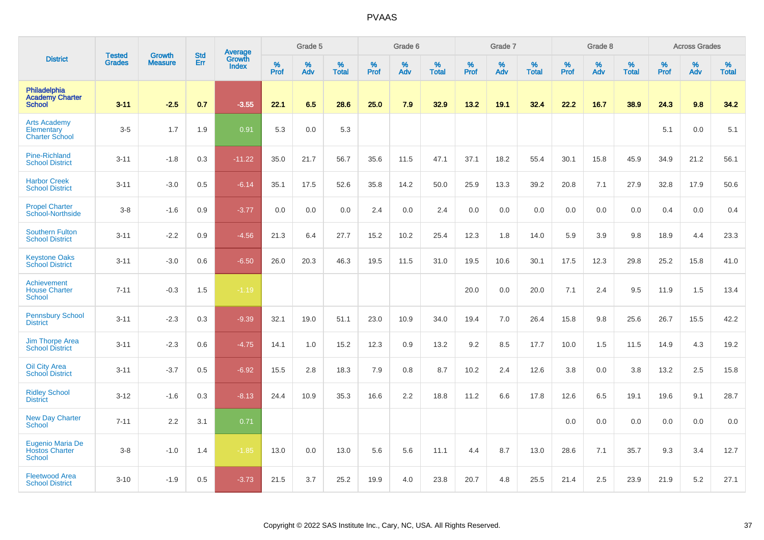|                                                            | <b>Tested</b> | <b>Growth</b>  | <b>Std</b> | <b>Average</b><br>Growth |                     | Grade 5  |                   |           | Grade 6  |                   |                  | Grade 7  |                   |                  | Grade 8     |                   |           | <b>Across Grades</b> |                   |
|------------------------------------------------------------|---------------|----------------|------------|--------------------------|---------------------|----------|-------------------|-----------|----------|-------------------|------------------|----------|-------------------|------------------|-------------|-------------------|-----------|----------------------|-------------------|
| <b>District</b>                                            | <b>Grades</b> | <b>Measure</b> | Err        | <b>Index</b>             | $\%$<br><b>Prof</b> | %<br>Adv | %<br><b>Total</b> | %<br>Prof | %<br>Adv | %<br><b>Total</b> | %<br><b>Prof</b> | %<br>Adv | %<br><b>Total</b> | %<br><b>Prof</b> | $\%$<br>Adv | %<br><b>Total</b> | %<br>Prof | %<br>Adv             | %<br><b>Total</b> |
| Philadelphia<br><b>Academy Charter</b><br><b>School</b>    | $3 - 11$      | $-2.5$         | 0.7        | $-3.55$                  | 22.1                | 6.5      | 28.6              | 25.0      | 7.9      | 32.9              | 13.2             | 19.1     | 32.4              | 22.2             | 16.7        | 38.9              | 24.3      | 9.8                  | 34.2              |
| <b>Arts Academy</b><br>Elementary<br><b>Charter School</b> | $3-5$         | 1.7            | 1.9        | 0.91                     | 5.3                 | 0.0      | 5.3               |           |          |                   |                  |          |                   |                  |             |                   | 5.1       | 0.0                  | 5.1               |
| <b>Pine-Richland</b><br><b>School District</b>             | $3 - 11$      | $-1.8$         | 0.3        | $-11.22$                 | 35.0                | 21.7     | 56.7              | 35.6      | 11.5     | 47.1              | 37.1             | 18.2     | 55.4              | 30.1             | 15.8        | 45.9              | 34.9      | 21.2                 | 56.1              |
| <b>Harbor Creek</b><br><b>School District</b>              | $3 - 11$      | $-3.0$         | 0.5        | $-6.14$                  | 35.1                | 17.5     | 52.6              | 35.8      | 14.2     | 50.0              | 25.9             | 13.3     | 39.2              | 20.8             | 7.1         | 27.9              | 32.8      | 17.9                 | 50.6              |
| <b>Propel Charter</b><br>School-Northside                  | $3 - 8$       | $-1.6$         | 0.9        | $-3.77$                  | 0.0                 | 0.0      | 0.0               | 2.4       | 0.0      | 2.4               | 0.0              | 0.0      | 0.0               | 0.0              | 0.0         | 0.0               | 0.4       | 0.0                  | 0.4               |
| <b>Southern Fulton</b><br><b>School District</b>           | $3 - 11$      | $-2.2$         | 0.9        | $-4.56$                  | 21.3                | 6.4      | 27.7              | 15.2      | 10.2     | 25.4              | 12.3             | 1.8      | 14.0              | 5.9              | 3.9         | 9.8               | 18.9      | 4.4                  | 23.3              |
| <b>Keystone Oaks</b><br><b>School District</b>             | $3 - 11$      | $-3.0$         | 0.6        | $-6.50$                  | 26.0                | 20.3     | 46.3              | 19.5      | 11.5     | 31.0              | 19.5             | 10.6     | 30.1              | 17.5             | 12.3        | 29.8              | 25.2      | 15.8                 | 41.0              |
| Achievement<br><b>House Charter</b><br><b>School</b>       | $7 - 11$      | $-0.3$         | 1.5        | $-1.19$                  |                     |          |                   |           |          |                   | 20.0             | 0.0      | 20.0              | 7.1              | 2.4         | 9.5               | 11.9      | 1.5                  | 13.4              |
| <b>Pennsbury School</b><br><b>District</b>                 | $3 - 11$      | $-2.3$         | 0.3        | $-9.39$                  | 32.1                | 19.0     | 51.1              | 23.0      | 10.9     | 34.0              | 19.4             | 7.0      | 26.4              | 15.8             | 9.8         | 25.6              | 26.7      | 15.5                 | 42.2              |
| <b>Jim Thorpe Area</b><br><b>School District</b>           | $3 - 11$      | $-2.3$         | 0.6        | $-4.75$                  | 14.1                | 1.0      | 15.2              | 12.3      | 0.9      | 13.2              | 9.2              | 8.5      | 17.7              | 10.0             | 1.5         | 11.5              | 14.9      | 4.3                  | 19.2              |
| <b>Oil City Area</b><br><b>School District</b>             | $3 - 11$      | $-3.7$         | 0.5        | $-6.92$                  | 15.5                | 2.8      | 18.3              | 7.9       | 0.8      | 8.7               | 10.2             | 2.4      | 12.6              | 3.8              | 0.0         | 3.8               | 13.2      | 2.5                  | 15.8              |
| <b>Ridley School</b><br><b>District</b>                    | $3 - 12$      | $-1.6$         | 0.3        | $-8.13$                  | 24.4                | 10.9     | 35.3              | 16.6      | 2.2      | 18.8              | 11.2             | 6.6      | 17.8              | 12.6             | 6.5         | 19.1              | 19.6      | 9.1                  | 28.7              |
| <b>New Day Charter</b><br><b>School</b>                    | $7 - 11$      | 2.2            | 3.1        | 0.71                     |                     |          |                   |           |          |                   |                  |          |                   | 0.0              | 0.0         | 0.0               | 0.0       | 0.0                  | 0.0               |
| Eugenio Maria De<br><b>Hostos Charter</b><br><b>School</b> | $3-8$         | $-1.0$         | 1.4        | $-1.85$                  | 13.0                | 0.0      | 13.0              | 5.6       | 5.6      | 11.1              | 4.4              | 8.7      | 13.0              | 28.6             | 7.1         | 35.7              | 9.3       | 3.4                  | 12.7              |
| <b>Fleetwood Area</b><br><b>School District</b>            | $3 - 10$      | $-1.9$         | 0.5        | $-3.73$                  | 21.5                | 3.7      | 25.2              | 19.9      | 4.0      | 23.8              | 20.7             | 4.8      | 25.5              | 21.4             | 2.5         | 23.9              | 21.9      | 5.2                  | 27.1              |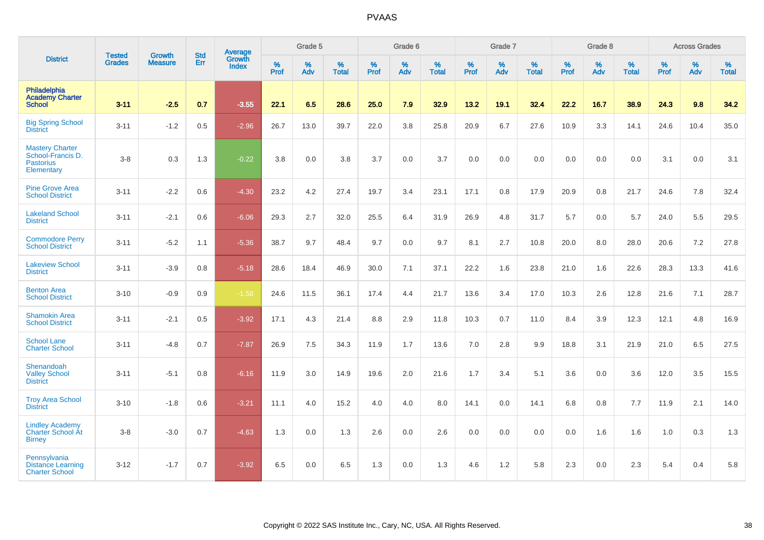|                                                                               |                                |                                 | <b>Std</b> | Average                |           | Grade 5  |                   |           | Grade 6  |                   |           | Grade 7  |                   |           | Grade 8  |                   |           | <b>Across Grades</b> |                   |
|-------------------------------------------------------------------------------|--------------------------------|---------------------------------|------------|------------------------|-----------|----------|-------------------|-----------|----------|-------------------|-----------|----------|-------------------|-----------|----------|-------------------|-----------|----------------------|-------------------|
| <b>District</b>                                                               | <b>Tested</b><br><b>Grades</b> | <b>Growth</b><br><b>Measure</b> | Err        | Growth<br><b>Index</b> | %<br>Prof | %<br>Adv | %<br><b>Total</b> | %<br>Prof | %<br>Adv | %<br><b>Total</b> | %<br>Prof | %<br>Adv | %<br><b>Total</b> | %<br>Prof | %<br>Adv | %<br><b>Total</b> | %<br>Prof | %<br>Adv             | %<br><b>Total</b> |
| Philadelphia<br><b>Academy Charter</b><br><b>School</b>                       | $3 - 11$                       | $-2.5$                          | 0.7        | $-3.55$                | 22.1      | 6.5      | 28.6              | 25.0      | 7.9      | 32.9              | 13.2      | 19.1     | 32.4              | 22.2      | 16.7     | 38.9              | 24.3      | 9.8                  | 34.2              |
| <b>Big Spring School</b><br><b>District</b>                                   | $3 - 11$                       | $-1.2$                          | 0.5        | $-2.96$                | 26.7      | 13.0     | 39.7              | 22.0      | 3.8      | 25.8              | 20.9      | 6.7      | 27.6              | 10.9      | 3.3      | 14.1              | 24.6      | 10.4                 | 35.0              |
| <b>Mastery Charter</b><br>School-Francis D.<br><b>Pastorius</b><br>Elementary | $3-8$                          | 0.3                             | 1.3        | $-0.22$                | 3.8       | 0.0      | 3.8               | 3.7       | 0.0      | 3.7               | 0.0       | 0.0      | 0.0               | 0.0       | 0.0      | 0.0               | 3.1       | 0.0                  | 3.1               |
| <b>Pine Grove Area</b><br><b>School District</b>                              | $3 - 11$                       | $-2.2$                          | 0.6        | $-4.30$                | 23.2      | 4.2      | 27.4              | 19.7      | 3.4      | 23.1              | 17.1      | 0.8      | 17.9              | 20.9      | 0.8      | 21.7              | 24.6      | 7.8                  | 32.4              |
| <b>Lakeland School</b><br><b>District</b>                                     | $3 - 11$                       | $-2.1$                          | 0.6        | $-6.06$                | 29.3      | 2.7      | 32.0              | 25.5      | 6.4      | 31.9              | 26.9      | 4.8      | 31.7              | 5.7       | 0.0      | 5.7               | 24.0      | 5.5                  | 29.5              |
| <b>Commodore Perry</b><br><b>School District</b>                              | $3 - 11$                       | $-5.2$                          | 1.1        | $-5.36$                | 38.7      | 9.7      | 48.4              | 9.7       | 0.0      | 9.7               | 8.1       | 2.7      | 10.8              | 20.0      | 8.0      | 28.0              | 20.6      | 7.2                  | 27.8              |
| <b>Lakeview School</b><br><b>District</b>                                     | $3 - 11$                       | $-3.9$                          | 0.8        | $-5.18$                | 28.6      | 18.4     | 46.9              | 30.0      | 7.1      | 37.1              | 22.2      | 1.6      | 23.8              | 21.0      | 1.6      | 22.6              | 28.3      | 13.3                 | 41.6              |
| <b>Benton Area</b><br><b>School District</b>                                  | $3 - 10$                       | $-0.9$                          | 0.9        | $-1.58$                | 24.6      | 11.5     | 36.1              | 17.4      | 4.4      | 21.7              | 13.6      | 3.4      | 17.0              | 10.3      | 2.6      | 12.8              | 21.6      | 7.1                  | 28.7              |
| <b>Shamokin Area</b><br><b>School District</b>                                | $3 - 11$                       | $-2.1$                          | 0.5        | $-3.92$                | 17.1      | 4.3      | 21.4              | 8.8       | 2.9      | 11.8              | 10.3      | 0.7      | 11.0              | 8.4       | 3.9      | 12.3              | 12.1      | 4.8                  | 16.9              |
| <b>School Lane</b><br><b>Charter School</b>                                   | $3 - 11$                       | $-4.8$                          | 0.7        | $-7.87$                | 26.9      | 7.5      | 34.3              | 11.9      | 1.7      | 13.6              | 7.0       | 2.8      | 9.9               | 18.8      | 3.1      | 21.9              | 21.0      | 6.5                  | 27.5              |
| Shenandoah<br><b>Valley School</b><br><b>District</b>                         | $3 - 11$                       | $-5.1$                          | 0.8        | $-6.16$                | 11.9      | 3.0      | 14.9              | 19.6      | 2.0      | 21.6              | 1.7       | 3.4      | 5.1               | 3.6       | 0.0      | 3.6               | 12.0      | 3.5                  | 15.5              |
| <b>Troy Area School</b><br><b>District</b>                                    | $3 - 10$                       | $-1.8$                          | 0.6        | $-3.21$                | 11.1      | 4.0      | 15.2              | 4.0       | 4.0      | 8.0               | 14.1      | 0.0      | 14.1              | 6.8       | 0.8      | 7.7               | 11.9      | 2.1                  | 14.0              |
| <b>Lindley Academy</b><br><b>Charter School At</b><br><b>Birney</b>           | $3 - 8$                        | $-3.0$                          | 0.7        | $-4.63$                | 1.3       | 0.0      | 1.3               | 2.6       | 0.0      | 2.6               | 0.0       | 0.0      | 0.0               | 0.0       | 1.6      | 1.6               | 1.0       | 0.3                  | 1.3               |
| Pennsylvania<br><b>Distance Learning</b><br><b>Charter School</b>             | $3 - 12$                       | $-1.7$                          | 0.7        | $-3.92$                | 6.5       | 0.0      | 6.5               | 1.3       | 0.0      | 1.3               | 4.6       | 1.2      | 5.8               | 2.3       | 0.0      | 2.3               | 5.4       | 0.4                  | 5.8               |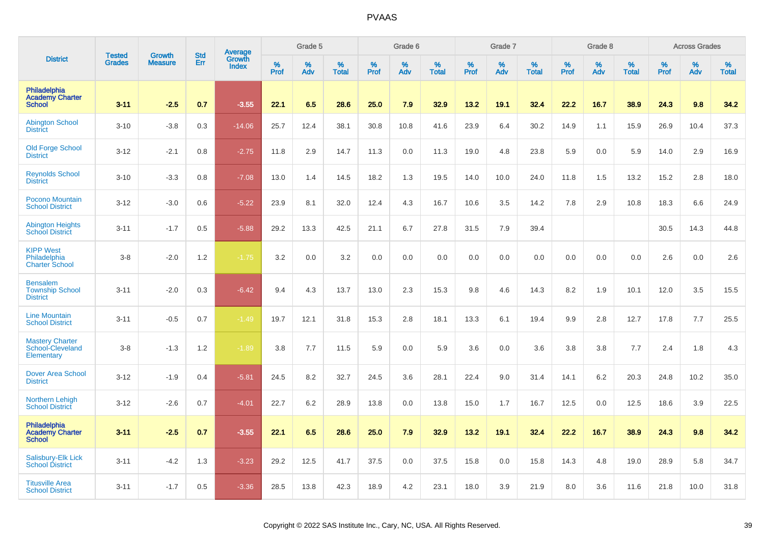|                                                              | <b>Tested</b> | <b>Growth</b>  | <b>Std</b> |                                          |              | Grade 5  |                   |           | Grade 6  |                   |           | Grade 7  |                   |           | Grade 8  |                   |           | <b>Across Grades</b> |                   |
|--------------------------------------------------------------|---------------|----------------|------------|------------------------------------------|--------------|----------|-------------------|-----------|----------|-------------------|-----------|----------|-------------------|-----------|----------|-------------------|-----------|----------------------|-------------------|
| <b>District</b>                                              | <b>Grades</b> | <b>Measure</b> | Err        | <b>Average</b><br>Growth<br><b>Index</b> | $\%$<br>Prof | %<br>Adv | %<br><b>Total</b> | %<br>Prof | %<br>Adv | %<br><b>Total</b> | %<br>Prof | %<br>Adv | %<br><b>Total</b> | %<br>Prof | %<br>Adv | %<br><b>Total</b> | %<br>Prof | %<br>Adv             | %<br><b>Total</b> |
| Philadelphia<br><b>Academy Charter</b><br><b>School</b>      | $3 - 11$      | $-2.5$         | 0.7        | $-3.55$                                  | 22.1         | 6.5      | 28.6              | 25.0      | 7.9      | 32.9              | 13.2      | 19.1     | 32.4              | 22.2      | 16.7     | 38.9              | 24.3      | 9.8                  | 34.2              |
| <b>Abington School</b><br><b>District</b>                    | $3 - 10$      | $-3.8$         | 0.3        | $-14.06$                                 | 25.7         | 12.4     | 38.1              | 30.8      | 10.8     | 41.6              | 23.9      | 6.4      | 30.2              | 14.9      | 1.1      | 15.9              | 26.9      | 10.4                 | 37.3              |
| <b>Old Forge School</b><br><b>District</b>                   | $3 - 12$      | $-2.1$         | 0.8        | $-2.75$                                  | 11.8         | 2.9      | 14.7              | 11.3      | 0.0      | 11.3              | 19.0      | 4.8      | 23.8              | 5.9       | 0.0      | 5.9               | 14.0      | 2.9                  | 16.9              |
| <b>Reynolds School</b><br><b>District</b>                    | $3 - 10$      | $-3.3$         | 0.8        | $-7.08$                                  | 13.0         | 1.4      | 14.5              | 18.2      | 1.3      | 19.5              | 14.0      | 10.0     | 24.0              | 11.8      | 1.5      | 13.2              | 15.2      | 2.8                  | 18.0              |
| Pocono Mountain<br><b>School District</b>                    | $3 - 12$      | $-3.0$         | 0.6        | $-5.22$                                  | 23.9         | 8.1      | 32.0              | 12.4      | 4.3      | 16.7              | 10.6      | 3.5      | 14.2              | 7.8       | 2.9      | 10.8              | 18.3      | 6.6                  | 24.9              |
| <b>Abington Heights</b><br><b>School District</b>            | $3 - 11$      | $-1.7$         | 0.5        | $-5.88$                                  | 29.2         | 13.3     | 42.5              | 21.1      | 6.7      | 27.8              | 31.5      | 7.9      | 39.4              |           |          |                   | 30.5      | 14.3                 | 44.8              |
| <b>KIPP West</b><br>Philadelphia<br><b>Charter School</b>    | $3-8$         | $-2.0$         | 1.2        | $-1.75$                                  | 3.2          | 0.0      | 3.2               | 0.0       | 0.0      | 0.0               | 0.0       | 0.0      | 0.0               | 0.0       | 0.0      | 0.0               | 2.6       | 0.0                  | 2.6               |
| <b>Bensalem</b><br><b>Township School</b><br><b>District</b> | $3 - 11$      | $-2.0$         | 0.3        | $-6.42$                                  | 9.4          | 4.3      | 13.7              | 13.0      | 2.3      | 15.3              | 9.8       | 4.6      | 14.3              | 8.2       | 1.9      | 10.1              | 12.0      | 3.5                  | 15.5              |
| <b>Line Mountain</b><br><b>School District</b>               | $3 - 11$      | $-0.5$         | 0.7        | $-1.49$                                  | 19.7         | 12.1     | 31.8              | 15.3      | 2.8      | 18.1              | 13.3      | 6.1      | 19.4              | 9.9       | 2.8      | 12.7              | 17.8      | 7.7                  | 25.5              |
| <b>Mastery Charter</b><br>School-Cleveland<br>Elementary     | $3 - 8$       | $-1.3$         | 1.2        | $-1.89$                                  | 3.8          | 7.7      | 11.5              | 5.9       | 0.0      | 5.9               | 3.6       | 0.0      | 3.6               | 3.8       | 3.8      | 7.7               | 2.4       | 1.8                  | 4.3               |
| <b>Dover Area School</b><br><b>District</b>                  | $3 - 12$      | $-1.9$         | 0.4        | $-5.81$                                  | 24.5         | 8.2      | 32.7              | 24.5      | 3.6      | 28.1              | 22.4      | 9.0      | 31.4              | 14.1      | 6.2      | 20.3              | 24.8      | 10.2                 | 35.0              |
| <b>Northern Lehigh</b><br><b>School District</b>             | $3 - 12$      | $-2.6$         | 0.7        | $-4.01$                                  | 22.7         | 6.2      | 28.9              | 13.8      | 0.0      | 13.8              | 15.0      | 1.7      | 16.7              | 12.5      | 0.0      | 12.5              | 18.6      | 3.9                  | 22.5              |
| Philadelphia<br><b>Academy Charter</b><br><b>School</b>      | $3 - 11$      | $-2.5$         | 0.7        | $-3.55$                                  | 22.1         | 6.5      | 28.6              | 25.0      | 7.9      | 32.9              | 13.2      | 19.1     | 32.4              | 22.2      | 16.7     | 38.9              | 24.3      | 9.8                  | 34.2              |
| Salisbury-Elk Lick<br><b>School District</b>                 | $3 - 11$      | $-4.2$         | 1.3        | $-3.23$                                  | 29.2         | 12.5     | 41.7              | 37.5      | 0.0      | 37.5              | 15.8      | 0.0      | 15.8              | 14.3      | 4.8      | 19.0              | 28.9      | 5.8                  | 34.7              |
| <b>Titusville Area</b><br><b>School District</b>             | $3 - 11$      | $-1.7$         | 0.5        | $-3.36$                                  | 28.5         | 13.8     | 42.3              | 18.9      | 4.2      | 23.1              | 18.0      | 3.9      | 21.9              | 8.0       | 3.6      | 11.6              | 21.8      | 10.0                 | 31.8              |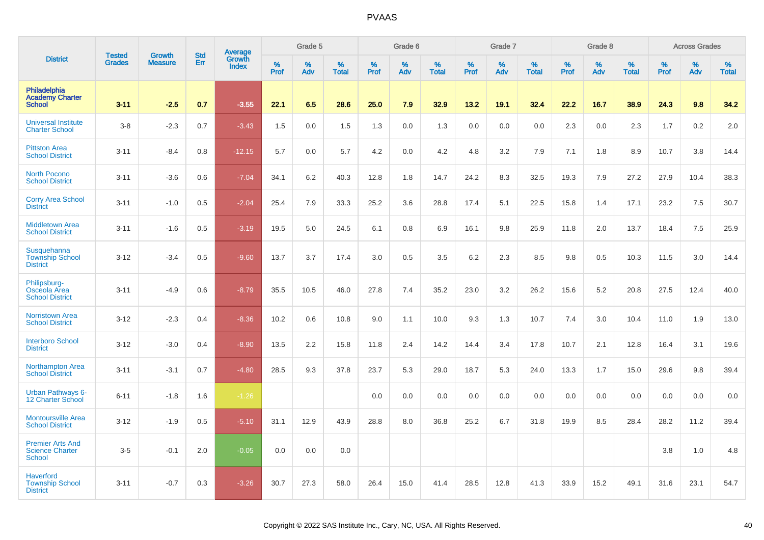|                                                             | <b>Tested</b> | <b>Growth</b>  | <b>Std</b> | Average                |                     | Grade 5  |                   |                  | Grade 6  |                   |                  | Grade 7  |                   |                  | Grade 8  |                   |           | <b>Across Grades</b> |                   |
|-------------------------------------------------------------|---------------|----------------|------------|------------------------|---------------------|----------|-------------------|------------------|----------|-------------------|------------------|----------|-------------------|------------------|----------|-------------------|-----------|----------------------|-------------------|
| <b>District</b>                                             | <b>Grades</b> | <b>Measure</b> | Err        | Growth<br><b>Index</b> | $\%$<br><b>Prof</b> | %<br>Adv | %<br><b>Total</b> | %<br><b>Prof</b> | %<br>Adv | %<br><b>Total</b> | %<br><b>Prof</b> | %<br>Adv | %<br><b>Total</b> | %<br><b>Prof</b> | %<br>Adv | %<br><b>Total</b> | %<br>Prof | %<br>Adv             | %<br><b>Total</b> |
| Philadelphia<br><b>Academy Charter</b><br><b>School</b>     | $3 - 11$      | $-2.5$         | 0.7        | $-3.55$                | 22.1                | 6.5      | 28.6              | 25.0             | 7.9      | 32.9              | 13.2             | 19.1     | 32.4              | 22.2             | 16.7     | 38.9              | 24.3      | 9.8                  | 34.2              |
| <b>Universal Institute</b><br><b>Charter School</b>         | $3 - 8$       | $-2.3$         | 0.7        | $-3.43$                | 1.5                 | 0.0      | 1.5               | 1.3              | 0.0      | 1.3               | 0.0              | 0.0      | 0.0               | 2.3              | 0.0      | 2.3               | 1.7       | 0.2                  | 2.0               |
| <b>Pittston Area</b><br><b>School District</b>              | $3 - 11$      | $-8.4$         | 0.8        | $-12.15$               | 5.7                 | 0.0      | 5.7               | 4.2              | 0.0      | 4.2               | 4.8              | 3.2      | 7.9               | 7.1              | 1.8      | 8.9               | 10.7      | 3.8                  | 14.4              |
| <b>North Pocono</b><br><b>School District</b>               | $3 - 11$      | $-3.6$         | 0.6        | $-7.04$                | 34.1                | 6.2      | 40.3              | 12.8             | 1.8      | 14.7              | 24.2             | 8.3      | 32.5              | 19.3             | 7.9      | 27.2              | 27.9      | 10.4                 | 38.3              |
| <b>Corry Area School</b><br><b>District</b>                 | $3 - 11$      | $-1.0$         | 0.5        | $-2.04$                | 25.4                | 7.9      | 33.3              | 25.2             | 3.6      | 28.8              | 17.4             | 5.1      | 22.5              | 15.8             | 1.4      | 17.1              | 23.2      | 7.5                  | 30.7              |
| <b>Middletown Area</b><br><b>School District</b>            | $3 - 11$      | $-1.6$         | 0.5        | $-3.19$                | 19.5                | 5.0      | 24.5              | 6.1              | 0.8      | 6.9               | 16.1             | 9.8      | 25.9              | 11.8             | 2.0      | 13.7              | 18.4      | 7.5                  | 25.9              |
| Susquehanna<br><b>Township School</b><br><b>District</b>    | $3 - 12$      | $-3.4$         | 0.5        | $-9.60$                | 13.7                | 3.7      | 17.4              | 3.0              | 0.5      | 3.5               | $6.2\,$          | 2.3      | 8.5               | 9.8              | 0.5      | 10.3              | 11.5      | 3.0                  | 14.4              |
| Philipsburg-<br>Osceola Area<br><b>School District</b>      | $3 - 11$      | $-4.9$         | 0.6        | $-8.79$                | 35.5                | 10.5     | 46.0              | 27.8             | 7.4      | 35.2              | 23.0             | 3.2      | 26.2              | 15.6             | 5.2      | 20.8              | 27.5      | 12.4                 | 40.0              |
| <b>Norristown Area</b><br><b>School District</b>            | $3-12$        | $-2.3$         | 0.4        | $-8.36$                | 10.2                | 0.6      | 10.8              | 9.0              | 1.1      | 10.0              | 9.3              | 1.3      | 10.7              | 7.4              | 3.0      | 10.4              | 11.0      | 1.9                  | 13.0              |
| <b>Interboro School</b><br><b>District</b>                  | $3 - 12$      | $-3.0$         | 0.4        | $-8.90$                | 13.5                | 2.2      | 15.8              | 11.8             | 2.4      | 14.2              | 14.4             | 3.4      | 17.8              | 10.7             | 2.1      | 12.8              | 16.4      | 3.1                  | 19.6              |
| <b>Northampton Area</b><br><b>School District</b>           | $3 - 11$      | $-3.1$         | 0.7        | $-4.80$                | 28.5                | 9.3      | 37.8              | 23.7             | 5.3      | 29.0              | 18.7             | 5.3      | 24.0              | 13.3             | 1.7      | 15.0              | 29.6      | 9.8                  | 39.4              |
| <b>Urban Pathways 6-</b><br>12 Charter School               | $6 - 11$      | $-1.8$         | 1.6        | $-1.26$                |                     |          |                   | 0.0              | 0.0      | 0.0               | 0.0              | 0.0      | 0.0               | 0.0              | 0.0      | 0.0               | 0.0       | 0.0                  | 0.0               |
| <b>Montoursville Area</b><br><b>School District</b>         | $3 - 12$      | $-1.9$         | 0.5        | $-5.10$                | 31.1                | 12.9     | 43.9              | 28.8             | 8.0      | 36.8              | 25.2             | 6.7      | 31.8              | 19.9             | 8.5      | 28.4              | 28.2      | 11.2                 | 39.4              |
| <b>Premier Arts And</b><br><b>Science Charter</b><br>School | $3-5$         | $-0.1$         | 2.0        | $-0.05$                | 0.0                 | 0.0      | 0.0               |                  |          |                   |                  |          |                   |                  |          |                   | 3.8       | 1.0                  | 4.8               |
| Haverford<br><b>Township School</b><br><b>District</b>      | $3 - 11$      | $-0.7$         | 0.3        | $-3.26$                | 30.7                | 27.3     | 58.0              | 26.4             | 15.0     | 41.4              | 28.5             | 12.8     | 41.3              | 33.9             | 15.2     | 49.1              | 31.6      | 23.1                 | 54.7              |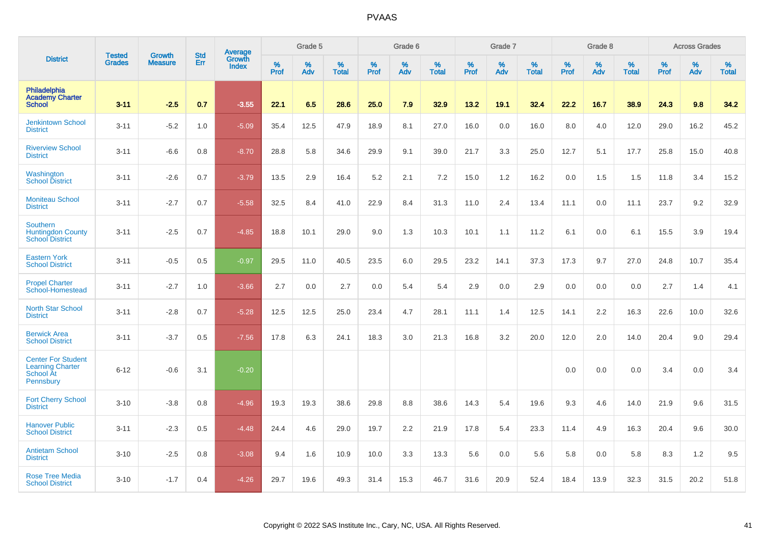|                                                                                |                                | <b>Growth</b>  | <b>Std</b> | Average                |              | Grade 5  |                   |           | Grade 6  |                   |           | Grade 7  |                   |           | Grade 8  |                   |           | <b>Across Grades</b> |                   |
|--------------------------------------------------------------------------------|--------------------------------|----------------|------------|------------------------|--------------|----------|-------------------|-----------|----------|-------------------|-----------|----------|-------------------|-----------|----------|-------------------|-----------|----------------------|-------------------|
| <b>District</b>                                                                | <b>Tested</b><br><b>Grades</b> | <b>Measure</b> | Err        | Growth<br><b>Index</b> | $\%$<br>Prof | %<br>Adv | %<br><b>Total</b> | %<br>Prof | %<br>Adv | %<br><b>Total</b> | %<br>Prof | %<br>Adv | %<br><b>Total</b> | %<br>Prof | %<br>Adv | %<br><b>Total</b> | %<br>Prof | %<br>Adv             | %<br><b>Total</b> |
| Philadelphia<br><b>Academy Charter</b><br><b>School</b>                        | $3 - 11$                       | $-2.5$         | 0.7        | $-3.55$                | 22.1         | 6.5      | 28.6              | 25.0      | 7.9      | 32.9              | 13.2      | 19.1     | 32.4              | 22.2      | 16.7     | 38.9              | 24.3      | 9.8                  | 34.2              |
| <b>Jenkintown School</b><br><b>District</b>                                    | $3 - 11$                       | $-5.2$         | 1.0        | $-5.09$                | 35.4         | 12.5     | 47.9              | 18.9      | 8.1      | 27.0              | 16.0      | 0.0      | 16.0              | 8.0       | 4.0      | 12.0              | 29.0      | 16.2                 | 45.2              |
| <b>Riverview School</b><br><b>District</b>                                     | $3 - 11$                       | $-6.6$         | 0.8        | $-8.70$                | 28.8         | 5.8      | 34.6              | 29.9      | 9.1      | 39.0              | 21.7      | 3.3      | 25.0              | 12.7      | 5.1      | 17.7              | 25.8      | 15.0                 | 40.8              |
| Washington<br><b>School District</b>                                           | $3 - 11$                       | $-2.6$         | 0.7        | $-3.79$                | 13.5         | 2.9      | 16.4              | 5.2       | 2.1      | 7.2               | 15.0      | 1.2      | 16.2              | 0.0       | 1.5      | 1.5               | 11.8      | 3.4                  | 15.2              |
| <b>Moniteau School</b><br><b>District</b>                                      | $3 - 11$                       | $-2.7$         | 0.7        | $-5.58$                | 32.5         | 8.4      | 41.0              | 22.9      | 8.4      | 31.3              | 11.0      | 2.4      | 13.4              | 11.1      | 0.0      | 11.1              | 23.7      | 9.2                  | 32.9              |
| <b>Southern</b><br><b>Huntingdon County</b><br><b>School District</b>          | $3 - 11$                       | $-2.5$         | 0.7        | $-4.85$                | 18.8         | 10.1     | 29.0              | 9.0       | 1.3      | 10.3              | 10.1      | 1.1      | 11.2              | 6.1       | 0.0      | 6.1               | 15.5      | 3.9                  | 19.4              |
| <b>Eastern York</b><br><b>School District</b>                                  | $3 - 11$                       | $-0.5$         | 0.5        | $-0.97$                | 29.5         | 11.0     | 40.5              | 23.5      | 6.0      | 29.5              | 23.2      | 14.1     | 37.3              | 17.3      | 9.7      | 27.0              | 24.8      | 10.7                 | 35.4              |
| <b>Propel Charter</b><br>School-Homestead                                      | $3 - 11$                       | $-2.7$         | 1.0        | $-3.66$                | 2.7          | 0.0      | 2.7               | 0.0       | 5.4      | 5.4               | 2.9       | 0.0      | 2.9               | 0.0       | 0.0      | 0.0               | 2.7       | 1.4                  | 4.1               |
| <b>North Star School</b><br><b>District</b>                                    | $3 - 11$                       | $-2.8$         | 0.7        | $-5.28$                | 12.5         | 12.5     | 25.0              | 23.4      | 4.7      | 28.1              | 11.1      | 1.4      | 12.5              | 14.1      | 2.2      | 16.3              | 22.6      | 10.0                 | 32.6              |
| <b>Berwick Area</b><br><b>School District</b>                                  | $3 - 11$                       | $-3.7$         | 0.5        | $-7.56$                | 17.8         | 6.3      | 24.1              | 18.3      | 3.0      | 21.3              | 16.8      | 3.2      | 20.0              | 12.0      | 2.0      | 14.0              | 20.4      | 9.0                  | 29.4              |
| <b>Center For Student</b><br><b>Learning Charter</b><br>School At<br>Pennsbury | $6 - 12$                       | $-0.6$         | 3.1        | $-0.20$                |              |          |                   |           |          |                   |           |          |                   | 0.0       | 0.0      | 0.0               | 3.4       | 0.0                  | 3.4               |
| <b>Fort Cherry School</b><br><b>District</b>                                   | $3 - 10$                       | $-3.8$         | 0.8        | $-4.96$                | 19.3         | 19.3     | 38.6              | 29.8      | 8.8      | 38.6              | 14.3      | 5.4      | 19.6              | 9.3       | 4.6      | 14.0              | 21.9      | 9.6                  | 31.5              |
| <b>Hanover Public</b><br><b>School District</b>                                | $3 - 11$                       | $-2.3$         | 0.5        | $-4.48$                | 24.4         | 4.6      | 29.0              | 19.7      | 2.2      | 21.9              | 17.8      | 5.4      | 23.3              | 11.4      | 4.9      | 16.3              | 20.4      | 9.6                  | 30.0              |
| <b>Antietam School</b><br><b>District</b>                                      | $3 - 10$                       | $-2.5$         | 0.8        | $-3.08$                | 9.4          | 1.6      | 10.9              | 10.0      | 3.3      | 13.3              | 5.6       | 0.0      | 5.6               | 5.8       | 0.0      | 5.8               | 8.3       | 1.2                  | 9.5               |
| <b>Rose Tree Media</b><br><b>School District</b>                               | $3 - 10$                       | $-1.7$         | 0.4        | $-4.26$                | 29.7         | 19.6     | 49.3              | 31.4      | 15.3     | 46.7              | 31.6      | 20.9     | 52.4              | 18.4      | 13.9     | 32.3              | 31.5      | 20.2                 | 51.8              |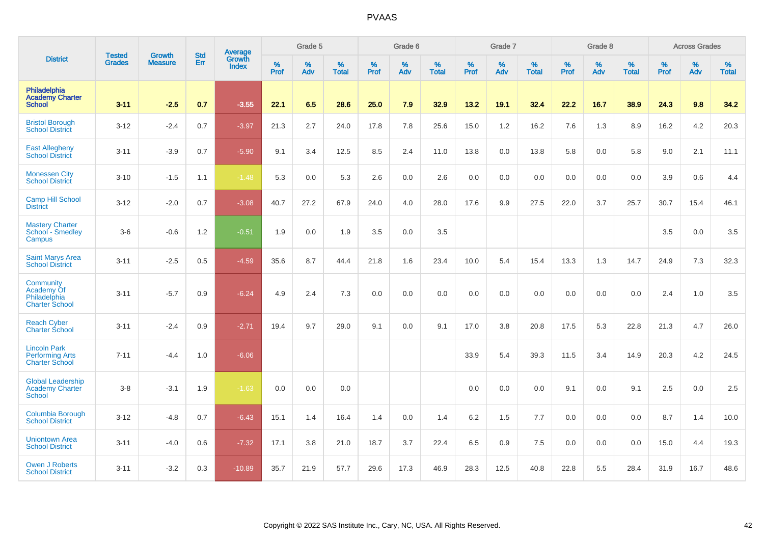|                                                                        |                                |                                 | <b>Std</b> | Average                |           | Grade 5  |                   |           | Grade 6  |                   |           | Grade 7  |                   |           | Grade 8  |                   |           | <b>Across Grades</b> |                   |
|------------------------------------------------------------------------|--------------------------------|---------------------------------|------------|------------------------|-----------|----------|-------------------|-----------|----------|-------------------|-----------|----------|-------------------|-----------|----------|-------------------|-----------|----------------------|-------------------|
| <b>District</b>                                                        | <b>Tested</b><br><b>Grades</b> | <b>Growth</b><br><b>Measure</b> | Err        | Growth<br><b>Index</b> | %<br>Prof | %<br>Adv | %<br><b>Total</b> | %<br>Prof | %<br>Adv | %<br><b>Total</b> | %<br>Prof | %<br>Adv | %<br><b>Total</b> | %<br>Prof | %<br>Adv | %<br><b>Total</b> | %<br>Prof | %<br>Adv             | %<br><b>Total</b> |
| Philadelphia<br><b>Academy Charter</b><br><b>School</b>                | $3 - 11$                       | $-2.5$                          | 0.7        | $-3.55$                | 22.1      | 6.5      | 28.6              | 25.0      | 7.9      | 32.9              | 13.2      | 19.1     | 32.4              | 22.2      | 16.7     | 38.9              | 24.3      | 9.8                  | 34.2              |
| <b>Bristol Borough</b><br><b>School District</b>                       | $3 - 12$                       | $-2.4$                          | 0.7        | $-3.97$                | 21.3      | 2.7      | 24.0              | 17.8      | 7.8      | 25.6              | 15.0      | 1.2      | 16.2              | 7.6       | 1.3      | 8.9               | 16.2      | 4.2                  | 20.3              |
| <b>East Allegheny</b><br><b>School District</b>                        | $3 - 11$                       | $-3.9$                          | 0.7        | $-5.90$                | 9.1       | 3.4      | 12.5              | 8.5       | 2.4      | 11.0              | 13.8      | 0.0      | 13.8              | 5.8       | 0.0      | 5.8               | 9.0       | 2.1                  | 11.1              |
| <b>Monessen City</b><br><b>School District</b>                         | $3 - 10$                       | $-1.5$                          | 1.1        | $-1.48$                | 5.3       | 0.0      | 5.3               | 2.6       | 0.0      | 2.6               | 0.0       | 0.0      | 0.0               | 0.0       | 0.0      | 0.0               | 3.9       | 0.6                  | 4.4               |
| <b>Camp Hill School</b><br><b>District</b>                             | $3 - 12$                       | $-2.0$                          | 0.7        | $-3.08$                | 40.7      | 27.2     | 67.9              | 24.0      | 4.0      | 28.0              | 17.6      | 9.9      | 27.5              | 22.0      | 3.7      | 25.7              | 30.7      | 15.4                 | 46.1              |
| <b>Mastery Charter</b><br>School - Smedley<br>Campus                   | $3-6$                          | $-0.6$                          | 1.2        | $-0.51$                | 1.9       | 0.0      | 1.9               | 3.5       | 0.0      | 3.5               |           |          |                   |           |          |                   | 3.5       | 0.0                  | 3.5               |
| <b>Saint Marys Area</b><br>School District                             | $3 - 11$                       | $-2.5$                          | 0.5        | $-4.59$                | 35.6      | 8.7      | 44.4              | 21.8      | 1.6      | 23.4              | 10.0      | 5.4      | 15.4              | 13.3      | 1.3      | 14.7              | 24.9      | 7.3                  | 32.3              |
| Community<br>Academy Of<br>Philadelphia<br><b>Charter School</b>       | $3 - 11$                       | $-5.7$                          | 0.9        | $-6.24$                | 4.9       | 2.4      | 7.3               | 0.0       | 0.0      | 0.0               | 0.0       | 0.0      | 0.0               | 0.0       | 0.0      | 0.0               | 2.4       | 1.0                  | 3.5               |
| <b>Reach Cyber</b><br><b>Charter School</b>                            | $3 - 11$                       | $-2.4$                          | 0.9        | $-2.71$                | 19.4      | 9.7      | 29.0              | 9.1       | 0.0      | 9.1               | 17.0      | 3.8      | 20.8              | 17.5      | 5.3      | 22.8              | 21.3      | 4.7                  | 26.0              |
| <b>Lincoln Park</b><br><b>Performing Arts</b><br><b>Charter School</b> | $7 - 11$                       | $-4.4$                          | 1.0        | $-6.06$                |           |          |                   |           |          |                   | 33.9      | 5.4      | 39.3              | 11.5      | 3.4      | 14.9              | 20.3      | 4.2                  | 24.5              |
| <b>Global Leadership</b><br><b>Academy Charter</b><br><b>School</b>    | $3 - 8$                        | $-3.1$                          | 1.9        | $-1.63$                | 0.0       | 0.0      | 0.0               |           |          |                   | 0.0       | 0.0      | 0.0               | 9.1       | 0.0      | 9.1               | 2.5       | 0.0                  | 2.5               |
| Columbia Borough<br><b>School District</b>                             | $3 - 12$                       | $-4.8$                          | 0.7        | $-6.43$                | 15.1      | 1.4      | 16.4              | 1.4       | 0.0      | 1.4               | 6.2       | 1.5      | 7.7               | 0.0       | 0.0      | 0.0               | 8.7       | 1.4                  | 10.0              |
| <b>Uniontown Area</b><br><b>School District</b>                        | $3 - 11$                       | $-4.0$                          | 0.6        | $-7.32$                | 17.1      | 3.8      | 21.0              | 18.7      | 3.7      | 22.4              | 6.5       | 0.9      | 7.5               | 0.0       | 0.0      | 0.0               | 15.0      | 4.4                  | 19.3              |
| <b>Owen J Roberts</b><br><b>School District</b>                        | $3 - 11$                       | $-3.2$                          | 0.3        | $-10.89$               | 35.7      | 21.9     | 57.7              | 29.6      | 17.3     | 46.9              | 28.3      | 12.5     | 40.8              | 22.8      | 5.5      | 28.4              | 31.9      | 16.7                 | 48.6              |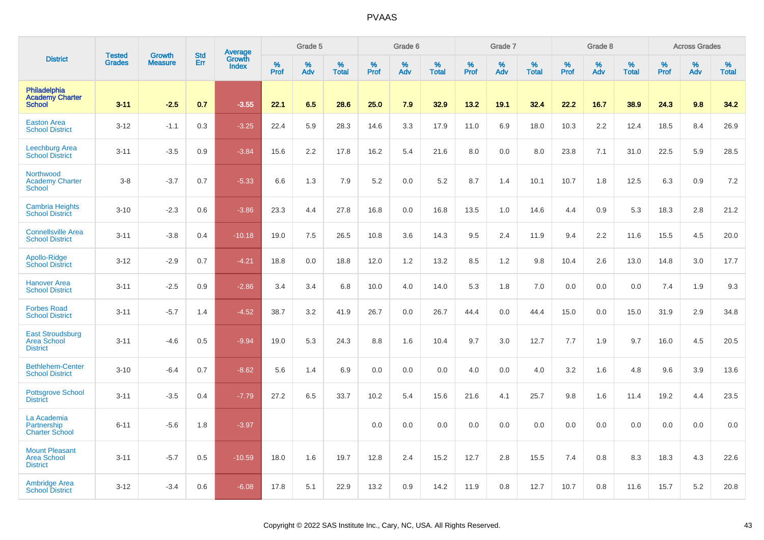|                                                                |                                |                                 | <b>Std</b> |                                          |              | Grade 5  |                   |           | Grade 6  |                   |           | Grade 7  |                   |           | Grade 8  |                   |           | <b>Across Grades</b> |                   |
|----------------------------------------------------------------|--------------------------------|---------------------------------|------------|------------------------------------------|--------------|----------|-------------------|-----------|----------|-------------------|-----------|----------|-------------------|-----------|----------|-------------------|-----------|----------------------|-------------------|
| <b>District</b>                                                | <b>Tested</b><br><b>Grades</b> | <b>Growth</b><br><b>Measure</b> | Err        | <b>Average</b><br>Growth<br><b>Index</b> | $\%$<br>Prof | %<br>Adv | %<br><b>Total</b> | %<br>Prof | %<br>Adv | %<br><b>Total</b> | %<br>Prof | %<br>Adv | %<br><b>Total</b> | %<br>Prof | %<br>Adv | %<br><b>Total</b> | %<br>Prof | %<br>Adv             | %<br><b>Total</b> |
| Philadelphia<br><b>Academy Charter</b><br><b>School</b>        | $3 - 11$                       | $-2.5$                          | 0.7        | $-3.55$                                  | 22.1         | 6.5      | 28.6              | 25.0      | 7.9      | 32.9              | 13.2      | 19.1     | 32.4              | 22.2      | 16.7     | 38.9              | 24.3      | 9.8                  | 34.2              |
| <b>Easton Area</b><br><b>School District</b>                   | $3 - 12$                       | $-1.1$                          | 0.3        | $-3.25$                                  | 22.4         | 5.9      | 28.3              | 14.6      | 3.3      | 17.9              | 11.0      | 6.9      | 18.0              | 10.3      | 2.2      | 12.4              | 18.5      | 8.4                  | 26.9              |
| <b>Leechburg Area</b><br><b>School District</b>                | $3 - 11$                       | $-3.5$                          | 0.9        | $-3.84$                                  | 15.6         | 2.2      | 17.8              | 16.2      | 5.4      | 21.6              | 8.0       | 0.0      | 8.0               | 23.8      | 7.1      | 31.0              | 22.5      | 5.9                  | 28.5              |
| Northwood<br><b>Academy Charter</b><br><b>School</b>           | $3-8$                          | $-3.7$                          | 0.7        | $-5.33$                                  | 6.6          | 1.3      | 7.9               | 5.2       | 0.0      | 5.2               | 8.7       | 1.4      | 10.1              | 10.7      | 1.8      | 12.5              | 6.3       | 0.9                  | 7.2               |
| <b>Cambria Heights</b><br><b>School District</b>               | $3 - 10$                       | $-2.3$                          | 0.6        | $-3.86$                                  | 23.3         | 4.4      | 27.8              | 16.8      | 0.0      | 16.8              | 13.5      | 1.0      | 14.6              | 4.4       | 0.9      | 5.3               | 18.3      | 2.8                  | 21.2              |
| <b>Connellsville Area</b><br><b>School District</b>            | $3 - 11$                       | $-3.8$                          | 0.4        | $-10.18$                                 | 19.0         | 7.5      | 26.5              | 10.8      | 3.6      | 14.3              | 9.5       | 2.4      | 11.9              | 9.4       | 2.2      | 11.6              | 15.5      | 4.5                  | 20.0              |
| Apollo-Ridge<br><b>School District</b>                         | $3 - 12$                       | $-2.9$                          | 0.7        | $-4.21$                                  | 18.8         | 0.0      | 18.8              | 12.0      | 1.2      | 13.2              | 8.5       | 1.2      | 9.8               | 10.4      | 2.6      | 13.0              | 14.8      | 3.0                  | 17.7              |
| <b>Hanover Area</b><br><b>School District</b>                  | $3 - 11$                       | $-2.5$                          | 0.9        | $-2.86$                                  | 3.4          | 3.4      | 6.8               | 10.0      | 4.0      | 14.0              | 5.3       | 1.8      | 7.0               | 0.0       | 0.0      | 0.0               | 7.4       | 1.9                  | 9.3               |
| <b>Forbes Road</b><br><b>School District</b>                   | $3 - 11$                       | $-5.7$                          | 1.4        | $-4.52$                                  | 38.7         | 3.2      | 41.9              | 26.7      | 0.0      | 26.7              | 44.4      | 0.0      | 44.4              | 15.0      | 0.0      | 15.0              | 31.9      | 2.9                  | 34.8              |
| <b>East Stroudsburg</b><br>Area School<br><b>District</b>      | $3 - 11$                       | $-4.6$                          | 0.5        | $-9.94$                                  | 19.0         | 5.3      | 24.3              | 8.8       | 1.6      | 10.4              | 9.7       | 3.0      | 12.7              | 7.7       | 1.9      | 9.7               | 16.0      | 4.5                  | 20.5              |
| <b>Bethlehem-Center</b><br><b>School District</b>              | $3 - 10$                       | $-6.4$                          | 0.7        | $-8.62$                                  | 5.6          | 1.4      | 6.9               | 0.0       | 0.0      | 0.0               | 4.0       | 0.0      | 4.0               | 3.2       | 1.6      | 4.8               | 9.6       | 3.9                  | 13.6              |
| <b>Pottsgrove School</b><br><b>District</b>                    | $3 - 11$                       | $-3.5$                          | 0.4        | $-7.79$                                  | 27.2         | 6.5      | 33.7              | 10.2      | 5.4      | 15.6              | 21.6      | 4.1      | 25.7              | 9.8       | 1.6      | 11.4              | 19.2      | 4.4                  | 23.5              |
| La Academia<br>Partnership<br><b>Charter School</b>            | $6 - 11$                       | $-5.6$                          | 1.8        | $-3.97$                                  |              |          |                   | 0.0       | 0.0      | 0.0               | 0.0       | 0.0      | 0.0               | 0.0       | 0.0      | 0.0               | 0.0       | 0.0                  | 0.0               |
| <b>Mount Pleasant</b><br><b>Area School</b><br><b>District</b> | $3 - 11$                       | $-5.7$                          | 0.5        | $-10.59$                                 | 18.0         | 1.6      | 19.7              | 12.8      | 2.4      | 15.2              | 12.7      | 2.8      | 15.5              | 7.4       | 0.8      | 8.3               | 18.3      | 4.3                  | 22.6              |
| <b>Ambridge Area</b><br><b>School District</b>                 | $3 - 12$                       | $-3.4$                          | 0.6        | $-6.08$                                  | 17.8         | 5.1      | 22.9              | 13.2      | 0.9      | 14.2              | 11.9      | 0.8      | 12.7              | 10.7      | 0.8      | 11.6              | 15.7      | 5.2                  | 20.8              |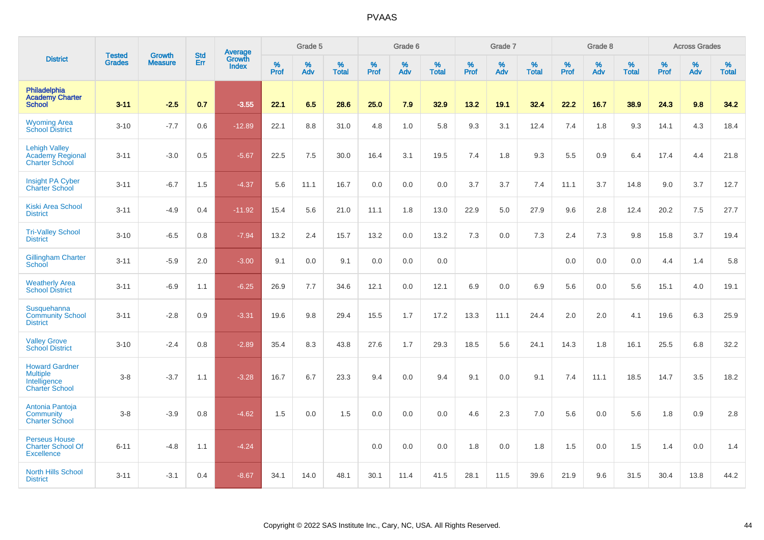|                                                                                   | <b>Tested</b> | <b>Growth</b>  | <b>Std</b> | Average                |              | Grade 5     |                   |           | Grade 6  |                   |           | Grade 7  |                   |           | Grade 8  |                   |           | <b>Across Grades</b> |                   |
|-----------------------------------------------------------------------------------|---------------|----------------|------------|------------------------|--------------|-------------|-------------------|-----------|----------|-------------------|-----------|----------|-------------------|-----------|----------|-------------------|-----------|----------------------|-------------------|
| <b>District</b>                                                                   | <b>Grades</b> | <b>Measure</b> | Err        | Growth<br><b>Index</b> | $\%$<br>Prof | $\%$<br>Adv | %<br><b>Total</b> | %<br>Prof | %<br>Adv | %<br><b>Total</b> | %<br>Prof | %<br>Adv | %<br><b>Total</b> | %<br>Prof | %<br>Adv | %<br><b>Total</b> | %<br>Prof | %<br>Adv             | %<br><b>Total</b> |
| Philadelphia<br><b>Academy Charter</b><br><b>School</b>                           | $3 - 11$      | $-2.5$         | 0.7        | $-3.55$                | 22.1         | 6.5         | 28.6              | 25.0      | 7.9      | 32.9              | 13.2      | 19.1     | 32.4              | 22.2      | 16.7     | 38.9              | 24.3      | 9.8                  | 34.2              |
| <b>Wyoming Area</b><br><b>School District</b>                                     | $3 - 10$      | $-7.7$         | 0.6        | $-12.89$               | 22.1         | 8.8         | 31.0              | 4.8       | 1.0      | 5.8               | 9.3       | 3.1      | 12.4              | 7.4       | 1.8      | 9.3               | 14.1      | 4.3                  | 18.4              |
| <b>Lehigh Valley</b><br><b>Academy Regional</b><br><b>Charter School</b>          | $3 - 11$      | $-3.0$         | 0.5        | $-5.67$                | 22.5         | 7.5         | 30.0              | 16.4      | 3.1      | 19.5              | 7.4       | 1.8      | 9.3               | 5.5       | 0.9      | 6.4               | 17.4      | 4.4                  | 21.8              |
| Insight PA Cyber<br><b>Charter School</b>                                         | $3 - 11$      | $-6.7$         | 1.5        | $-4.37$                | 5.6          | 11.1        | 16.7              | 0.0       | 0.0      | 0.0               | 3.7       | 3.7      | 7.4               | 11.1      | 3.7      | 14.8              | 9.0       | 3.7                  | 12.7              |
| <b>Kiski Area School</b><br><b>District</b>                                       | $3 - 11$      | $-4.9$         | 0.4        | $-11.92$               | 15.4         | 5.6         | 21.0              | 11.1      | 1.8      | 13.0              | 22.9      | 5.0      | 27.9              | 9.6       | 2.8      | 12.4              | 20.2      | 7.5                  | 27.7              |
| <b>Tri-Valley School</b><br><b>District</b>                                       | $3 - 10$      | $-6.5$         | 0.8        | $-7.94$                | 13.2         | 2.4         | 15.7              | 13.2      | 0.0      | 13.2              | 7.3       | 0.0      | 7.3               | 2.4       | 7.3      | 9.8               | 15.8      | 3.7                  | 19.4              |
| <b>Gillingham Charter</b><br>School                                               | $3 - 11$      | $-5.9$         | 2.0        | $-3.00$                | 9.1          | 0.0         | 9.1               | 0.0       | 0.0      | 0.0               |           |          |                   | 0.0       | 0.0      | 0.0               | 4.4       | 1.4                  | 5.8               |
| <b>Weatherly Area</b><br><b>School District</b>                                   | $3 - 11$      | $-6.9$         | 1.1        | $-6.25$                | 26.9         | 7.7         | 34.6              | 12.1      | 0.0      | 12.1              | 6.9       | 0.0      | 6.9               | 5.6       | 0.0      | 5.6               | 15.1      | 4.0                  | 19.1              |
| Susquehanna<br><b>Community School</b><br><b>District</b>                         | $3 - 11$      | $-2.8$         | 0.9        | $-3.31$                | 19.6         | 9.8         | 29.4              | 15.5      | 1.7      | 17.2              | 13.3      | 11.1     | 24.4              | 2.0       | 2.0      | 4.1               | 19.6      | 6.3                  | 25.9              |
| <b>Valley Grove</b><br><b>School District</b>                                     | $3 - 10$      | $-2.4$         | 0.8        | $-2.89$                | 35.4         | 8.3         | 43.8              | 27.6      | 1.7      | 29.3              | 18.5      | 5.6      | 24.1              | 14.3      | 1.8      | 16.1              | 25.5      | 6.8                  | 32.2              |
| <b>Howard Gardner</b><br><b>Multiple</b><br>Intelligence<br><b>Charter School</b> | $3 - 8$       | $-3.7$         | 1.1        | $-3.28$                | 16.7         | 6.7         | 23.3              | 9.4       | 0.0      | 9.4               | 9.1       | 0.0      | 9.1               | 7.4       | 11.1     | 18.5              | 14.7      | 3.5                  | 18.2              |
| Antonia Pantoja<br>Community<br><b>Charter School</b>                             | $3 - 8$       | $-3.9$         | 0.8        | $-4.62$                | 1.5          | 0.0         | 1.5               | 0.0       | 0.0      | 0.0               | 4.6       | 2.3      | 7.0               | 5.6       | 0.0      | 5.6               | 1.8       | 0.9                  | 2.8               |
| <b>Perseus House</b><br><b>Charter School Of</b><br><b>Excellence</b>             | $6 - 11$      | $-4.8$         | 1.1        | $-4.24$                |              |             |                   | 0.0       | 0.0      | 0.0               | 1.8       | 0.0      | 1.8               | 1.5       | 0.0      | 1.5               | 1.4       | 0.0                  | 1.4               |
| North Hills School<br><b>District</b>                                             | $3 - 11$      | $-3.1$         | 0.4        | $-8.67$                | 34.1         | 14.0        | 48.1              | 30.1      | 11.4     | 41.5              | 28.1      | 11.5     | 39.6              | 21.9      | 9.6      | 31.5              | 30.4      | 13.8                 | 44.2              |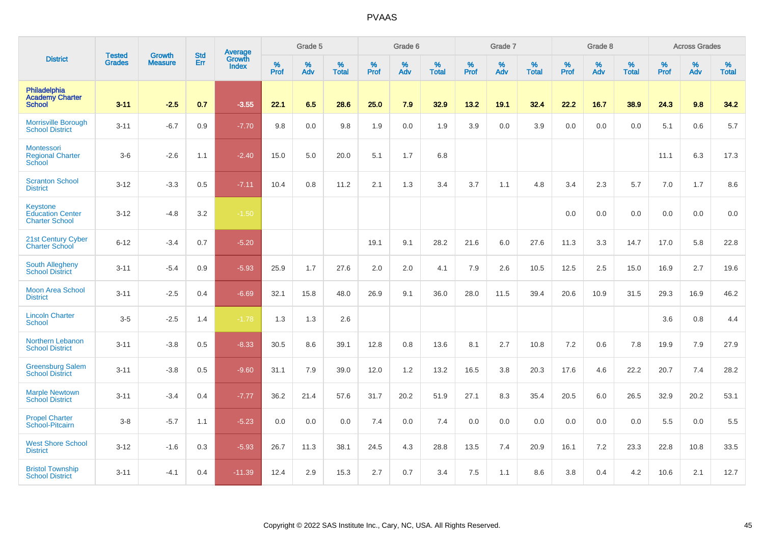|                                                              | <b>Tested</b> | <b>Growth</b>  | <b>Std</b> | Average                |              | Grade 5  |                   |           | Grade 6  |                   |           | Grade 7  |                   |           | Grade 8  |                   |           | <b>Across Grades</b> |                   |
|--------------------------------------------------------------|---------------|----------------|------------|------------------------|--------------|----------|-------------------|-----------|----------|-------------------|-----------|----------|-------------------|-----------|----------|-------------------|-----------|----------------------|-------------------|
| <b>District</b>                                              | <b>Grades</b> | <b>Measure</b> | Err        | Growth<br><b>Index</b> | $\%$<br>Prof | %<br>Adv | %<br><b>Total</b> | %<br>Prof | %<br>Adv | %<br><b>Total</b> | %<br>Prof | %<br>Adv | %<br><b>Total</b> | %<br>Prof | %<br>Adv | %<br><b>Total</b> | %<br>Prof | %<br>Adv             | %<br><b>Total</b> |
| Philadelphia<br><b>Academy Charter</b><br><b>School</b>      | $3 - 11$      | $-2.5$         | 0.7        | $-3.55$                | 22.1         | 6.5      | 28.6              | 25.0      | 7.9      | 32.9              | 13.2      | 19.1     | 32.4              | 22.2      | 16.7     | 38.9              | 24.3      | 9.8                  | 34.2              |
| <b>Morrisville Borough</b><br><b>School District</b>         | $3 - 11$      | $-6.7$         | 0.9        | $-7.70$                | 9.8          | 0.0      | 9.8               | 1.9       | 0.0      | 1.9               | 3.9       | 0.0      | 3.9               | 0.0       | 0.0      | 0.0               | 5.1       | 0.6                  | 5.7               |
| Montessori<br><b>Regional Charter</b><br>School              | $3-6$         | $-2.6$         | 1.1        | $-2.40$                | 15.0         | 5.0      | 20.0              | 5.1       | 1.7      | 6.8               |           |          |                   |           |          |                   | 11.1      | 6.3                  | 17.3              |
| <b>Scranton School</b><br><b>District</b>                    | $3 - 12$      | $-3.3$         | 0.5        | $-7.11$                | 10.4         | 0.8      | 11.2              | 2.1       | 1.3      | 3.4               | 3.7       | 1.1      | 4.8               | 3.4       | 2.3      | 5.7               | 7.0       | 1.7                  | 8.6               |
| Keystone<br><b>Education Center</b><br><b>Charter School</b> | $3 - 12$      | $-4.8$         | 3.2        | $-1.50$                |              |          |                   |           |          |                   |           |          |                   | 0.0       | 0.0      | 0.0               | 0.0       | 0.0                  | 0.0               |
| 21st Century Cyber<br><b>Charter School</b>                  | $6 - 12$      | $-3.4$         | 0.7        | $-5.20$                |              |          |                   | 19.1      | 9.1      | 28.2              | 21.6      | 6.0      | 27.6              | 11.3      | 3.3      | 14.7              | 17.0      | 5.8                  | 22.8              |
| <b>South Allegheny</b><br><b>School District</b>             | $3 - 11$      | $-5.4$         | 0.9        | $-5.93$                | 25.9         | 1.7      | 27.6              | 2.0       | 2.0      | 4.1               | 7.9       | 2.6      | 10.5              | 12.5      | 2.5      | 15.0              | 16.9      | 2.7                  | 19.6              |
| <b>Moon Area School</b><br><b>District</b>                   | $3 - 11$      | $-2.5$         | 0.4        | $-6.69$                | 32.1         | 15.8     | 48.0              | 26.9      | 9.1      | 36.0              | 28.0      | 11.5     | 39.4              | 20.6      | 10.9     | 31.5              | 29.3      | 16.9                 | 46.2              |
| <b>Lincoln Charter</b><br>School                             | $3-5$         | $-2.5$         | 1.4        | $-1.78$                | 1.3          | 1.3      | 2.6               |           |          |                   |           |          |                   |           |          |                   | 3.6       | 0.8                  | 4.4               |
| Northern Lebanon<br><b>School District</b>                   | $3 - 11$      | $-3.8$         | 0.5        | $-8.33$                | 30.5         | 8.6      | 39.1              | 12.8      | 0.8      | 13.6              | 8.1       | 2.7      | 10.8              | 7.2       | 0.6      | 7.8               | 19.9      | 7.9                  | 27.9              |
| <b>Greensburg Salem</b><br><b>School District</b>            | $3 - 11$      | $-3.8$         | 0.5        | $-9.60$                | 31.1         | 7.9      | 39.0              | 12.0      | 1.2      | 13.2              | 16.5      | 3.8      | 20.3              | 17.6      | 4.6      | 22.2              | 20.7      | 7.4                  | 28.2              |
| <b>Marple Newtown</b><br><b>School District</b>              | $3 - 11$      | $-3.4$         | 0.4        | $-7.77$                | 36.2         | 21.4     | 57.6              | 31.7      | 20.2     | 51.9              | 27.1      | 8.3      | 35.4              | 20.5      | 6.0      | 26.5              | 32.9      | 20.2                 | 53.1              |
| <b>Propel Charter</b><br>School-Pitcairn                     | $3 - 8$       | $-5.7$         | 1.1        | $-5.23$                | 0.0          | 0.0      | 0.0               | 7.4       | 0.0      | 7.4               | 0.0       | 0.0      | 0.0               | 0.0       | 0.0      | 0.0               | 5.5       | 0.0                  | 5.5               |
| <b>West Shore School</b><br><b>District</b>                  | $3 - 12$      | $-1.6$         | 0.3        | $-5.93$                | 26.7         | 11.3     | 38.1              | 24.5      | 4.3      | 28.8              | 13.5      | 7.4      | 20.9              | 16.1      | 7.2      | 23.3              | 22.8      | 10.8                 | 33.5              |
| <b>Bristol Township</b><br><b>School District</b>            | $3 - 11$      | $-4.1$         | 0.4        | $-11.39$               | 12.4         | 2.9      | 15.3              | 2.7       | 0.7      | 3.4               | 7.5       | 1.1      | 8.6               | 3.8       | 0.4      | 4.2               | 10.6      | 2.1                  | 12.7              |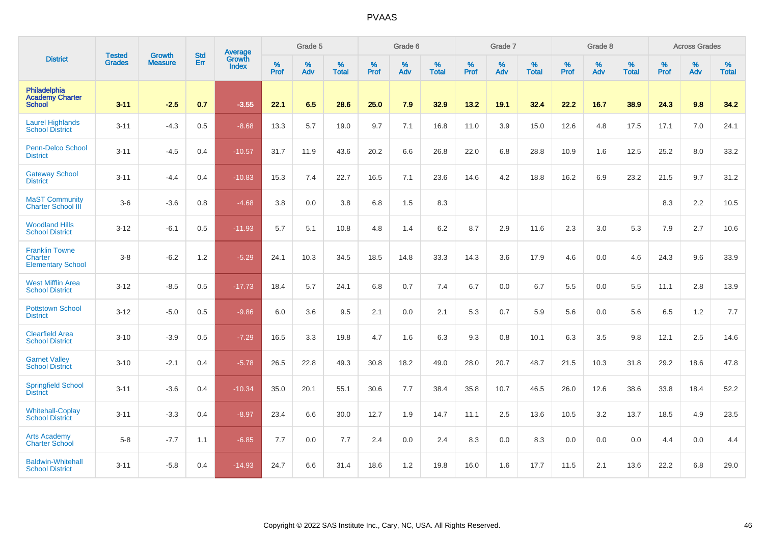|                                                                     | <b>Tested</b> | <b>Growth</b>  | <b>Std</b> | Average                |                     | Grade 5  |                   |                     | Grade 6  |                   |              | Grade 7  |                   |              | Grade 8  |                   |                     | <b>Across Grades</b> |                   |
|---------------------------------------------------------------------|---------------|----------------|------------|------------------------|---------------------|----------|-------------------|---------------------|----------|-------------------|--------------|----------|-------------------|--------------|----------|-------------------|---------------------|----------------------|-------------------|
| <b>District</b>                                                     | <b>Grades</b> | <b>Measure</b> | <b>Err</b> | Growth<br><b>Index</b> | $\%$<br><b>Prof</b> | %<br>Adv | %<br><b>Total</b> | $\%$<br><b>Prof</b> | %<br>Adv | %<br><b>Total</b> | $\%$<br>Prof | %<br>Adv | %<br><b>Total</b> | $\%$<br>Prof | %<br>Adv | %<br><b>Total</b> | $\%$<br><b>Prof</b> | %<br>Adv             | %<br><b>Total</b> |
| Philadelphia<br><b>Academy Charter</b><br><b>School</b>             | $3 - 11$      | $-2.5$         | 0.7        | $-3.55$                | 22.1                | 6.5      | 28.6              | 25.0                | 7.9      | 32.9              | 13.2         | 19.1     | 32.4              | 22.2         | 16.7     | 38.9              | 24.3                | 9.8                  | 34.2              |
| <b>Laurel Highlands</b><br><b>School District</b>                   | $3 - 11$      | $-4.3$         | 0.5        | $-8.68$                | 13.3                | 5.7      | 19.0              | 9.7                 | 7.1      | 16.8              | 11.0         | 3.9      | 15.0              | 12.6         | 4.8      | 17.5              | 17.1                | 7.0                  | 24.1              |
| <b>Penn-Delco School</b><br><b>District</b>                         | $3 - 11$      | $-4.5$         | 0.4        | $-10.57$               | 31.7                | 11.9     | 43.6              | 20.2                | 6.6      | 26.8              | 22.0         | 6.8      | 28.8              | 10.9         | 1.6      | 12.5              | 25.2                | 8.0                  | 33.2              |
| <b>Gateway School</b><br><b>District</b>                            | $3 - 11$      | $-4.4$         | 0.4        | $-10.83$               | 15.3                | 7.4      | 22.7              | 16.5                | 7.1      | 23.6              | 14.6         | 4.2      | 18.8              | 16.2         | 6.9      | 23.2              | 21.5                | 9.7                  | 31.2              |
| <b>MaST Community</b><br><b>Charter School III</b>                  | $3-6$         | $-3.6$         | 0.8        | $-4.68$                | 3.8                 | 0.0      | 3.8               | 6.8                 | 1.5      | 8.3               |              |          |                   |              |          |                   | 8.3                 | 2.2                  | 10.5              |
| <b>Woodland Hills</b><br><b>School District</b>                     | $3 - 12$      | $-6.1$         | 0.5        | $-11.93$               | 5.7                 | 5.1      | 10.8              | 4.8                 | 1.4      | 6.2               | 8.7          | 2.9      | 11.6              | 2.3          | 3.0      | 5.3               | 7.9                 | 2.7                  | 10.6              |
| <b>Franklin Towne</b><br><b>Charter</b><br><b>Elementary School</b> | $3 - 8$       | $-6.2$         | 1.2        | $-5.29$                | 24.1                | 10.3     | 34.5              | 18.5                | 14.8     | 33.3              | 14.3         | 3.6      | 17.9              | 4.6          | 0.0      | 4.6               | 24.3                | 9.6                  | 33.9              |
| <b>West Mifflin Area</b><br><b>School District</b>                  | $3 - 12$      | $-8.5$         | 0.5        | $-17.73$               | 18.4                | 5.7      | 24.1              | 6.8                 | 0.7      | 7.4               | 6.7          | 0.0      | 6.7               | 5.5          | 0.0      | 5.5               | 11.1                | 2.8                  | 13.9              |
| <b>Pottstown School</b><br><b>District</b>                          | $3 - 12$      | $-5.0$         | 0.5        | $-9.86$                | 6.0                 | 3.6      | 9.5               | 2.1                 | 0.0      | 2.1               | 5.3          | 0.7      | 5.9               | 5.6          | 0.0      | 5.6               | 6.5                 | $1.2$                | $7.7\,$           |
| <b>Clearfield Area</b><br><b>School District</b>                    | $3 - 10$      | $-3.9$         | 0.5        | $-7.29$                | 16.5                | 3.3      | 19.8              | 4.7                 | 1.6      | 6.3               | 9.3          | 0.8      | 10.1              | 6.3          | 3.5      | 9.8               | 12.1                | 2.5                  | 14.6              |
| <b>Garnet Valley</b><br><b>School District</b>                      | $3 - 10$      | $-2.1$         | 0.4        | $-5.78$                | 26.5                | 22.8     | 49.3              | 30.8                | 18.2     | 49.0              | 28.0         | 20.7     | 48.7              | 21.5         | 10.3     | 31.8              | 29.2                | 18.6                 | 47.8              |
| <b>Springfield School</b><br><b>District</b>                        | $3 - 11$      | $-3.6$         | 0.4        | $-10.34$               | 35.0                | 20.1     | 55.1              | 30.6                | 7.7      | 38.4              | 35.8         | 10.7     | 46.5              | 26.0         | 12.6     | 38.6              | 33.8                | 18.4                 | 52.2              |
| <b>Whitehall-Coplay</b><br><b>School District</b>                   | $3 - 11$      | $-3.3$         | 0.4        | $-8.97$                | 23.4                | 6.6      | 30.0              | 12.7                | 1.9      | 14.7              | 11.1         | 2.5      | 13.6              | 10.5         | 3.2      | 13.7              | 18.5                | 4.9                  | 23.5              |
| <b>Arts Academy</b><br><b>Charter School</b>                        | $5-8$         | $-7.7$         | 1.1        | $-6.85$                | 7.7                 | 0.0      | 7.7               | 2.4                 | 0.0      | 2.4               | 8.3          | 0.0      | 8.3               | 0.0          | 0.0      | 0.0               | 4.4                 | 0.0                  | 4.4               |
| <b>Baldwin-Whitehall</b><br><b>School District</b>                  | $3 - 11$      | $-5.8$         | 0.4        | $-14.93$               | 24.7                | 6.6      | 31.4              | 18.6                | 1.2      | 19.8              | 16.0         | 1.6      | 17.7              | 11.5         | 2.1      | 13.6              | 22.2                | 6.8                  | 29.0              |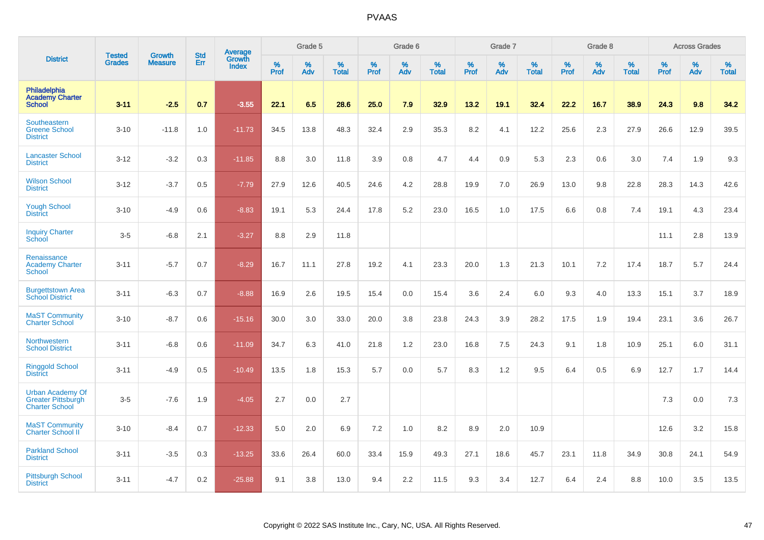|                                                                               |                                | <b>Growth</b>  | <b>Std</b> | Average                |              | Grade 5  |                   |              | Grade 6  |                   |              | Grade 7  |                   |              | Grade 8  |                   |              | <b>Across Grades</b> |                   |
|-------------------------------------------------------------------------------|--------------------------------|----------------|------------|------------------------|--------------|----------|-------------------|--------------|----------|-------------------|--------------|----------|-------------------|--------------|----------|-------------------|--------------|----------------------|-------------------|
| <b>District</b>                                                               | <b>Tested</b><br><b>Grades</b> | <b>Measure</b> | Err        | Growth<br><b>Index</b> | $\%$<br>Prof | %<br>Adv | %<br><b>Total</b> | $\%$<br>Prof | %<br>Adv | %<br><b>Total</b> | $\%$<br>Prof | %<br>Adv | %<br><b>Total</b> | $\%$<br>Prof | %<br>Adv | %<br><b>Total</b> | $\%$<br>Prof | %<br>Adv             | %<br><b>Total</b> |
| Philadelphia<br><b>Academy Charter</b><br><b>School</b>                       | $3 - 11$                       | $-2.5$         | 0.7        | $-3.55$                | 22.1         | 6.5      | 28.6              | 25.0         | 7.9      | 32.9              | 13.2         | 19.1     | 32.4              | 22.2         | 16.7     | 38.9              | 24.3         | 9.8                  | 34.2              |
| Southeastern<br><b>Greene School</b><br><b>District</b>                       | $3 - 10$                       | $-11.8$        | 1.0        | $-11.73$               | 34.5         | 13.8     | 48.3              | 32.4         | 2.9      | 35.3              | 8.2          | 4.1      | 12.2              | 25.6         | 2.3      | 27.9              | 26.6         | 12.9                 | 39.5              |
| <b>Lancaster School</b><br><b>District</b>                                    | $3 - 12$                       | $-3.2$         | 0.3        | $-11.85$               | 8.8          | 3.0      | 11.8              | 3.9          | 0.8      | 4.7               | 4.4          | 0.9      | 5.3               | 2.3          | 0.6      | 3.0               | 7.4          | 1.9                  | 9.3               |
| <b>Wilson School</b><br><b>District</b>                                       | $3 - 12$                       | $-3.7$         | 0.5        | $-7.79$                | 27.9         | 12.6     | 40.5              | 24.6         | 4.2      | 28.8              | 19.9         | 7.0      | 26.9              | 13.0         | 9.8      | 22.8              | 28.3         | 14.3                 | 42.6              |
| <b>Yough School</b><br><b>District</b>                                        | $3 - 10$                       | $-4.9$         | 0.6        | $-8.83$                | 19.1         | 5.3      | 24.4              | 17.8         | 5.2      | 23.0              | 16.5         | 1.0      | 17.5              | 6.6          | 0.8      | 7.4               | 19.1         | 4.3                  | 23.4              |
| <b>Inquiry Charter</b><br>School                                              | $3-5$                          | $-6.8$         | 2.1        | $-3.27$                | 8.8          | 2.9      | 11.8              |              |          |                   |              |          |                   |              |          |                   | 11.1         | 2.8                  | 13.9              |
| Renaissance<br><b>Academy Charter</b><br>School                               | $3 - 11$                       | $-5.7$         | 0.7        | $-8.29$                | 16.7         | 11.1     | 27.8              | 19.2         | 4.1      | 23.3              | 20.0         | 1.3      | 21.3              | 10.1         | 7.2      | 17.4              | 18.7         | 5.7                  | 24.4              |
| <b>Burgettstown Area</b><br><b>School District</b>                            | $3 - 11$                       | $-6.3$         | 0.7        | $-8.88$                | 16.9         | 2.6      | 19.5              | 15.4         | 0.0      | 15.4              | 3.6          | 2.4      | 6.0               | 9.3          | 4.0      | 13.3              | 15.1         | 3.7                  | 18.9              |
| <b>MaST Community</b><br><b>Charter School</b>                                | $3 - 10$                       | $-8.7$         | 0.6        | $-15.16$               | 30.0         | 3.0      | 33.0              | 20.0         | 3.8      | 23.8              | 24.3         | 3.9      | 28.2              | 17.5         | 1.9      | 19.4              | 23.1         | 3.6                  | 26.7              |
| Northwestern<br><b>School District</b>                                        | $3 - 11$                       | $-6.8$         | 0.6        | $-11.09$               | 34.7         | 6.3      | 41.0              | 21.8         | 1.2      | 23.0              | 16.8         | 7.5      | 24.3              | 9.1          | 1.8      | 10.9              | 25.1         | 6.0                  | 31.1              |
| <b>Ringgold School</b><br><b>District</b>                                     | $3 - 11$                       | $-4.9$         | 0.5        | $-10.49$               | 13.5         | 1.8      | 15.3              | 5.7          | 0.0      | 5.7               | 8.3          | 1.2      | 9.5               | 6.4          | 0.5      | 6.9               | 12.7         | 1.7                  | 14.4              |
| <b>Urban Academy Of</b><br><b>Greater Pittsburgh</b><br><b>Charter School</b> | $3-5$                          | $-7.6$         | 1.9        | $-4.05$                | 2.7          | 0.0      | 2.7               |              |          |                   |              |          |                   |              |          |                   | 7.3          | 0.0                  | 7.3               |
| <b>MaST Community</b><br>Charter School II                                    | $3 - 10$                       | $-8.4$         | 0.7        | $-12.33$               | 5.0          | 2.0      | 6.9               | 7.2          | 1.0      | 8.2               | 8.9          | 2.0      | 10.9              |              |          |                   | 12.6         | 3.2                  | 15.8              |
| <b>Parkland School</b><br><b>District</b>                                     | $3 - 11$                       | $-3.5$         | 0.3        | $-13.25$               | 33.6         | 26.4     | 60.0              | 33.4         | 15.9     | 49.3              | 27.1         | 18.6     | 45.7              | 23.1         | 11.8     | 34.9              | 30.8         | 24.1                 | 54.9              |
| <b>Pittsburgh School</b><br><b>District</b>                                   | $3 - 11$                       | $-4.7$         | 0.2        | $-25.88$               | 9.1          | 3.8      | 13.0              | 9.4          | 2.2      | 11.5              | 9.3          | 3.4      | 12.7              | 6.4          | 2.4      | 8.8               | 10.0         | 3.5                  | 13.5              |